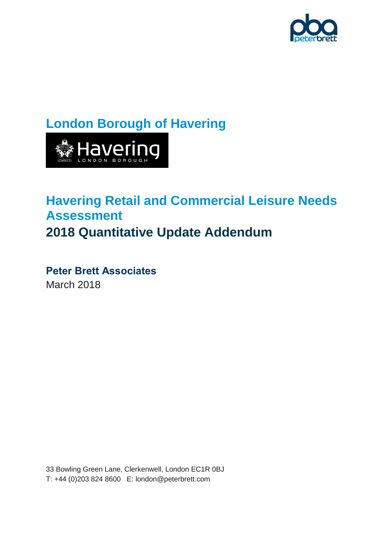

# **London Borough of Havering**



# **Havering Retail and Commercial Leisure Needs Assessment 2018 Quantitative Update Addendum**

Peter Brett Associates March 2018

 33 Bowling Green Lane, Clerkenwell, London EC1R 0BJ T: +44 (0)203 824 8600 E: [london@peterbrett.com](mailto:london@peterbrett.com)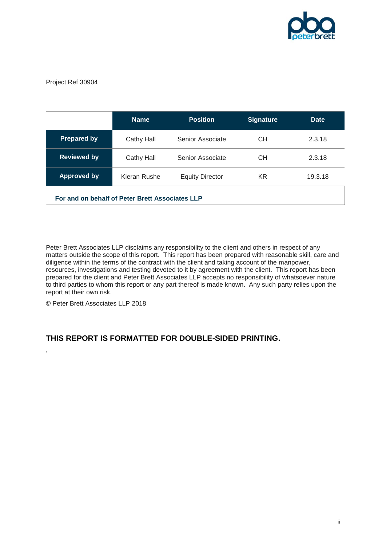

#### Project Ref 30904

|                                                 | <b>Name</b>  | <b>Position</b>  | <b>Signature</b> | <b>Date</b> |  |  |  |
|-------------------------------------------------|--------------|------------------|------------------|-------------|--|--|--|
| <b>Prepared by</b>                              | Cathy Hall   | Senior Associate | CН               | 2.3.18      |  |  |  |
| <b>Reviewed by</b>                              | Cathy Hall   | Senior Associate | <b>CH</b>        | 2.3.18      |  |  |  |
| Approved by                                     | Kieran Rushe |                  | KR.              | 19.3.18     |  |  |  |
| For and on behalf of Peter Brett Associates LLP |              |                  |                  |             |  |  |  |

 prepared for the client and Peter Brett Associates LLP accepts no responsibility of whatsoever nature Peter Brett Associates LLP disclaims any responsibility to the client and others in respect of any matters outside the scope of this report. This report has been prepared with reasonable skill, care and diligence within the terms of the contract with the client and taking account of the manpower, resources, investigations and testing devoted to it by agreement with the client. This report has been to third parties to whom this report or any part thereof is made known. Any such party relies upon the report at their own risk.

© Peter Brett Associates LLP 2018

**.** 

#### **THIS REPORT IS FORMATTED FOR DOUBLE-SIDED PRINTING.**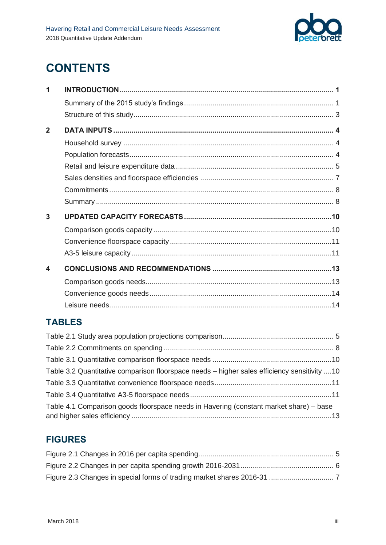

# **CONTENTS**

| 1            |  |
|--------------|--|
|              |  |
|              |  |
| $\mathbf{2}$ |  |
|              |  |
|              |  |
|              |  |
|              |  |
|              |  |
|              |  |
| $\mathbf{3}$ |  |
|              |  |
|              |  |
|              |  |
| 4            |  |
|              |  |
|              |  |
|              |  |
|              |  |

#### TABLES

| Table 3.2 Quantitative comparison floorspace needs - higher sales efficiency sensitivity 10 |  |
|---------------------------------------------------------------------------------------------|--|
|                                                                                             |  |
|                                                                                             |  |
| Table 4.1 Comparison goods floorspace needs in Havering (constant market share) - base      |  |

### FIGURES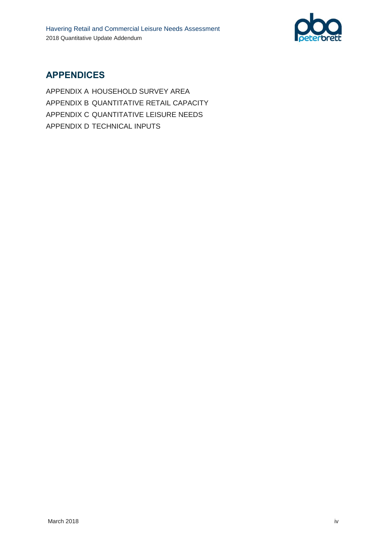

### APPENDICES

 APPENDIX A HOUSEHOLD SURVEY AREA APPENDIX B QUANTITATIVE RETAIL CAPACITY APPENDIX C QUANTITATIVE LEISURE NEEDS APPENDIX D TECHNICAL INPUTS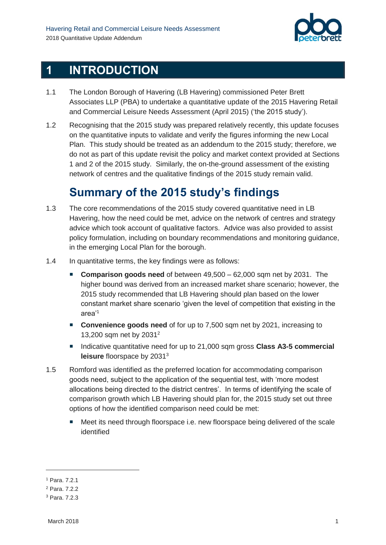

## <span id="page-4-0"></span>1 INTRODUCTION

- 1.1 The London Borough of Havering (LB Havering) commissioned Peter Brett Associates LLP (PBA) to undertake a quantitative update of the 2015 Havering Retail and Commercial Leisure Needs Assessment (April 2015) ('the 2015 study').
- 1.2 Recognising that the 2015 study was prepared relatively recently, this update focuses on the quantitative inputs to validate and verify the figures informing the new Local Plan. This study should be treated as an addendum to the 2015 study; therefore, we do not as part of this update revisit the policy and market context provided at Sections 1 and 2 of the 2015 study. Similarly, the on-the-ground assessment of the existing network of centres and the qualitative findings of the 2015 study remain valid.

## Summary of the 2015 study's findings

- <span id="page-4-1"></span> 1.3 The core recommendations of the 2015 study covered quantitative need in LB Havering, how the need could be met, advice on the network of centres and strategy advice which took account of qualitative factors. Advice was also provided to assist policy formulation, including on boundary recommendations and monitoring guidance, in the emerging Local Plan for the borough.
- 1.4 In quantitative terms, the key findings were as follows:
	- **Comparison goods need** of between 49,500 62,000 sqm net by 2031. The higher bound was derived from an increased market share scenario; however, the 2015 study recommended that LB Havering should plan based on the lower constant market share scenario 'given the level of competition that existing in the area'1
	- **Convenience goods need** of for up to 7,500 sqm net by 2021, increasing to 13,200 sqm net by 20312
	- Indicative quantitative need for up to 21,000 sqm gross **Class A3-5 commercial leisure** floorspace by 20313
- 1.5 Romford was identified as the preferred location for accommodating comparison goods need, subject to the application of the sequential test, with 'more modest allocations being directed to the district centres'. In terms of identifying the scale of comparison growth which LB Havering should plan for, the 2015 study set out three options of how the identified comparison need could be met:
	- **Meet its need through floorspace i.e. new floorspace being delivered of the scale** identified

 $\overline{a}$ 

<sup>1</sup> Para. 7.2.1

<sup>2</sup> Para. 7.2.2

<sup>3</sup> Para. 7.2.3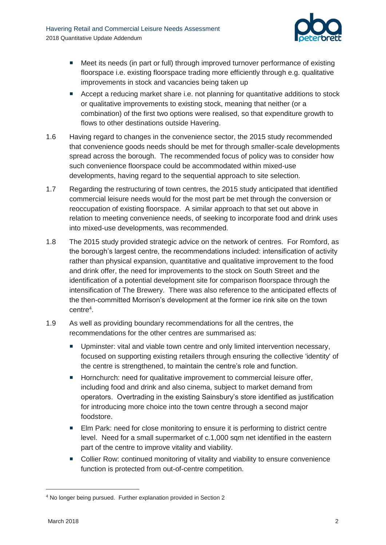

- Meet its needs (in part or full) through improved turnover performance of existing floorspace i.e. existing floorspace trading more efficiently through e.g. qualitative improvements in stock and vacancies being taken up
- **EXTERGHTM** Accept a reducing market share i.e. not planning for quantitative additions to stock or qualitative improvements to existing stock, meaning that neither (or a combination) of the first two options were realised, so that expenditure growth to flows to other destinations outside Havering.
- 1.6 Having regard to changes in the convenience sector, the 2015 study recommended that convenience goods needs should be met for through smaller-scale developments spread across the borough. The recommended focus of policy was to consider how developments, having regard to the sequential approach to site selection. such convenience floorspace could be accommodated within mixed-use
- 1.7 Regarding the restructuring of town centres, the 2015 study anticipated that identified commercial leisure needs would for the most part be met through the conversion or reoccupation of existing floorspace. A similar approach to that set out above in relation to meeting convenience needs, of seeking to incorporate food and drink uses into mixed-use developments, was recommended.
- 1.8 The 2015 study provided strategic advice on the network of centres. For Romford, as the borough's largest centre, the recommendations included: intensification of activity rather than physical expansion, quantitative and qualitative improvement to the food and drink offer, the need for improvements to the stock on South Street and the identification of a potential development site for comparison floorspace through the intensification of The Brewery. There was also reference to the anticipated effects of the then-committed Morrison's development at the former ice rink site on the town centre4 .
- 1.9 As well as providing boundary recommendations for all the centres, the recommendations for the other centres are summarised as:
	- **Upminster: vital and viable town centre and only limited intervention necessary,**  focused on supporting existing retailers through ensuring the collective 'identity' of the centre is strengthened, to maintain the centre's role and function.
	- **Hornchurch: need for qualitative improvement to commercial leisure offer,**  including food and drink and also cinema, subject to market demand from operators. Overtrading in the existing Sainsbury's store identified as justification for introducing more choice into the town centre through a second major foodstore.
	- **Elm Park: need for close monitoring to ensure it is performing to district centre**  level. Need for a small supermarket of c.1,000 sqm net identified in the eastern part of the centre to improve vitality and viability.
	- **Collier Row: continued monitoring of vitality and viability to ensure convenience** function is protected from out-of-centre competition.

 $\overline{a}$ 

<sup>4</sup> No longer being pursued. Further explanation provided in Section 2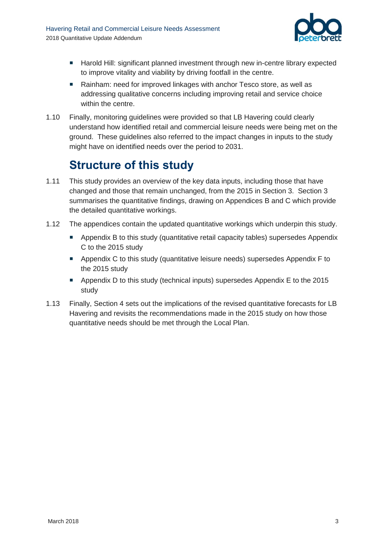

- **Harold Hill: significant planned investment through new in-centre library expected** to improve vitality and viability by driving footfall in the centre.
- Rainham: need for improved linkages with anchor Tesco store, as well as addressing qualitative concerns including improving retail and service choice within the centre.
- 1.10 Finally, monitoring guidelines were provided so that LB Havering could clearly understand how identified retail and commercial leisure needs were being met on the ground. These guidelines also referred to the impact changes in inputs to the study might have on identified needs over the period to 2031.

## Structure of this study

- <span id="page-6-0"></span> 1.11 This study provides an overview of the key data inputs, including those that have changed and those that remain unchanged, from the 2015 in Section 3. Section 3 summarises the quantitative findings, drawing on Appendices B and C which provide the detailed quantitative workings.
- 1.12 The appendices contain the updated quantitative workings which underpin this study.
	- **Appendix B to this study (quantitative retail capacity tables) supersedes Appendix** C to the 2015 study
	- **Appendix C to this study (quantitative leisure needs) supersedes Appendix F to** the 2015 study
	- **Appendix D to this study (technical inputs) supersedes Appendix E to the 2015** study
- 1.13 Finally, Section 4 sets out the implications of the revised quantitative forecasts for LB Havering and revisits the recommendations made in the 2015 study on how those quantitative needs should be met through the Local Plan.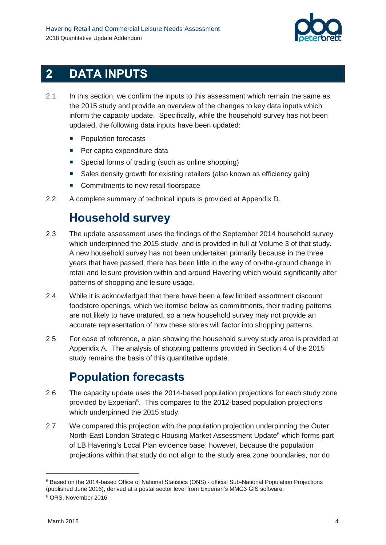

## <span id="page-7-0"></span>2 DATA INPUTS

- 2.1 In this section, we confirm the inputs to this assessment which remain the same as the 2015 study and provide an overview of the changes to key data inputs which inform the capacity update. Specifically, while the household survey has not been updated, the following data inputs have been updated:
	- **Population forecasts**
	- **Per capita expenditure data**
	- **Special forms of trading (such as online shopping)**
	- Sales density growth for existing retailers (also known as efficiency gain)
	- Commitments to new retail floorspace
- <span id="page-7-1"></span>2.2 A complete summary of technical inputs is provided at Appendix D.

## Household survey

- 2.3 The update assessment uses the findings of the September 2014 household survey which underpinned the 2015 study, and is provided in full at Volume 3 of that study. A new household survey has not been undertaken primarily because in the three years that have passed, there has been little in the way of on-the-ground change in retail and leisure provision within and around Havering which would significantly alter patterns of shopping and leisure usage.
- 2.4 While it is acknowledged that there have been a few limited assortment discount foodstore openings, which we itemise below as commitments, their trading patterns are not likely to have matured, so a new household survey may not provide an accurate representation of how these stores will factor into shopping patterns.
- 2.5 For ease of reference, a plan showing the household survey study area is provided at Appendix A. The analysis of shopping patterns provided in Section 4 of the 2015 study remains the basis of this quantitative update.

## Population forecasts

- <span id="page-7-2"></span> 2.6 The capacity update uses the 2014-based population projections for each study zone which underpinned the 2015 study. provided by Experian<sup>5</sup>. This compares to the 2012-based population projections
- 2.7 We compared this projection with the population projection underpinning the Outer North-East London Strategic Housing Market Assessment Update<sup>6</sup> which forms part of LB Havering's Local Plan evidence base; however, because the population projections within that study do not align to the study area zone boundaries, nor do

 $\overline{a}$ 

<sup>&</sup>lt;sup>5</sup> Based on the 2014-based Office of National Statistics (ONS) - official Sub-National Population Projections (published June 2016), derived at a postal sector level from Experian's MMG3 GIS software.

<sup>6</sup> ORS, November 2016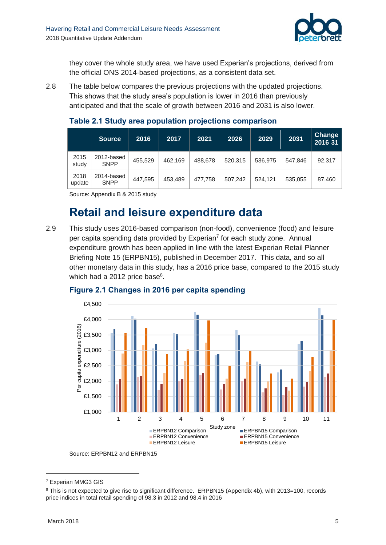

 they cover the whole study area, we have used Experian's projections, derived from the official ONS 2014-based projections, as a consistent data set.

 2.8 The table below compares the previous projections with the updated projections. This shows that the study area's population is lower in 2016 than previously anticipated and that the scale of growth between 2016 and 2031 is also lower.

|                | <b>Source</b>             | 2016    | 2017    | 2021    | 2026    | 2029    | 2031    | <b>Change</b><br>2016 31 |
|----------------|---------------------------|---------|---------|---------|---------|---------|---------|--------------------------|
| 2015<br>study  | 2012-based<br><b>SNPP</b> | 455.529 | 462.169 | 488.678 | 520.315 | 536.975 | 547.846 | 92,317                   |
| 2018<br>update | 2014-based<br><b>SNPP</b> | 447.595 | 453.489 | 477.758 | 507.242 | 524.121 | 535,055 | 87,460                   |

#### <span id="page-8-1"></span>Table 2.1 Study area population projections comparison

Source: Appendix B & 2015 study

## Retail and leisure expenditure data

<span id="page-8-0"></span> 2.9 This study uses 2016-based comparison (non-food), convenience (food) and leisure per capita spending data provided by Experian<sup>7</sup> for each study zone. Annual expenditure growth has been applied in line with the latest Experian Retail Planner Briefing Note 15 (ERPBN15), published in December 2017. This data, and so all other monetary data in this study, has a 2016 price base, compared to the 2015 study which had a 2012 price base<sup>8</sup>.



#### <span id="page-8-2"></span>Figure 2.1 Changes in 2016 per capita spending

Source: ERPBN12 and ERPBN15

 $\overline{a}$ 

<sup>7</sup> Experian MMG3 GIS

<sup>8</sup> This is not expected to give rise to significant difference. ERPBN15 (Appendix 4b), with 2013=100, records price indices in total retail spending of 98.3 in 2012 and 98.4 in 2016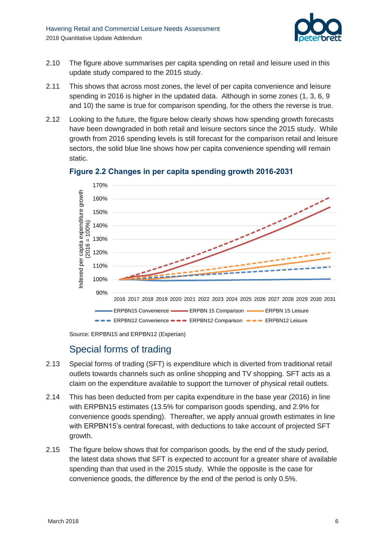

- 2.10 The figure above summarises per capita spending on retail and leisure used in this update study compared to the 2015 study.
- 2.11 This shows that across most zones, the level of per capita convenience and leisure spending in 2016 is higher in the updated data. Although in some zones (1, 3, 6, 9 and 10) the same is true for comparison spending, for the others the reverse is true.
- 2.12 Looking to the future, the figure below clearly shows how spending growth forecasts have been downgraded in both retail and leisure sectors since the 2015 study. While growth from 2016 spending levels is still forecast for the comparison retail and leisure sectors, the solid blue line shows how per capita convenience spending will remain static.



#### <span id="page-9-0"></span>Figure 2.2 Changes in per capita spending growth 2016-2031

Source: ERPBN15 and ERPBN12 (Experian)

#### Special forms of trading

- 2.13 Special forms of trading (SFT) is expenditure which is diverted from traditional retail outlets towards channels such as online shopping and TV shopping. SFT acts as a claim on the expenditure available to support the turnover of physical retail outlets.
- 2.14 This has been deducted from per capita expenditure in the base year (2016) in line with ERPBN15 estimates (13.5% for comparison goods spending, and 2.9% for convenience goods spending). Thereafter, we apply annual growth estimates in line with ERPBN15's central forecast, with deductions to take account of projected SFT growth.
- 2.15 The figure below shows that for comparison goods, by the end of the study period, the latest data shows that SFT is expected to account for a greater share of available spending than that used in the 2015 study. While the opposite is the case for convenience goods, the difference by the end of the period is only 0.5%.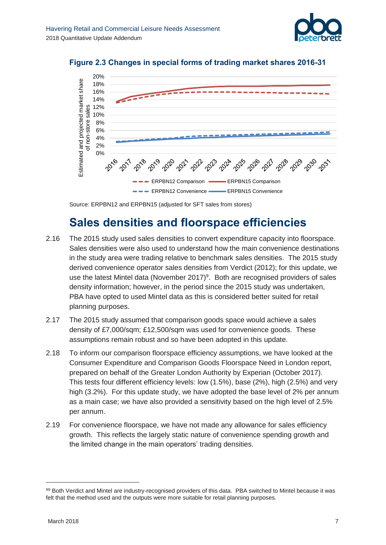

<span id="page-10-1"></span>



Source: ERPBN12 and ERPBN15 (adjusted for SFT sales from stores)

## Sales densities and floorspace efficiencies

- <span id="page-10-0"></span> 2.16 The 2015 study used sales densities to convert expenditure capacity into floorspace. Sales densities were also used to understand how the main convenience destinations in the study area were trading relative to benchmark sales densities. The 2015 study derived convenience operator sales densities from Verdict (2012); for this update, we use the latest Mintel data (November 2017)<sup>9</sup>. Both are recognised providers of sales density information; however, in the period since the 2015 study was undertaken, PBA have opted to used Mintel data as this is considered better suited for retail planning purposes.
- 2.17 The 2015 study assumed that comparison goods space would achieve a sales density of £7,000/sqm; £12,500/sqm was used for convenience goods. These assumptions remain robust and so have been adopted in this update.
- 2.18 To inform our comparison floorspace efficiency assumptions, we have looked at the prepared on behalf of the Greater London Authority by Experian (October 2017). This tests four different efficiency levels: low (1.5%), base (2%), high (2.5%) and very high (3.2%). For this update study, we have adopted the base level of 2% per annum as a main case; we have also provided a sensitivity based on the high level of 2.5% Consumer Expenditure and Comparison Goods Floorspace Need in London report, per annum.
- 2.19 For convenience floorspace, we have not made any allowance for sales efficiency growth. This reflects the largely static nature of convenience spending growth and the limited change in the main operators' trading densities.

l

<sup>99</sup> Both Verdict and Mintel are industry-recognised providers of this data. PBA switched to Mintel because it was felt that the method used and the outputs were more suitable for retail planning purposes.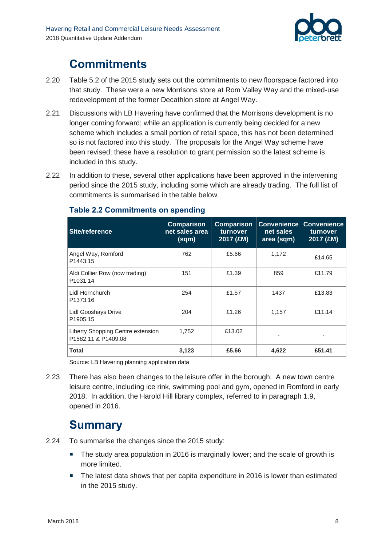

## **Commitments**

- <span id="page-11-0"></span> 2.20 Table 5.2 of the 2015 study sets out the commitments to new floorspace factored into that study. These were a new Morrisons store at Rom Valley Way and the mixed-use redevelopment of the former Decathlon store at Angel Way.
- 2.21 Discussions with LB Havering have confirmed that the Morrisons development is no longer coming forward; while an application is currently being decided for a new scheme which includes a small portion of retail space, this has not been determined so is not factored into this study. The proposals for the Angel Way scheme have been revised; these have a resolution to grant permission so the latest scheme is included in this study.
- 2.22 In addition to these, several other applications have been approved in the intervening period since the 2015 study, including some which are already trading. The full list of commitments is summarised in the table below.

| Site/reference                                           | <b>Comparison</b><br>net sales area<br>(sqm) | <b>Comparison</b><br>turnover<br>2017 (£M) | <b>Convenience</b><br>net sales<br>area (sqm) | <b>Convenience</b><br>turnover<br>2017 (£M) |
|----------------------------------------------------------|----------------------------------------------|--------------------------------------------|-----------------------------------------------|---------------------------------------------|
| Angel Way, Romford<br>P1443.15                           | 762                                          | £5.66                                      | 1,172                                         | £14.65                                      |
| Aldi Collier Row (now trading)<br>P1031.14               | 151                                          | £1.39                                      | 859                                           | £11.79                                      |
| Lidl Hornchurch<br>P1373.16                              | 254                                          | £1.57                                      | 1437                                          | £13.83                                      |
| <b>Lidl Gooshays Drive</b><br>P1905.15                   | 204                                          | £1.26                                      | 1,157                                         | £11.14                                      |
| Liberty Shopping Centre extension<br>P1582.11 & P1409.08 | 1,752                                        | £13.02                                     |                                               |                                             |
| <b>Total</b>                                             | 3,123                                        | £5.66                                      | 4,622                                         | £51.41                                      |

#### <span id="page-11-2"></span>Table 2.2 Commitments on spending

Source: LB Havering planning application data

 2.23 There has also been changes to the leisure offer in the borough. A new town centre leisure centre, including ice rink, swimming pool and gym, opened in Romford in early 2018. In addition, the Harold Hill library complex, referred to in paragraph 1.9, opened in 2016.

### Summary

- <span id="page-11-1"></span> 2.24 To summarise the changes since the 2015 study:
	- **The study area population in 2016 is marginally lower; and the scale of growth is** more limited.
	- The latest data shows that per capita expenditure in 2016 is lower than estimated in the 2015 study.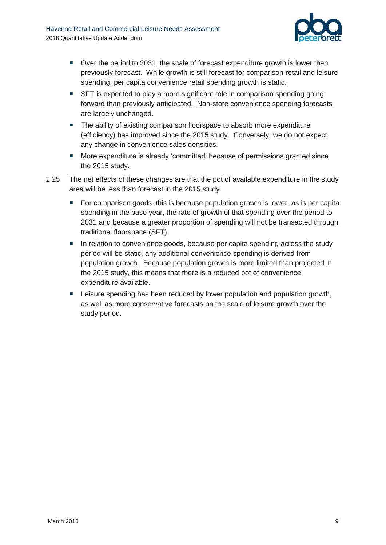

- Over the period to 2031, the scale of forecast expenditure growth is lower than previously forecast. While growth is still forecast for comparison retail and leisure spending, per capita convenience retail spending growth is static.
- **SFT** is expected to play a more significant role in comparison spending going forward than previously anticipated. Non-store convenience spending forecasts are largely unchanged.
- **The ability of existing comparison floorspace to absorb more expenditure**  (efficiency) has improved since the 2015 study. Conversely, we do not expect any change in convenience sales densities.
- **More expenditure is already 'committed' because of permissions granted since** the 2015 study.
- 2.25 The net effects of these changes are that the pot of available expenditure in the study area will be less than forecast in the 2015 study.
	- **For comparison goods, this is because population growth is lower, as is per capita**  spending in the base year, the rate of growth of that spending over the period to 2031 and because a greater proportion of spending will not be transacted through traditional floorspace (SFT).
	- **IF** In relation to convenience goods, because per capita spending across the study period will be static, any additional convenience spending is derived from population growth. Because population growth is more limited than projected in the 2015 study, this means that there is a reduced pot of convenience expenditure available.
	- **EXTE:** Leisure spending has been reduced by lower population and population growth, as well as more conservative forecasts on the scale of leisure growth over the study period.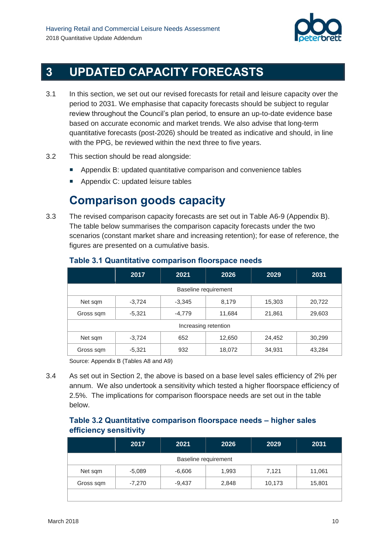

## <span id="page-13-0"></span>3 UPDATED CAPACITY FORECASTS

- 3.1 In this section, we set out our revised forecasts for retail and leisure capacity over the period to 2031. We emphasise that capacity forecasts should be subject to regular review throughout the Council's plan period, to ensure an up-to-date evidence base based on accurate economic and market trends. We also advise that long-term quantitative forecasts (post-2026) should be treated as indicative and should, in line with the PPG, be reviewed within the next three to five years.
- 3.2 This section should be read alongside:
	- **Appendix B: updated quantitative comparison and convenience tables**
	- **Appendix C: updated leisure tables**

## Comparison goods capacity

<span id="page-13-1"></span> 3.3 The revised comparison capacity forecasts are set out in Table A6-9 (Appendix B). The table below summarises the comparison capacity forecasts under the two scenarios (constant market share and increasing retention); for ease of reference, the figures are presented on a cumulative basis.

|                      | 2017     | 2021     | 2026   | 2029   | 2031   |  |  |
|----------------------|----------|----------|--------|--------|--------|--|--|
| Baseline requirement |          |          |        |        |        |  |  |
| Net sqm              | $-3,724$ | $-3,345$ | 8,179  | 15,303 | 20,722 |  |  |
| Gross sqm            | $-5,321$ | $-4,779$ | 11,684 | 21,861 | 29,603 |  |  |
| Increasing retention |          |          |        |        |        |  |  |
| Net sqm              | $-3,724$ | 652      | 12,650 | 24,452 | 30,299 |  |  |
| Gross sqm            | $-5,321$ | 932      | 18,072 | 34,931 | 43,284 |  |  |

#### <span id="page-13-2"></span>Table 3.1 Quantitative comparison floorspace needs

Source: Appendix B (Tables A8 and A9)

 3.4 As set out in Section 2, the above is based on a base level sales efficiency of 2% per annum. We also undertook a sensitivity which tested a higher floorspace efficiency of 2.5%. The implications for comparison floorspace needs are set out in the table below.

#### <span id="page-13-3"></span>Table 3.2 Quantitative comparison floorspace needs – higher sales efficiency sensitivity

|                      | 2017     | 2021     | 2026  | 2029   | 2031   |  |  |
|----------------------|----------|----------|-------|--------|--------|--|--|
| Baseline requirement |          |          |       |        |        |  |  |
| Net sqm              | $-5,089$ | $-6,606$ | 1,993 | 7,121  | 11,061 |  |  |
| Gross sqm            | $-7,270$ | $-9,437$ | 2,848 | 10,173 | 15,801 |  |  |
|                      |          |          |       |        |        |  |  |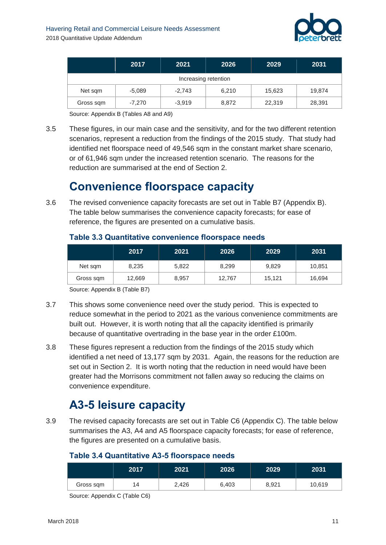2018 Quantitative Update Addendum



|                      | 2017     | 2021     | 2026  | 2029   | 2031   |  |  |
|----------------------|----------|----------|-------|--------|--------|--|--|
| Increasing retention |          |          |       |        |        |  |  |
| Net sqm              | $-5,089$ | $-2,743$ | 6,210 | 15,623 | 19,874 |  |  |
| Gross sqm            | $-7.270$ | $-3,919$ | 8,872 | 22,319 | 28,391 |  |  |

Source: Appendix B (Tables A8 and A9)

 3.5 These figures, in our main case and the sensitivity, and for the two different retention scenarios, represent a reduction from the findings of the 2015 study. That study had identified net floorspace need of 49,546 sqm in the constant market share scenario, or of 61,946 sqm under the increased retention scenario. The reasons for the reduction are summarised at the end of Section 2.

## Convenience floorspace capacity

<span id="page-14-0"></span> 3.6 The revised convenience capacity forecasts are set out in Table B7 (Appendix B). The table below summarises the convenience capacity forecasts; for ease of reference, the figures are presented on a cumulative basis.

#### <span id="page-14-2"></span>Table 3.3 Quantitative convenience floorspace needs

|           | 2017   | 2021  | 2026   | 2029   | 2031   |
|-----------|--------|-------|--------|--------|--------|
| Net sqm   | 8,235  | 5.822 | 8,299  | 9.829  | 10,851 |
| Gross sqm | 12,669 | 8,957 | 12.767 | 15.121 | 16,694 |

Source: Appendix B (Table B7)

- 3.7 This shows some convenience need over the study period. This is expected to reduce somewhat in the period to 2021 as the various convenience commitments are built out. However, it is worth noting that all the capacity identified is primarily because of quantitative overtrading in the base year in the order £100m.
- 3.8 These figures represent a reduction from the findings of the 2015 study which identified a net need of 13,177 sqm by 2031. Again, the reasons for the reduction are set out in Section 2. It is worth noting that the reduction in need would have been greater had the Morrisons commitment not fallen away so reducing the claims on convenience expenditure.

## A3-5 leisure capacity

<span id="page-14-1"></span> 3.9 The revised capacity forecasts are set out in Table C6 (Appendix C). The table below summarises the A3, A4 and A5 floorspace capacity forecasts; for ease of reference, the figures are presented on a cumulative basis.

#### <span id="page-14-3"></span>Table 3.4 Quantitative A3-5 floorspace needs

|           | 2017 | 2021  | 2026  | 2029  | 2031   |
|-----------|------|-------|-------|-------|--------|
| Gross sqm | 14   | 2,426 | 6,403 | 8,921 | 10,619 |

Source: Appendix C (Table C6)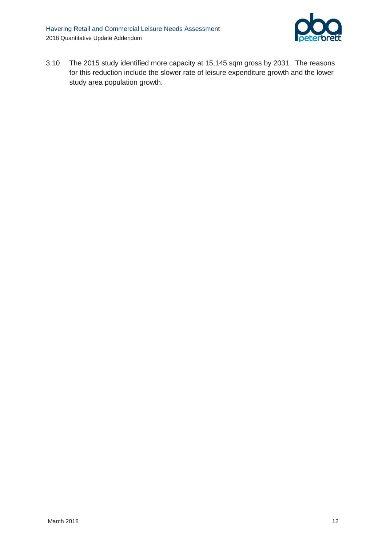

 3.10 The 2015 study identified more capacity at 15,145 sqm gross by 2031. The reasons for this reduction include the slower rate of leisure expenditure growth and the lower study area population growth.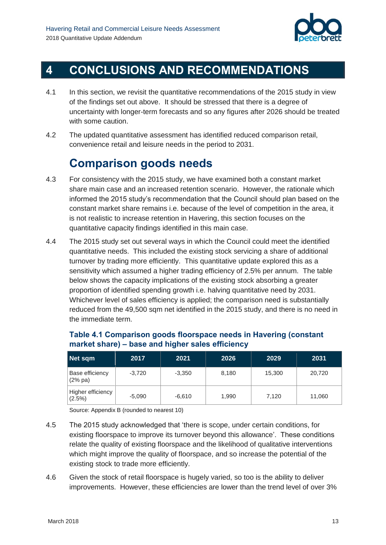

## <span id="page-16-0"></span>4 CONCLUSIONS AND RECOMMENDATIONS

- 4.1 In this section, we revisit the quantitative recommendations of the 2015 study in view of the findings set out above. It should be stressed that there is a degree of uncertainty with longer-term forecasts and so any figures after 2026 should be treated with some caution.
- <span id="page-16-1"></span> 4.2 The updated quantitative assessment has identified reduced comparison retail, convenience retail and leisure needs in the period to 2031.

## Comparison goods needs

- 4.3 For consistency with the 2015 study, we have examined both a constant market share main case and an increased retention scenario. However, the rationale which informed the 2015 study's recommendation that the Council should plan based on the constant market share remains i.e. because of the level of competition in the area, it is not realistic to increase retention in Havering, this section focuses on the quantitative capacity findings identified in this main case.
- 4.4 The 2015 study set out several ways in which the Council could meet the identified quantitative needs. This included the existing stock servicing a share of additional turnover by trading more efficiently. This quantitative update explored this as a sensitivity which assumed a higher trading efficiency of 2.5% per annum. The table below shows the capacity implications of the existing stock absorbing a greater proportion of identified spending growth i.e. halving quantitative need by 2031. Whichever level of sales efficiency is applied; the comparison need is substantially reduced from the 49,500 sqm net identified in the 2015 study, and there is no need in the immediate term.

| Net sqm                      | 2017     | 2021     | 2026  | 2029   | 2031   |
|------------------------------|----------|----------|-------|--------|--------|
| Base efficiency<br>$(2%$ pa) | $-3,720$ | $-3,350$ | 8,180 | 15,300 | 20,720 |
| Higher efficiency<br>(2.5%)  | $-5,090$ | $-6.610$ | 1,990 | 7,120  | 11,060 |

#### <span id="page-16-2"></span>Table 4.1 Comparison goods floorspace needs in Havering (constant market share) – base and higher sales efficiency

Source: Appendix B (rounded to nearest 10)

- 4.5 The 2015 study acknowledged that 'there is scope, under certain conditions, for existing floorspace to improve its turnover beyond this allowance'. These conditions relate the quality of existing floorspace and the likelihood of qualitative interventions which might improve the quality of floorspace, and so increase the potential of the existing stock to trade more efficiently.
- 4.6 Given the stock of retail floorspace is hugely varied, so too is the ability to deliver improvements. However, these efficiencies are lower than the trend level of over 3%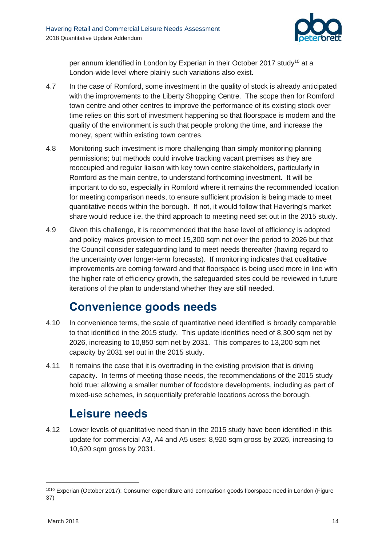

per annum identified in London by Experian in their October 2017 study<sup>10</sup> at a London-wide level where plainly such variations also exist.

- 4.7 In the case of Romford, some investment in the quality of stock is already anticipated with the improvements to the Liberty Shopping Centre. The scope then for Romford town centre and other centres to improve the performance of its existing stock over time relies on this sort of investment happening so that floorspace is modern and the quality of the environment is such that people prolong the time, and increase the money, spent within existing town centres.
- 4.8 Monitoring such investment is more challenging than simply monitoring planning permissions; but methods could involve tracking vacant premises as they are reoccupied and regular liaison with key town centre stakeholders, particularly in Romford as the main centre, to understand forthcoming investment. It will be important to do so, especially in Romford where it remains the recommended location for meeting comparison needs, to ensure sufficient provision is being made to meet quantitative needs within the borough. If not, it would follow that Havering's market share would reduce i.e. the third approach to meeting need set out in the 2015 study.
- 4.9 Given this challenge, it is recommended that the base level of efficiency is adopted and policy makes provision to meet 15,300 sqm net over the period to 2026 but that the Council consider safeguarding land to meet needs thereafter (having regard to the uncertainty over longer-term forecasts). If monitoring indicates that qualitative improvements are coming forward and that floorspace is being used more in line with the higher rate of efficiency growth, the safeguarded sites could be reviewed in future iterations of the plan to understand whether they are still needed.

## Convenience goods needs

- <span id="page-17-0"></span> 4.10 In convenience terms, the scale of quantitative need identified is broadly comparable to that identified in the 2015 study. This update identifies need of 8,300 sqm net by 2026, increasing to 10,850 sqm net by 2031. This compares to 13,200 sqm net capacity by 2031 set out in the 2015 study.
- 4.11 It remains the case that it is overtrading in the existing provision that is driving capacity. In terms of meeting those needs, the recommendations of the 2015 study hold true: allowing a smaller number of foodstore developments, including as part of mixed-use schemes, in sequentially preferable locations across the borough.

## Leisure needs

<span id="page-17-1"></span> 4.12 Lower levels of quantitative need than in the 2015 study have been identified in this update for commercial A3, A4 and A5 uses: 8,920 sqm gross by 2026, increasing to 10,620 sqm gross by 2031.

l

<sup>&</sup>lt;sup>1010</sup> Experian (October 2017): Consumer expenditure and comparison goods floorspace need in London (Figure 37)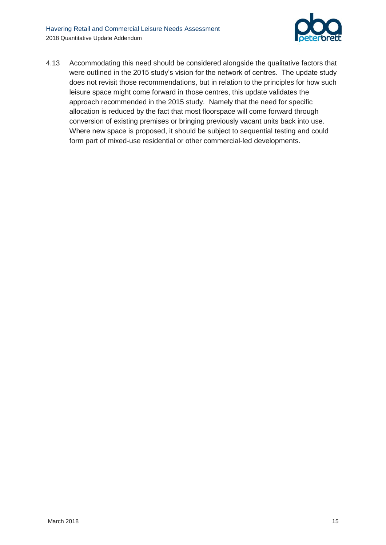

 4.13 Accommodating this need should be considered alongside the qualitative factors that were outlined in the 2015 study's vision for the network of centres. The update study does not revisit those recommendations, but in relation to the principles for how such leisure space might come forward in those centres, this update validates the approach recommended in the 2015 study. Namely that the need for specific allocation is reduced by the fact that most floorspace will come forward through conversion of existing premises or bringing previously vacant units back into use. Where new space is proposed, it should be subject to sequential testing and could form part of mixed-use residential or other commercial-led developments.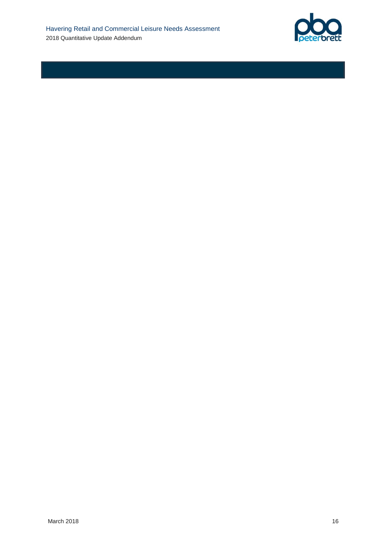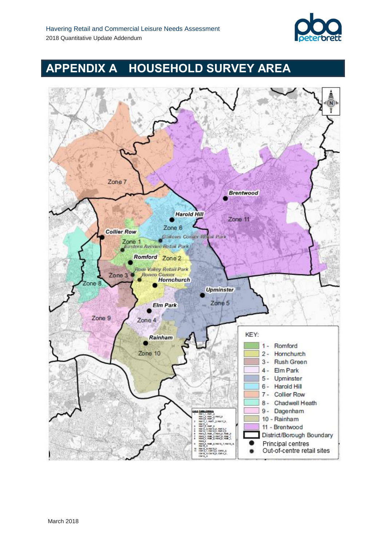

## APPENDIX A HOUSEHOLD SURVEY AREA

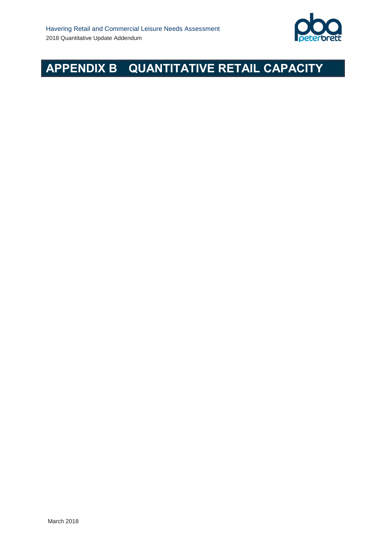

# APPENDIX B QUANTITATIVE RETAIL CAPACITY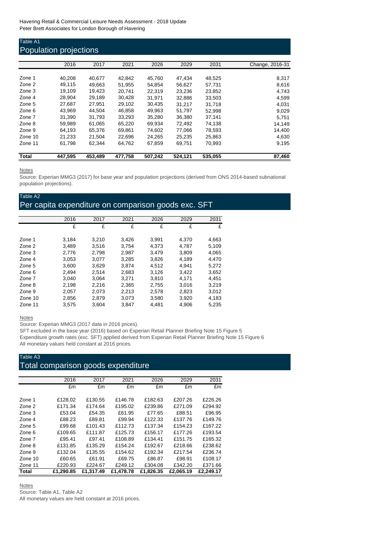| Table A1     | <b>Population projections</b> |         |         |         |         |         |                 |
|--------------|-------------------------------|---------|---------|---------|---------|---------|-----------------|
|              | 2016                          | 2017    | 2021    | 2026    | 2029    | 2031    | Change, 2016-31 |
| Zone 1       | 40,208                        | 40,677  | 42,842  | 45,760  | 47,434  | 48,525  | 8,317           |
| Zone 2       | 49,115                        | 49,663  | 51,955  | 54,854  | 56,627  | 57,731  | 8,616           |
| Zone 3       | 19,109                        | 19,423  | 20,741  | 22,319  | 23,236  | 23,852  | 4,743           |
| Zone 4       | 28,904                        | 29,189  | 30,428  | 31,971  | 32,886  | 33,503  | 4,599           |
| Zone 5       | 27,687                        | 27.951  | 29,102  | 30,435  | 31,217  | 31,718  | 4,031           |
| Zone 6       | 43.969                        | 44.504  | 46,858  | 49,963  | 51,797  | 52,998  | 9,029           |
| Zone 7       | 31,390                        | 31,793  | 33,293  | 35,280  | 36,380  | 37,141  | 5,751           |
| Zone 8       | 59,989                        | 61,065  | 65,220  | 69,934  | 72,492  | 74,138  | 14,149          |
| Zone 9       | 64,193                        | 65,376  | 69,861  | 74,602  | 77,066  | 78,593  | 14,400          |
| Zone 10      | 21,233                        | 21,504  | 22,696  | 24,265  | 25,235  | 25,863  | 4,630           |
| Zone 11      | 61,798                        | 62,344  | 64,762  | 67,859  | 69,751  | 70,993  | 9,195           |
| <b>Total</b> | 447,595                       | 453,489 | 477,758 | 507,242 | 524,121 | 535.055 | 87,460          |

#### **Notes**

 Source: Experian MMG3 (2017) for base year and population projections (derived from ONS 2014-based subnational population projections).

#### Per capita expenditure on comparison goods exc. SFT Table A2

|         | 2016  | 2017  | 2021  | 2026  | 2029  | 2031  |
|---------|-------|-------|-------|-------|-------|-------|
|         | £     | £     | £     | £     | £     | £     |
|         |       |       |       |       |       |       |
| Zone 1  | 3.184 | 3.210 | 3.426 | 3.991 | 4.370 | 4,663 |
| Zone 2  | 3,489 | 3,516 | 3,754 | 4,373 | 4,787 | 5,109 |
| Zone 3  | 2.776 | 2,798 | 2.987 | 3.479 | 3.809 | 4,065 |
| Zone 4  | 3,053 | 3,077 | 3.285 | 3,826 | 4.189 | 4.470 |
| Zone 5  | 3,600 | 3,629 | 3.874 | 4,512 | 4.941 | 5.272 |
| Zone 6  | 2.494 | 2,514 | 2.683 | 3,126 | 3.422 | 3,652 |
| Zone 7  | 3.040 | 3,064 | 3,271 | 3,810 | 4.171 | 4.451 |
| Zone 8  | 2.198 | 2,216 | 2.365 | 2,755 | 3.016 | 3.219 |
| Zone 9  | 2,057 | 2,073 | 2,213 | 2,578 | 2,823 | 3,012 |
| Zone 10 | 2,856 | 2.879 | 3.073 | 3,580 | 3,920 | 4,183 |
| Zone 11 | 3,575 | 3,604 | 3,847 | 4.481 | 4,906 | 5,235 |

#### **Notes**

Table A3

Source: Experian MMG3 (2017 data in 2016 prices).

SFT excluded in the base year (2016) based on Experian Retail Planner Briefing Note 15 Figure 5

 Expenditure growth rates (exc. SFT) applied derived from Experian Retail Planner Briefing Note 15 Figure 6 All monetary values held constant at 2016 prices.

#### Total comparison goods expenditure

|              | 2016      | 2017      | 2021      | 2026      | 2029      | 2031      |
|--------------|-----------|-----------|-----------|-----------|-----------|-----------|
|              | £m        | £m        | £m        | £m        | £m        | £m        |
|              |           |           |           |           |           |           |
| Zone 1       | £128.02   | £130.55   | £146.78   | £182.63   | £207.26   | £226.26   |
| Zone 2       | £171.34   | £174.64   | £195.02   | £239.86   | £271.09   | £294.92   |
| Zone 3       | £53.04    | £54.35    | £61.95    | £77.65    | £88.51    | £96.95    |
| Zone 4       | £88.23    | £89.81    | £99.94    | £122.33   | £137.76   | £149.76   |
| Zone 5       | £99.68    | £101.43   | £112.73   | £137.34   | £154.23   | £167.22   |
| Zone 6       | £109.65   | £111.87   | £125.73   | £156.17   | £177.26   | £193.54   |
| Zone 7       | £95.41    | £97.41    | £108.89   | £134.41   | £151.75   | £165.32   |
| Zone 8       | £131.85   | £135.29   | £154.24   | £192.67   | £218.66   | £238.62   |
| Zone 9       | £132.04   | £135.55   | £154.62   | £192.34   | £217.54   | £236.74   |
| Zone 10      | £60.65    | £61.91    | £69.75    | £86.87    | £98.91    | £108.17   |
| Zone 11      | £220.93   | £224.67   | £249.12   | £304.08   | £342.20   | £371.66   |
| <b>Total</b> | £1.290.85 | £1.317.49 | £1.478.78 | £1.826.35 | £2.065.19 | £2,249.17 |

**Notes** 

Source: Table A1, Table A2

All monetary values are held constant at 2016 prices.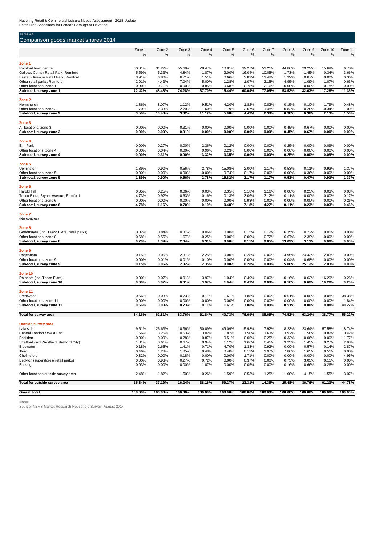| Table A4                                             |                |                |                |                |                |                |                |                |                |                |                 |
|------------------------------------------------------|----------------|----------------|----------------|----------------|----------------|----------------|----------------|----------------|----------------|----------------|-----------------|
| Comparison goods market shares 2014                  |                |                |                |                |                |                |                |                |                |                |                 |
|                                                      | Zone 1         | Zone 2         | Zone 3         | Zone 4         |                |                | Zone 7         | Zone 8         | Zone 9         | Zone 10        | Zone 11         |
|                                                      | %              | %              | $\%$           | %              | Zone 5<br>$\%$ | Zone 6<br>$\%$ | $\%$           | %              | %              | %              | %               |
|                                                      |                |                |                |                |                |                |                |                |                |                |                 |
| Zone 1                                               |                |                |                |                |                |                |                |                |                |                |                 |
| Romford town centre                                  | 60.01%         | 31.22%         | 55.69%         | 28.47%         | 10.81%         | 39.27%         | 51.21%         | 44.86%         | 29.22%         | 15.69%         | 6.70%           |
| Gallows Corner Retail Park, Romford                  | 5.59%          | 5.33%          | 4.84%          | 1.87%          | 2.00%          | 16.04%         | 10.05%         | 1.73%          | 1.45%          | 0.34%          | 3.66%           |
| Eastern Avenue Retail Park, Romford                  | 3.91%          | 6.80%          | 6.71%          | 1.51%          | 0.66%          | 2.89%          | 11.48%         | 1.99%          | 0.87%          | 0.00%          | 0.36%           |
| Other retail parks, Romford                          | 2.01%          | 4.43%          | 7.04%          | 5.00%          | 1.28%          | 1.07%          | 2.15%          | 4.95%          | 1.09%          | 1.07%          | 0.63%           |
| Other locations, zone 1                              | 0.90%          | 0.71%          | 0.00%          | 0.85%          | 0.68%          | 0.78%          | 2.16%          | 0.00%          | 0.00%          | 0.18%          | 0.00%           |
| Sub-total, survey zone 1                             | 72.42%         | 48.48%         | 74.28%         | 37.70%         | 15.44%         | 60.04%         | 77.05%         | 53.52%         | 32.63%         | 17.28%         | 11.35%          |
| Zone 2                                               |                |                |                |                |                |                |                |                |                |                |                 |
| Hornchurch                                           | 1.86%          | 8.07%          | 1.12%          | 9.51%          | 4.20%          | 1.82%          | 0.82%          | 0.15%          | 0.10%          | 1.79%          | 0.48%           |
| Other locations, zone 2                              | 1.70%          | 2.33%          | 2.20%          | 1.60%          | 1.79%          | 2.67%          | 1.48%          | 0.82%          | 0.28%          | 0.34%          | 1.09%           |
| Sub-total, survey zone 2                             | 3.56%          | 10.40%         | 3.32%          | 11.12%         | 5.98%          | 4.49%          | 2.30%          | 0.98%          | 0.38%          | 2.13%          | 1.56%           |
|                                                      |                |                |                |                |                |                |                |                |                |                |                 |
| Zone 3                                               |                |                |                |                |                |                |                |                |                |                |                 |
| All locations, zone 3                                | 0.00%          | 0.00%          | 0.31%          | 0.00%          | 0.00%          | 0.00%          | 0.00%          | 0.45%          | 0.67%          | 0.00%          | 0.00%           |
| Sub-total, survey zone 3                             | 0.00%          | $0.00\%$       | 0.31%          | 0.00%          | 0.00%          | 0.00%          | 0.00%          | 0.45%          | 0.67%          | 0.00%          | 0.00%           |
|                                                      |                |                |                |                |                |                |                |                |                |                |                 |
| Zone 4                                               |                |                |                |                |                |                |                |                |                |                |                 |
| Elm Park                                             | 0.00%          | 0.27%          | 0.00%          | 2.36%          | 0.12%          | 0.00%          | 0.00%          | 0.25%          | 0.00%          | 0.09%          | 0.00%           |
| Other locations, zone 4                              | 0.00%          | 0.04%          | 0.00%          | 0.96%          | 0.23%          | 0.00%          | 0.00%          | 0.00%          | 0.00%          | 0.00%          | 0.00%           |
| Sub-total, survey zone 4                             | 0.00%          | 0.31%          | 0.00%          | 3.32%          | 0.35%          | 0.00%          | 0.00%          | 0.25%          | $0.00\%$       | 0.09%          | 0.00%           |
| Zone 5                                               |                |                |                |                |                |                |                |                |                |                |                 |
| Upminster                                            | 1.89%          | 0.90%          | 0.56%          | 2.78%          | 15.08%         | 2.00%          | 1.17%          | 0.53%          | 0.11%          | 0.93%          | 1.37%           |
| Other locations, zone 5                              | 0.00%          | $0.00\%$       | 0.00%          | 0.00%          | 0.74%          | 0.17%          | 0.00%          | 0.00%          | 0.36%          | 0.00%          | 0.00%           |
| Sub-total, survey zone 5                             | 1.89%          | 0.90%          | 0.56%          | 2.78%          | 15.82%         | 2.17%          | 1.17%          | 0.53%          | 0.47%          | 0.93%          | 1.37%           |
|                                                      |                |                |                |                |                |                |                |                |                |                |                 |
| Zone 6                                               |                |                |                |                |                |                |                |                |                |                |                 |
| Harold Hill                                          | 0.05%          | 0.25%          | 0.06%          | 0.03%          | 0.35%          | 3.18%          | 1.16%          | 0.00%          | 0.23%          | 0.03%          | 0.03%           |
| Tesco Extra, Bryant Avenue, Romford                  | 4.73%          | 0.92%          | 0.63%          | 0.16%          | 0.13%          | 3.06%          | 3.12%          | 0.11%          | 0.00%          | 0.00%          | 0.17%           |
| Other locations, zone 6                              | 0.00%          | 0.00%          | 0.00%          | 0.00%          | 0.00%          | 0.93%          | 0.00%          | 0.00%          | 0.00%          | 0.00%          | 0.26%           |
| Sub-total, survey zone 6                             | 4.78%          | 1.16%          | 0.70%          | 0.19%          | 0.48%          | 7.18%          | 4.27%          | 0.11%          | 0.23%          | 0.03%          | 0.46%           |
|                                                      |                |                |                |                |                |                |                |                |                |                |                 |
| Zone 7                                               |                |                |                |                |                |                |                |                |                |                |                 |
| (No centres)                                         |                |                |                |                |                |                |                |                |                |                |                 |
|                                                      |                |                |                |                |                |                |                |                |                |                |                 |
| Zone 8<br>Goodmayes (inc. Tesco Extra, retail parks) | 0.02%          | 0.84%          | 0.37%          | 0.06%          | 0.00%          | 0.15%          | 0.12%          | 6.35%          | 0.72%          | 0.00%          | 0.00%           |
| Other locations, zone 8                              | 0.68%          | 0.55%          | 1.67%          | 0.25%          | 0.00%          | 0.00%          | 0.72%          | 6.67%          | 2.39%          | 0.00%          | 0.00%           |
| Sub-total, survey zone 8                             | 0.70%          | 1.39%          | 2.04%          | 0.31%          | 0.00%          | 0.15%          | 0.85%          | 13.02%         | 3.11%          | 0.00%          | 0.00%           |
|                                                      |                |                |                |                |                |                |                |                |                |                |                 |
| Zone 9                                               |                |                |                |                |                |                |                |                |                |                |                 |
| Dagenham                                             | 0.15%          | 0.05%          | 2.31%          | 2.25%          | 0.00%          | 0.28%          | 0.00%          | 4.95%          | 24.43%         | 2.03%          | 0.00%           |
| Other locations, zone 9                              | 0.00%          | 0.01%          | 0.01%          | 0.10%          | 0.00%          | 0.00%          | 0.00%          | 0.04%          | 0.68%          | 0.00%          | 0.00%           |
| Sub-total, survey zone 9                             | 0.15%          | 0.06%          | 2.32%          | 2.35%          | 0.00%          | 0.28%          | 0.00%          | 5.00%          | 25.12%         | 2.03%          | 0.00%           |
|                                                      |                |                |                |                |                |                |                |                |                |                |                 |
| Zone 10                                              |                |                |                |                |                |                |                |                |                |                |                 |
| Rainham (inc. Tesco Extra)                           | 0.00%          | 0.07%          | 0.01%          | 3.97%          | 1.04%          | 0.49%          | 0.00%          | 0.16%          | 0.62%          | 16.20%         | 0.26%           |
| Sub-total, survey zone 10                            | 0.00%          | 0.07%          | 0.01%          | 3.97%          | 1.04%          | 0.49%          | 0.00%          | 0.16%          | 0.62%          | 16.20%         | 0.26%           |
|                                                      |                |                |                |                |                |                |                |                |                |                |                 |
| Zone 11                                              |                |                |                |                |                |                |                |                |                |                |                 |
| Brentwood<br>Other locations, zone 11                | 0.66%<br>0.00% | 0.03%<br>0.00% | 0.23%<br>0.00% | 0.11%<br>0.00% | 1.61%<br>0.00% | 1.88%<br>0.00% | 0.00%<br>0.00% | 0.51%<br>0.00% | 0.00%<br>0.00% | 0.08%<br>0.00% | 38.38%<br>1.84% |
| Sub-total, survey zone 11                            | 0.66%          | 0.03%          | 0.23%          | 0.11%          | 1.61%          | 1.88%          | $0.00\%$       | 0.51%          | $0.00\%$       | 0.08%          | 40.22%          |
|                                                      |                |                |                |                |                |                |                |                |                |                |                 |
| Total for survey area                                | 84.16%         | 62.81%         | 83.76%         | 61.84%         | 40.73%         | 76.69%         | 85.65%         | 74.52%         | 63.24%         | 38.77%         | 55.22%          |
|                                                      |                |                |                |                |                |                |                |                |                |                |                 |
| <b>Outside survey area</b>                           |                |                |                |                |                |                |                |                |                |                |                 |
| Lakeside                                             | 9.51%          | 26.63%         | 10.36%         | 30.09%         | 49.09%         | 15.93%         | 7.92%          | 8.23%          | 23.64%         | 57.58%         | 18.74%          |
| Central London / West End                            | 1.56%          | 3.26%          | 0.53%          | 3.02%          | 1.87%          | 1.50%          | 1.63%          | 3.92%          | 1.58%          | 0.82%          | 0.42%           |
| Basildon                                             | 0.00%          | 0.00%          | 0.28%          | 0.87%          | 0.51%          | 0.05%          | 0.25%          | 0.33%          | 0.06%          | 0.00%          | 11.77%          |
| Stratford (incl Westfield Stratford City)            | 1.31%          | 0.61%          | 0.67%          | 0.94%          | 1.12%          | 1.66%          | 0.41%          | 3.25%          | 1.43%          | 0.27%          | 2.98%           |
| Bluewater                                            | 0.18%          | 2.65%          | 1.41%          | 0.71%          | 4.70%          | 1.38%          | 0.92%          | 0.00%          | 0.57%          | 0.14%          | 2.87%           |
| llford                                               | 0.46%          | 1.28%          | 1.05%          | 0.48%          | 0.40%          | 0.12%          | 1.97%          | 7.86%          | 1.65%          | 0.51%          | 0.00%           |
| Chelmsford                                           | 0.32%          | 0.00%          | 0.18%          | 0.00%          | 0.00%          | 1.71%          | 0.00%          | 0.00%          | 0.00%          | 0.00%          | 4.95%           |
| Beckton (superstores/ retail parks)                  | 0.00%          | 0.93%          | 0.27%          | 0.72%          | 0.00%          | 0.37%          | 0.00%          | 0.73%          | 3.03%          | 0.11%          | 0.00%           |
| Barking                                              | 0.03%          | 0.00%          | 0.00%          | 1.07%          | 0.00%          | 0.05%          | 0.00%          | 0.16%          | 0.66%          | 0.26%          | 0.00%           |
| Other locations outside survey area                  | 2.48%          | 1.82%          | 1.50%          | 0.26%          | 1.59%          | 0.53%          | 1.25%          | 1.00%          | 4.15%          | 1.55%          | 3.07%           |
|                                                      |                |                |                |                |                |                |                |                |                |                |                 |
| Total for outside survey area                        | 15.84%         | 37.19%         | 16.24%         | 38.16%         | 59.27%         | 23.31%         | 14.35%         | 25.48%         | 36.76%         | 61.23%         | 44.78%          |
|                                                      |                |                |                |                |                |                |                |                |                |                |                 |
| <b>Overall total</b>                                 | 100.00%        | 100.00%        | 100.00%        | 100.00%        | 100.00%        | 100.00%        | 100.00%        | 100.00%        | 100.00%        | 100.00%        | 100.00%         |
|                                                      |                |                |                |                |                |                |                |                |                |                |                 |

<u>Notes</u><br>Source: NEMS Market Research Household Survey, August 2014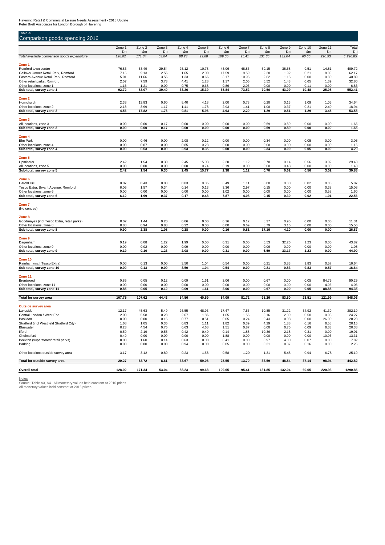| Table A5                                                                   |              |               |              |              |               |               |               |               |               |               |               |                |
|----------------------------------------------------------------------------|--------------|---------------|--------------|--------------|---------------|---------------|---------------|---------------|---------------|---------------|---------------|----------------|
| Comparison goods spending 2016                                             |              |               |              |              |               |               |               |               |               |               |               |                |
|                                                                            |              |               |              |              |               |               |               |               |               |               |               |                |
|                                                                            | Zone 1<br>£m | Zone 2<br>£m  | Zone 3<br>£m | Zone 4<br>£m | Zone 5<br>£m  | Zone 6<br>£m  | Zone 7<br>£m  | Zone 8<br>£m  | Zone 9<br>£m  | Zone 10<br>£m | Zone 11<br>£m | Total<br>£m    |
| Total available comparison goods expenditure                               | 128.02       | 171.34        | 53.04        | 88.23        | 99.68         | 109.65        | 95.41         | 131.85        | 132.04        | 60.65         | 220.93        | 1,290.85       |
|                                                                            |              |               |              |              |               |               |               |               |               |               |               |                |
| Zone 1                                                                     |              |               |              |              |               |               |               |               |               |               |               |                |
| Romford town centre                                                        | 76.83        | 53.49         | 29.54        | 25.12        | 10.78         | 43.06         | 48.86         | 59.15         | 38.58         | 9.51          | 14.81         | 409.72         |
| Gallows Corner Retail Park, Romford<br>Eastern Avenue Retail Park, Romford | 7.15<br>5.01 | 9.13<br>11.66 | 2.56<br>3.56 | 1.65<br>1.33 | 2.00<br>0.66  | 17.59<br>3.17 | 9.59<br>10.95 | 2.28<br>2.62  | 1.92<br>1.15  | 0.21<br>0.00  | 8.09<br>0.80  | 62.17<br>40.89 |
| Other retail parks, Romford                                                | 2.57         | 7.59          | 3.73         | 4.41         | 1.28          | 1.17          | 2.05          | 6.52          | 1.43          | 0.65          | 1.39          | 32.80          |
| Other locations, zone 1                                                    | 1.16         | 1.21          | 0.00         | 0.75         | 0.68          | 0.86          | 2.06          | 0.00          | 0.00          | 0.11          | 0.00          | 6.83           |
| Sub-total, survey zone 1                                                   | 92.72        | 83.07         | 39.40        | 33.26        | 15.39         | 65.84         | 73.52         | 70.56         | 43.09         | 10.48         | 25.08         | 552.41         |
|                                                                            |              |               |              |              |               |               |               |               |               |               |               |                |
| Zone 2                                                                     |              |               |              |              |               |               |               |               |               |               |               |                |
| Hornchurch<br>Other locations, zone 2                                      | 2.38<br>2.18 | 13.83<br>3.99 | 0.60<br>1.17 | 8.40<br>1.41 | 4.18<br>1.78  | 2.00<br>2.93  | 0.78<br>1.41  | 0.20<br>1.08  | 0.13<br>0.37  | 1.09<br>0.21  | 1.05<br>2.40  | 34.64<br>18.94 |
| Sub-total, survey zone 2                                                   | 4.56         | 17.82         | 1.76         | 9.81         | 5.96          | 4.93          | 2.20          | 1.29          | 0.51          | 1.29          | 3.45          | 53.58          |
|                                                                            |              |               |              |              |               |               |               |               |               |               |               |                |
| Zone 3                                                                     |              |               |              |              |               |               |               |               |               |               |               |                |
| All locations, zone 3                                                      | 0.00         | 0.00          | 0.17         | 0.00         | 0.00          | 0.00          | 0.00          | 0.59          | 0.89          | 0.00          | 0.00          | 1.65           |
| Sub-total, survey zone 3                                                   | 0.00         | 0.00          | 0.17         | 0.00         | 0.00          | 0.00          | 0.00          | 0.59          | 0.89          | 0.00          | 0.00          | 1.65           |
| Zone 4                                                                     |              |               |              |              |               |               |               |               |               |               |               |                |
| Elm Park                                                                   | 0.00         | 0.46          | 0.00         | 2.08         | 0.12          | 0.00          | 0.00          | 0.34          | 0.00          | 0.05          | 0.00          | 3.05           |
| Other locations, zone 4                                                    | 0.00         | 0.07          | 0.00         | 0.85         | 0.23          | 0.00          | 0.00          | 0.00          | 0.00          | 0.00          | 0.00          | 1.15           |
| Sub-total, survey zone 4                                                   | 0.00         | 0.53          | 0.00         | 2.93         | 0.35          | 0.00          | 0.00          | 0.34          | 0.00          | 0.05          | 0.00          | 4.20           |
|                                                                            |              |               |              |              |               |               |               |               |               |               |               |                |
| Zone 5                                                                     |              |               |              |              |               |               |               |               |               |               |               |                |
| Upminster<br>All locations, zone 5                                         | 2.42<br>0.00 | 1.54<br>0.00  | 0.30<br>0.00 | 2.45<br>0.00 | 15.03<br>0.74 | 2.20<br>0.19  | 1.12<br>0.00  | 0.70<br>0.00  | 0.14<br>0.48  | 0.56<br>0.00  | 3.02<br>0.00  | 29.48<br>1.40  |
| Sub-total, survey zone 5                                                   | 2.42         | 1.54          | 0.30         | 2.45         | 15.77         | 2.38          | 1.12          | 0.70          | 0.62          | 0.56          | 3.02          | 30.88          |
|                                                                            |              |               |              |              |               |               |               |               |               |               |               |                |
| Zone 6                                                                     |              |               |              |              |               |               |               |               |               |               |               |                |
| Harold Hill                                                                | 0.07         | 0.43          | 0.03         | 0.03         | 0.35          | 3.49          | 1.11          | 0.00          | 0.30          | 0.02          | 0.06          | 5.87           |
| Tesco Extra, Bryant Avenue, Romford                                        | 6.05         | 1.57          | 0.34         | 0.14         | 0.13          | 3.36          | 2.97          | 0.15          | 0.00          | 0.00          | 0.38          | 15.08          |
| Other locations, zone 6<br>Sub-total, survey zone 6                        | 0.00<br>6.12 | 0.00<br>1.99  | 0.00<br>0.37 | 0.00<br>0.17 | 0.00<br>0.48  | 1.02<br>7.87  | 0.00<br>4.08  | 0.00<br>0.15  | 0.00<br>0.30  | 0.00<br>0.02  | 0.58<br>1.01  | 1.60<br>22.56  |
|                                                                            |              |               |              |              |               |               |               |               |               |               |               |                |
| Zone 7                                                                     |              |               |              |              |               |               |               |               |               |               |               |                |
| (No centres)                                                               |              |               |              |              |               |               |               |               |               |               |               |                |
|                                                                            |              |               |              |              |               |               |               |               |               |               |               |                |
| Zone 8                                                                     |              |               |              |              |               |               |               |               |               |               |               |                |
| Goodmayes (incl Tesco Extra, retail parks)<br>Other locations, zone 8      | 0.02<br>0.88 | 1.44<br>0.94  | 0.20<br>0.88 | 0.06<br>0.22 | 0.00<br>0.00  | 0.16<br>0.00  | 0.12<br>0.69  | 8.37<br>8.79  | 0.95<br>3.16  | 0.00<br>0.00  | 0.00<br>0.00  | 11.31<br>15.56 |
| Sub-total, survey zone 8                                                   | 0.90         | 2.38          | 1.08         | 0.28         | 0.00          | 0.16          | 0.81          | 17.16         | 4.10          | 0.00          | 0.00          | 26.87          |
|                                                                            |              |               |              |              |               |               |               |               |               |               |               |                |
| Zone 9                                                                     |              |               |              |              |               |               |               |               |               |               |               |                |
| Dagenham                                                                   | 0.19         | 0.08          | 1.22         | 1.99         | 0.00          | 0.31          | 0.00          | 6.53          | 32.26         | 1.23          | 0.00          | 43.82          |
| Other locations, zone 9                                                    | 0.00<br>0.19 | 0.02<br>0.10  | 0.00<br>1.23 | 0.09<br>2.08 | 0.00<br>0.00  | 0.00<br>0.31  | 0.00<br>0.00  | 0.06<br>6.59  | 0.90<br>33.17 | 0.00<br>1.23  | 0.00<br>0.00  | 1.08<br>44.90  |
| Sub-total, survey zone 9                                                   |              |               |              |              |               |               |               |               |               |               |               |                |
| Zone 10                                                                    |              |               |              |              |               |               |               |               |               |               |               |                |
| Rainham (incl. Tesco Extra)                                                | 0.00         | 0.13          | 0.00         | 3.50         | 1.04          | 0.54          | 0.00          | 0.21          | 0.83          | 9.83          | 0.57          | 16.64          |
| Sub-total, survey zone 10                                                  | 0.00         | 0.13          | 0.00         | 3.50         | 1.04          | 0.54          | 0.00          | 0.21          | 0.83          | 9.83          | 0.57          | 16.64          |
|                                                                            |              |               |              |              |               |               |               |               |               |               |               |                |
| Zone 11<br>Brentwood                                                       | 0.85         | 0.05          | 0.12         | 0.09         | 1.61          | 2.06          | 0.00          | 0.67          | 0.00          | 0.05          | 84.79         | 90.29          |
| Other locations, zone 11                                                   | 0.00         | 0.00          | 0.00         | 0.00         | 0.00          | 0.00          | 0.00          | 0.00          | 0.00          | 0.00          | 4.06          | 4.06           |
| Sub-total, survey zone 11                                                  | 0.85         | 0.05          | 0.12         | 0.09         | 1.61          | 2.06          | 0.00          | 0.67          | 0.00          | 0.05          | 88.85         | 94.35          |
|                                                                            |              |               |              |              |               |               |               |               |               |               |               |                |
| Total for survey area                                                      | 107.75       | 107.62        | 44.43        | 54.56        | 40.59         | 84.09         | 81.72         | 98.26         | 83.50         | 23.51         | 121.99        | 848.03         |
| <b>Outside survey area</b>                                                 |              |               |              |              |               |               |               |               |               |               |               |                |
| Lakeside                                                                   | 12.17        | 45.63         | 5.49         | 26.55        | 48.93         | 17.47         | 7.56          | 10.85         | 31.22         | 34.92         | 41.39         | 282.19         |
| Central London / West End                                                  | 2.00         | 5.58          | 0.28         | 2.67         | 1.86          | 1.65          | 1.55          | 5.16          | 2.09          | 0.50          | 0.93          | 24.27          |
| Basildon                                                                   | 0.00         | 0.00          | 0.15         | 0.77         | 0.51          | 0.05          | 0.24          | 0.43          | 0.08          | 0.00          | 26.00         | 28.23          |
| Stratford (incl Westfield Stratford City)                                  | 1.68         | 1.05          | 0.35         | 0.83         | 1.11          | 1.82          | 0.39          | 4.29          | 1.88          | 0.16          | 6.58          | 20.15          |
| Bluewater                                                                  | 0.23         | 4.54          | 0.75         | 0.63         | 4.68          | 1.51          | 0.87          | 0.00          | 0.75          | 0.09          | 6.33          | 20.38          |
| llford<br>Chelmsford                                                       | 0.59<br>0.40 | 2.19<br>0.00  | 0.55<br>0.09 | 0.42<br>0.00 | 0.40<br>0.00  | 0.14<br>1.88  | 1.88<br>0.00  | 10.36<br>0.00 | 2.18<br>0.00  | 0.31<br>0.00  | 0.00<br>10.93 | 19.01<br>13.31 |
| Beckton (superstores/ retail parks)                                        | 0.00         | 1.60          | 0.14         | 0.63         | 0.00          | 0.41          | 0.00          | 0.97          | 4.00          | 0.07          | 0.00          | 7.82           |
| Barking                                                                    | 0.03         | 0.00          | 0.00         | 0.94         | 0.00          | 0.05          | 0.00          | 0.21          | 0.87          | 0.16          | 0.00          | 2.26           |
|                                                                            |              |               |              |              |               |               |               |               |               |               |               |                |
| Other locations outside survey area                                        | 3.17         | 3.12          | 0.80         | 0.23         | 1.58          | 0.58          | 1.20          | 1.31          | 5.48          | 0.94          | 6.78          | 25.19          |
| Total for outside survey area                                              | 20.27        | 63.72         | 8.61         | 33.67        | 59.08         | 25.55         | 13.70         | 33.59         | 48.54         | 37.14         | 98.94         | 442.82         |
|                                                                            |              |               |              |              |               |               |               |               |               |               |               |                |
| <b>Overall total</b>                                                       | 128.02       | 171.34        | 53.04        | 88.23        | 99.68         | 109.65        | 95.41         | 131.85        | 132.04        | 60.65         | 220.93        | 1290.85        |
|                                                                            |              |               |              |              |               |               |               |               |               |               |               |                |

Notes Source: Table A3, A4. All monetary values held constant at 2016 prices. All monetary values held constant at 2016 prices.

Havering Retail & Commercial Leisure Needs Assessment - 2018 Update Peter Brett Associates for London Borough of Havering

urce:<br>mone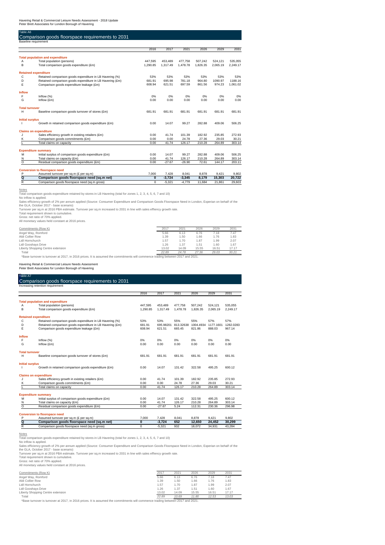| Table A6               |                                                           |          |          |          |          |          |          |
|------------------------|-----------------------------------------------------------|----------|----------|----------|----------|----------|----------|
|                        | Comparison goods floorspace requirements to 2031          |          |          |          |          |          |          |
|                        | Baseline requirement                                      |          |          |          |          |          |          |
|                        |                                                           |          |          |          |          |          |          |
|                        |                                                           | 2016     | 2017     | 2021     | 2026     | 2029     | 2031     |
|                        | <b>Total population and expenditure</b>                   |          |          |          |          |          |          |
| A                      | Total population (persons)                                | 447.595  | 453.489  | 477.758  | 507,242  | 524,121  | 535,055  |
| B                      | Total comparison goods expenditure (£m)                   | 1.290.85 | 1,317.49 | 1,478.78 | 1,826.35 | 2,065.19 | 2,249.17 |
|                        |                                                           |          |          |          |          |          |          |
|                        | <b>Retained expenditure</b>                               |          |          |          |          |          |          |
| C                      | Retained comparison goods expenditure in LB Havering (%)  | 53%      | 53%      | 53%      | 53%      | 53%      | 53%      |
| D                      | Retained comparison goods expenditure in LB Havering (£m) | 681.91   | 695.98   | 781.18   | 964.80   | 1090.97  | 1188.16  |
| E                      | Comparison goods expenditure leakage (£m)                 | 608.94   | 621.51   | 697.59   | 861.56   | 974.23   | 1,061.02 |
| <b>Inflow</b>          |                                                           |          |          |          |          |          |          |
| F                      | Inflow $(\%)$                                             | 0%       | 0%       | 0%       | 0%       | 0%       | 0%       |
| G                      | Inflow (£m)                                               | 0.00     | 0.00     | 0.00     | 0.00     | 0.00     | 0.00     |
| <b>Total turnover</b>  |                                                           |          |          |          |          |          |          |
| н                      | Baseline comparison goods turnover of stores (£m)         | 681.91   | 681.91   | 681.91   | 681.91   | 681.91   | 681.91   |
| <b>Initial surplus</b> |                                                           |          |          |          |          |          |          |
| п                      | Growth in retained comparison goods expenditure (£m)      | 0.00     | 14.07    | 99.27    | 282.88   | 409.06   | 506.25   |
|                        | <b>Claims on expenditure</b>                              |          |          |          |          |          |          |
| J                      | Sales efficiency growth in existing retailers (£m)        | 0.00     | 41.74    | 101.39   | 182.92   | 235.85   | 272.93   |
| κ                      | Comparison goods commitments (£m)                         | 0.00     | 0.00     | 24.78    | 27.36    | 29.03    | 30.21    |
| L                      | Total claims on capacity                                  | 0.00     | 41.74    | 126.17   | 210.28   | 264.89   | 303.14   |
|                        | <b>Expenditure summary</b>                                |          |          |          |          |          |          |
| М                      | Initial surplus of comparison goods expenditure (£m)      | 0.00     | 14.07    | 99.27    | 282.88   | 409.06   | 506.25   |
| N                      | Total claims on capacity (£m)                             | 0.00     | 41.74    | 126.17   | 210.28   | 264.89   | 303.14   |
| $\overline{\circ}$     | Residual comparison goods expenditure (£m)                | 0.00     | $-27.67$ | $-26.90$ | 72.61    | 144.17   | 203.11   |
|                        |                                                           |          |          |          |          |          |          |
|                        | <b>Conversion to floorspace need</b>                      |          |          |          |          |          |          |
| P                      | Assumed turnover per sq.m (£ per sq.m)                    | 7,000    | 7,428    | 8,041    | 8,878    | 9,421    | 9,802    |
| ō                      | Comparison goods floorspace need (sq.m net)               | $\bf{0}$ | $-3.724$ | $-3.345$ | 8.179    | 15.303   | 20.722   |

tal comparison<br>inflow is applie

Notes<br>Total comparison goods expenditure retained by stores in LB Havering (total for zones 1, 2, 3, 4, 5, 6, 7 and 10)<br>No inflow is applied.<br>Sales efficiency growth of 2% per annum applied (Source: Consumer Expenditure an

R Comparison goods floorspace need (sq.m gross) 0 -5,321 -4,779 11,684 21,861 29,603

es<br>Gl

per sq.m<br>uirement

Table A7

Gross: net ratio of 70% applied. All monetary values held constant at 2016 prices.

| Commitments (Row K)                                                                                                            | 2017  | 2021  | 2026  | 2029  | 2031  |
|--------------------------------------------------------------------------------------------------------------------------------|-------|-------|-------|-------|-------|
| Angel Way, Romford                                                                                                             | 5.66  | 6.13  | 6.76  | 7.18  | 7.47  |
| Aldi Collier Row                                                                                                               | 1.39  | 1.50  | 1.66  | 1.76  | 1.83  |
| Lidl Hornchurch                                                                                                                | 1.57  | 1.70  | 1.87  | 1.99  | 2.07  |
| Lidl Gooshays Drive                                                                                                            | 1.26  | 1.37  | 1.51  | 1.60  | 1.67  |
| Liberty Shopping Centre extension                                                                                              | 13.02 | 14.09 | 15.55 | 16.51 | 17.17 |
| Total                                                                                                                          | 22.89 | 24.78 | 27.36 | 29.03 | 30.21 |
| *Base turnover is turnover at 2017, in 2016 prices. It is assumed the commitments will commence trading between 2017 and 2021. |       |       |       |       |       |

Havering Retail & Commercial Leisure Needs Assessment Peter Brett Associates for London Borough of Havering

|                        | Comparison goods floorspace requirements to 2031          |          |           |           |           |           |           |
|------------------------|-----------------------------------------------------------|----------|-----------|-----------|-----------|-----------|-----------|
|                        | Increasing retention requirement                          |          |           |           |           |           |           |
|                        |                                                           | 2016     | 2017      | 2021      | 2026      | 2029      | 2031      |
|                        | <b>Total population and expenditure</b>                   |          |           |           |           |           |           |
| Α                      | Total population (persons)                                | 447.595  | 453.489   | 477.758   | 507.242   | 524,121   | 535,055   |
| B                      | Total comparison goods expenditure (£m)                   | 1.290.85 | 1.317.49  | 1.478.78  | 1.826.35  | 2.065.19  | 2,249.17  |
|                        | <b>Retained expenditure</b>                               |          |           |           |           |           |           |
| с                      | Retained comparison goods expenditure in LB Havering (%)  | 53%      | 53%       | 55%       | 55%       | 57%       | 57%       |
| D                      | Retained comparison goods expenditure in LB Havering (£m) | 681.91   | 695.98201 | 813.32638 | 1004.4934 | 1177.1601 | 1282.0283 |
| E                      | Comparison goods expenditure leakage (£m)                 | 608.94   | 621.51    | 665.45    | 821.86    | 888.03    | 967.14    |
| <b>Inflow</b>          |                                                           |          |           |           |           |           |           |
| F                      | Inflow (%)                                                | $0\%$    | $0\%$     | $0\%$     | 0%        | 0%        | 0%        |
| G                      | Inflow (£m)                                               | 0.00     | 0.00      | 0.00      | 0.00      | 0.00      | 0.00      |
| <b>Total turnover</b>  |                                                           |          |           |           |           |           |           |
| н                      | Baseline comparison goods turnover of stores (£m)         | 681.91   | 681.91    | 681.91    | 681.91    | 681.91    | 681.91    |
| <b>Initial surplus</b> |                                                           |          |           |           |           |           |           |
|                        | Growth in retained comparison goods expenditure (£m)      | 0.00     | 14.07     | 131.42    | 322.58    | 495.25    | 600.12    |
|                        | <b>Claims on expenditure</b>                              |          |           |           |           |           |           |
| J                      | Sales efficiency growth in existing retailers (£m)        | 0.00     | 41.74     | 101.39    | 182.92    | 235.85    | 272.93    |
| κ                      | Comparison goods commitments (£m)                         | 0.00     | 0.00      | 24.78     | 27.36     | 29.03     | 30.21     |
| L                      | Total claims on capacity                                  | 0.00     | 41.74     | 126.17    | 210.28    | 264.89    | 303.14    |
|                        | <b>Expenditure summary</b>                                |          |           |           |           |           |           |
| м                      | Initial surplus of comparison goods expenditure (£m)      | 0.00     | 14.07     | 131.42    | 322.58    | 495.25    | 600.12    |
| N                      | Total claims on capacity (£m)                             | 0.00     | 41.74     | 126.17    | 210.28    | 264.89    | 303.14    |
| $\overline{\circ}$     | Residual comparison goods expenditure (£m)                | 0.00     | $-27.67$  | 5.24      | 112.31    | 230.36    | 296.98    |

  P Assumed turnover per sq.m (£ per sq.m) 7,000 7,428 8,041 8,878 9,421 9,802 **Q Comparison goods floorspace need (sq.m net) 0 -3,724 652 12,650 24,452 30,299**  R Comparison goods floorspace need (sq.m gross) 0 -5,321 932 18,072 34,931 43,284

tal comparison<br>inflow is applie

es<br>Gl Notes<br>Total comparison goods expenditure retained by stores in LB Havering (total for zones 1, 2, 3, 4, 5, 6, 7 and 10)<br>No inflow is applied.<br>Sales efficiency growth of 2% per annum applied (Source: Consumer Expenditure an

mover per sq.m<br>tal requirement<br>oss: net ratio of<br>monetary value

| Commitments (Row K)               | 2017  | 2021  | 2026  | 2029  | 2031  |
|-----------------------------------|-------|-------|-------|-------|-------|
| Angel Way, Romford                | 5.66  | 6.13  | 6.76  | 7.18  | 7.47  |
| Aldi Collier Row                  | 1.39  | 1.50  | 1.66  | 1.76  | 1.83  |
| Lidl Hornchurch                   | 1.57  | 1.70  | 1.87  | 1.99  | 2.07  |
| Lidl Gooshays Drive               | 1.26  | 1.37  | 1.51  | 1.60  | 1.67  |
| Liberty Shopping Centre extension | 13.02 | 14.09 | 15.55 | 16.51 | 17.17 |
| Total                             | 22.89 | 10.69 | 11.80 | 12.53 | 13.03 |
| $-0.001$                          |       | ----  | .     |       |       |

\*Base turnover is turnover at 2017, in 2016 prices. It is assumed the commitments will commence trading between 2017 and 2021.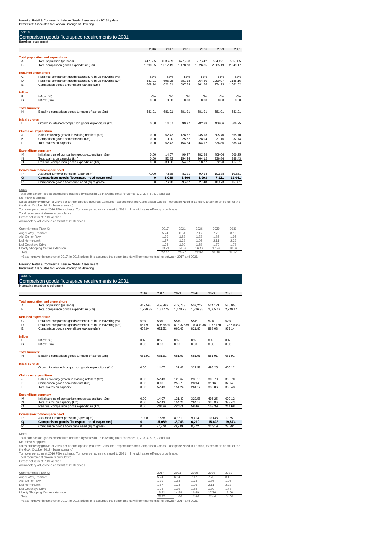| Table A8               |                                                           |          |          |          |          |          |          |
|------------------------|-----------------------------------------------------------|----------|----------|----------|----------|----------|----------|
|                        | Comparison goods floorspace requirements to 2031          |          |          |          |          |          |          |
|                        | Baseline requirement                                      |          |          |          |          |          |          |
|                        |                                                           |          |          |          |          |          |          |
|                        |                                                           | 2016     | 2017     | 2021     | 2026     | 2029     | 2031     |
|                        |                                                           |          |          |          |          |          |          |
|                        | <b>Total population and expenditure</b>                   |          |          |          |          |          |          |
| A                      | Total population (persons)                                | 447.595  | 453.489  | 477.758  | 507.242  | 524.121  | 535.055  |
| B                      | Total comparison goods expenditure (£m)                   | 1.290.85 | 1.317.49 | 1.478.78 | 1.826.35 | 2.065.19 | 2.249.17 |
|                        | <b>Retained expenditure</b>                               |          |          |          |          |          |          |
| C                      | Retained comparison goods expenditure in LB Havering (%)  | 53%      | 53%      | 53%      | 53%      | 53%      | 53%      |
| D                      | Retained comparison goods expenditure in LB Havering (£m) | 681.91   | 695.98   | 781.18   | 964.80   | 1090.97  | 1188.16  |
| E                      | Comparison goods expenditure leakage (£m)                 | 608.94   | 621.51   | 697.59   | 861.56   | 974.23   | 1.061.02 |
| <b>Inflow</b>          |                                                           |          |          |          |          |          |          |
| F                      | Inflow (%)                                                | 0%       | 0%       | 0%       | 0%       | 0%       | 0%       |
| G                      | Inflow (£m)                                               | 0.00     | 0.00     | 0.00     | 0.00     | 0.00     | 0.00     |
| <b>Total turnover</b>  |                                                           |          |          |          |          |          |          |
| н                      | Baseline comparison goods turnover of stores (£m)         | 681.91   | 681.91   | 681.91   | 681.91   | 681.91   | 681.91   |
| <b>Initial surplus</b> |                                                           |          |          |          |          |          |          |
| т.                     | Growth in retained comparison goods expenditure (£m)      | 0.00     | 14.07    | 99.27    | 282.88   | 409.06   | 506.25   |
|                        | <b>Claims on expenditure</b>                              |          |          |          |          |          |          |
| J                      | Sales efficiency growth in existing retailers (£m)        | 0.00     | 52.43    | 128.67   | 235.18   | 305.70   | 355.70   |
| κ                      | Comparison goods commitments (£m)                         | 0.00     | 0.00     | 25.57    | 28.94    | 31.16    | 32.74    |
| τ                      | Total claims on capacity                                  | 0.00     | 52.43    | 154.24   | 264.12   | 336.86   | 388.43   |
|                        | <b>Expenditure summary</b>                                |          |          |          |          |          |          |
| М                      | Initial surplus of comparison goods expenditure (£m)      | 0.00     | 14.07    | 99.27    | 282.88   | 409.06   | 506.25   |
| N                      | Total claims on capacity (£m)                             | 0.00     | 52.43    | 154.24   | 264.12   | 336.86   | 388.43   |
| $\overline{O}$         | Residual comparison goods expenditure (£m)                | 0.00     | $-38.36$ | $-54.97$ | 18.77    | 72.20    | 117.81   |
|                        | <b>Conversion to floorspace need</b>                      |          |          |          |          |          |          |
| P                      | Assumed turnover per sq.m (£ per sq.m)                    | 7.000    | 7,538    | 8,321    | 9,414    | 10,138   | 10,651   |
| Q                      | Comparison goods floorspace need (sq.m net)               | $\bf{0}$ | $-5,089$ | $-6.606$ | 1.993    | 7.121    | 11.061   |
|                        |                                                           |          |          |          |          |          |          |

Table A9

tal comparison<br>inflow is applie

es<br>Gl Notes<br>Total comparison goods expenditure retained by stores in LB Havering (total for zones 1, 2, 3, 4, 5, 6, 7 and 10)<br>No inflow is applied.<br>Sales efficiency growth of 2.5% per annum applied (Source: Consumer Expenditure

R Comparison goods floorspace need (sq.m gross) 0 -7,270 -9,437 2,848 10,173 15,801

per sq.m<br>uirement

Gross: net ratio of 70% applied. All monetary values held constant at 2016 prices.

| Commitments (Row K)                                                                                                            | 2017  | 2021  | 2026  | 2029  | 2031  |
|--------------------------------------------------------------------------------------------------------------------------------|-------|-------|-------|-------|-------|
| Angel Way, Romford                                                                                                             | 5.74  | 6.34  | 7.17  | 7.73  | 8.12  |
| Aldi Collier Row                                                                                                               | 1.39  | 1.53  | 1.73  | 1.86  | 1.96  |
| Lidl Hornchurch                                                                                                                | 1.57  | 1.73  | 1.96  | 2.11  | 2.22  |
| Lidl Gooshays Drive                                                                                                            | 1.26  | 1.39  | 1.58  | 1.70  | 1.78  |
| Liberty Shopping Centre extension                                                                                              | 13.21 | 14.58 | 16.49 | 17.76 | 18.66 |
| Total                                                                                                                          | 23.17 | 25.57 | 28.94 | 31.16 | 32.74 |
| *Base turnover is turnover at 2017, in 2016 prices. It is assumed the commitments will commence trading between 2017 and 2021. |       |       |       |       |       |

#### Havering Retail & Commercial Leisure Needs Assessment Peter Brett Associates for London Borough of Havering

|                        | Comparison goods floorspace requirements to 2031          |          |           |           |           |           |           |
|------------------------|-----------------------------------------------------------|----------|-----------|-----------|-----------|-----------|-----------|
|                        | Increasing retention requirement                          |          |           |           |           |           |           |
|                        |                                                           | 2016     | 2017      | 2021      | 2026      | 2029      | 2031      |
|                        | <b>Total population and expenditure</b>                   |          |           |           |           |           |           |
| A                      | Total population (persons)                                | 447.595  | 453.489   | 477.758   | 507.242   | 524.121   | 535.055   |
| B                      | Total comparison goods expenditure (£m)                   | 1.290.85 | 1.317.49  | 1.478.78  | 1.826.35  | 2.065.19  | 2,249.17  |
|                        | <b>Retained expenditure</b>                               |          |           |           |           |           |           |
| с                      | Retained comparison goods expenditure in LB Havering (%)  | 53%      | 53%       | 55%       | 55%       | 57%       | 57%       |
| D                      | Retained comparison goods expenditure in LB Havering (£m) | 681.91   | 695.98201 | 813.32638 | 1004.4934 | 1177.1601 | 1282.0283 |
| E                      | Comparison goods expenditure leakage (£m)                 | 608.94   | 621.51    | 665.45    | 821.86    | 888.03    | 967.14    |
| <b>Inflow</b>          |                                                           |          |           |           |           |           |           |
| F                      | Inflow (%)                                                | $0\%$    | $0\%$     | 0%        | 0%        | 0%        | 0%        |
| G                      | Inflow (£m)                                               | 0.00     | 0.00      | 0.00      | 0.00      | 0.00      | 0.00      |
| <b>Total turnover</b>  |                                                           |          |           |           |           |           |           |
| н                      | Baseline comparison goods turnover of stores (£m)         | 681.91   | 681.91    | 681.91    | 681.91    | 681.91    | 681.91    |
| <b>Initial surplus</b> |                                                           |          |           |           |           |           |           |
| J.                     | Growth in retained comparison goods expenditure (£m)      | 0.00     | 14.07     | 131.42    | 322.58    | 495.25    | 600.12    |
|                        | <b>Claims on expenditure</b>                              |          |           |           |           |           |           |
| J                      | Sales efficiency growth in existing retailers (£m)        | 0.00     | 52.43     | 128.67    | 235.18    | 305.70    | 355.70    |
| κ                      | Comparison goods commitments (£m)                         | 0.00     | 0.00      | 25.57     | 28.94     | 31.16     | 32.74     |
|                        | Total claims on capacity                                  | 0.00     | 52.43     | 154.24    | 264.12    | 336.86    | 388.43    |
|                        | <b>Expenditure summary</b>                                |          |           |           |           |           |           |
| м                      | Initial surplus of comparison goods expenditure (£m)      | 0.00     | 14.07     | 131.42    | 322.58    | 495.25    | 600.12    |
| N                      | Total claims on capacity (£m)                             | 0.00     | 52.43     | 154.24    | 264.12    | 336.86    | 388.43    |
| $\circ$                | Residual comparison goods expenditure (£m)                | 0.00     | $-38.36$  | $-22.83$  | 58.46     | 158.39    | 211.68    |
|                        |                                                           |          |           |           |           |           |           |
|                        | <b>Conversion to floorspace need</b>                      |          |           |           |           |           |           |
|                        | Accumed turnover per cam (f per cam)                      | 7.000    | 7520      | 0.221     | 0.41A     | 10 129    | 10.651    |

|   | Total claims on capacity                             | v.vv | 57.43    | 154   |
|---|------------------------------------------------------|------|----------|-------|
|   | <b>Expenditure summary</b>                           |      |          |       |
| м | Initial surplus of comparison goods expenditure (£m) | 0.00 | 14.07    | 131   |
|   | Total claims on capacity (£m)                        | 0.00 | 52.43    | 154   |
|   | Residual comparison goods expenditure (£m)           | 0.00 | $-38.36$ | $-22$ |
|   |                                                      |      |          |       |

| <b>Conversion to floorspace need</b>          |       |          |                |       |        |        |
|-----------------------------------------------|-------|----------|----------------|-------|--------|--------|
| Assumed turnover per sa.m (£ per sa.m)        | 7.000 | 7.538    | $8.32^{\circ}$ | 9.414 | 10.138 | 10.651 |
| Comparison goods floorspace need (sq.m net)   |       | $-5.089$ | $-2.743$       | 6.210 | 15.623 | 19.874 |
| Comparison goods floorspace need (sq.m gross) |       | 7,270    | 3.919          | 8.872 | 22.319 | 28.391 |

tal comparison<br>inflow is applie

es<br>Gl Notes<br>Total comparison goods expenditure retained by stores in LB Havering (total for zones 1, 2, 3, 4, 5, 6, 7 and 10)<br>Sales efficiency growth of 2.5% per annum applied (Source: Consumer Expenditure and Comparison Goods F

mover per sq.m<br>tal requirement<br>oss: net ratio of<br>monetary value

| Commitments (Row K)               | 2017  | 2021  | 2026  | 2029  | 2031  |
|-----------------------------------|-------|-------|-------|-------|-------|
| Angel Way, Romford                | 5.74  | 6.34  | 7.17  | 7.73  | 8.12  |
| Aldi Collier Row                  | 1.39  | 1.53  | 1.73  | .86   | 1.96  |
| Lidl Hornchurch                   | 1.57  | 1.73  | 1.96  | 2.11  | 2.22  |
| Lidl Gooshays Drive               | 1.26  | 1.39  | 1.58  | 1.70  | 1.78  |
| Liberty Shopping Centre extension | 13.21 | 14.58 | 16.49 | 17.76 | 18.66 |
| Total                             | 23.17 | 11.00 | 12.44 | 13.40 | 14.08 |
|                                   |       |       |       |       |       |

\*Base turnover is turnover at 2017, in 2016 prices. It is assumed the commitments will commence trading between 2017 and 2021.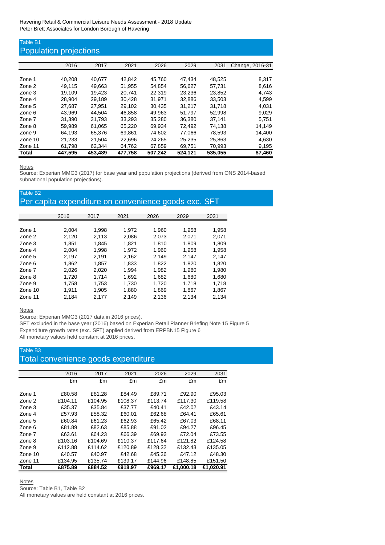| <b>Table B1</b><br><b>Population projections</b> |         |         |         |         |         |         |                 |  |  |  |  |
|--------------------------------------------------|---------|---------|---------|---------|---------|---------|-----------------|--|--|--|--|
|                                                  |         |         |         |         |         |         |                 |  |  |  |  |
|                                                  | 2016    | 2017    | 2021    | 2026    | 2029    | 2031    | Change, 2016-31 |  |  |  |  |
|                                                  |         |         |         |         |         |         |                 |  |  |  |  |
| Zone 1                                           | 40.208  | 40.677  | 42.842  | 45,760  | 47.434  | 48,525  | 8,317           |  |  |  |  |
| Zone 2                                           | 49,115  | 49,663  | 51,955  | 54,854  | 56,627  | 57,731  | 8,616           |  |  |  |  |
| Zone 3                                           | 19.109  | 19.423  | 20.741  | 22.319  | 23.236  | 23.852  | 4,743           |  |  |  |  |
| Zone 4                                           | 28.904  | 29,189  | 30,428  | 31,971  | 32,886  | 33,503  | 4,599           |  |  |  |  |
| Zone 5                                           | 27.687  | 27.951  | 29,102  | 30,435  | 31,217  | 31,718  | 4,031           |  |  |  |  |
| Zone 6                                           | 43.969  | 44,504  | 46,858  | 49,963  | 51,797  | 52,998  | 9,029           |  |  |  |  |
| Zone 7                                           | 31,390  | 31,793  | 33,293  | 35,280  | 36,380  | 37,141  | 5,751           |  |  |  |  |
| Zone 8                                           | 59.989  | 61,065  | 65,220  | 69,934  | 72,492  | 74,138  | 14,149          |  |  |  |  |
| Zone 9                                           | 64,193  | 65,376  | 69,861  | 74,602  | 77,066  | 78,593  | 14,400          |  |  |  |  |
| Zone 10                                          | 21,233  | 21.504  | 22,696  | 24,265  | 25,235  | 25,863  | 4,630           |  |  |  |  |
| Zone 11                                          | 61,798  | 62,344  | 64,762  | 67,859  | 69,751  | 70,993  | 9,195           |  |  |  |  |
| Total                                            | 447,595 | 453.489 | 477,758 | 507,242 | 524,121 | 535,055 | 87,460          |  |  |  |  |

**Notes** 

 Source: Experian MMG3 (2017) for base year and population projections (derived from ONS 2014-based subnational population projections).

#### Per capita expenditure on convenience goods exc. SFT Table B2

|         | 2016  | 2017  | 2021  | 2026  | 2029  | 2031  |
|---------|-------|-------|-------|-------|-------|-------|
|         |       |       |       |       |       |       |
| Zone 1  | 2.004 | 1.998 | 1.972 | 1,960 | 1.958 | 1,958 |
| Zone 2  | 2,120 | 2,113 | 2,086 | 2,073 | 2,071 | 2,071 |
| Zone 3  | 1.851 | 1.845 | 1.821 | 1.810 | 1.809 | 1.809 |
| Zone 4  | 2.004 | 1.998 | 1.972 | 1.960 | 1.958 | 1.958 |
| Zone 5  | 2,197 | 2,191 | 2,162 | 2,149 | 2,147 | 2,147 |
| Zone 6  | 1,862 | 1,857 | 1.833 | 1,822 | 1,820 | 1,820 |
| Zone 7  | 2.026 | 2.020 | 1.994 | 1.982 | 1.980 | 1.980 |
| Zone 8  | 1.720 | 1.714 | 1.692 | 1,682 | 1.680 | 1,680 |
| Zone 9  | 1.758 | 1.753 | 1.730 | 1.720 | 1,718 | 1.718 |
| Zone 10 | 1.911 | 1.905 | 1.880 | 1.869 | 1.867 | 1,867 |
| Zone 11 | 2,184 | 2,177 | 2,149 | 2,136 | 2,134 | 2,134 |

**Notes** 

Source: Experian MMG3 (2017 data in 2016 prices).

 SFT excluded in the base year (2016) based on Experian Retail Planner Briefing Note 15 Figure 5 Expenditure growth rates (exc. SFT) applied derived from ERPBN15 Figure 6 All monetary values held constant at 2016 prices.

#### Total convenience goods expenditure Table B3

|              | 2016    | 2017    | 2021    | 2026    | 2029      | 2031      |
|--------------|---------|---------|---------|---------|-----------|-----------|
|              | £m      | £m      | £m      | £m      | £m        | £m        |
|              |         |         |         |         |           |           |
| Zone 1       | £80.58  | £81.28  | £84.49  | £89.71  | £92.90    | £95.03    |
| Zone 2       | £104.11 | £104.95 | £108.37 | £113.74 | £117.30   | £119.58   |
| Zone 3       | £35.37  | £35.84  | £37.77  | £40.41  | £42.02    | £43.14    |
| Zone 4       | £57.93  | £58.32  | £60.01  | £62.68  | £64.41    | £65.61    |
| Zone 5       | £60.84  | £61.23  | £62.93  | £65.42  | £67.03    | £68.11    |
| Zone 6       | £81.89  | £82.63  | £85.88  | £91.02  | £94.27    | £96.45    |
| Zone 7       | £63.61  | £64.23  | £66.39  | £69.93  | £72.04    | £73.55    |
| Zone 8       | £103.16 | £104.69 | £110.37 | £117.64 | £121.82   | £124.58   |
| Zone 9       | £112.88 | £114.62 | £120.89 | £128.32 | £132.43   | £135.05   |
| Zone 10      | £40.57  | £40.97  | £42.68  | £45.36  | £47.12    | £48.30    |
| Zone 11      | £134.95 | £135.74 | £139.17 | £144.96 | £148.85   | £151.50   |
| <b>Total</b> | £875.89 | £884.52 | £918.97 | £969.17 | £1,000.18 | £1,020.91 |

#### Notes

Source: Table B1, Table B2

All monetary values are held constant at 2016 prices.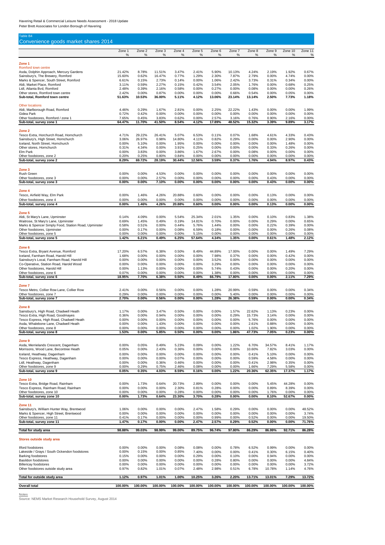| Table B4                                                                                    |                   |                   |                 |                   |                   |                   |                   |                   |                   |                |                   |
|---------------------------------------------------------------------------------------------|-------------------|-------------------|-----------------|-------------------|-------------------|-------------------|-------------------|-------------------|-------------------|----------------|-------------------|
| Convenience goods market shares 2014                                                        |                   |                   |                 |                   |                   |                   |                   |                   |                   |                |                   |
|                                                                                             | Zone 1<br>%       | Zone 2<br>%       | Zone 3<br>%     | Zone 4<br>%       | Zone 5<br>%       | Zone 6<br>%       | Zone 7<br>%       | Zone 8<br>%       | Zone 9<br>%       | Zone 10<br>%   | Zone 11<br>%      |
|                                                                                             |                   |                   |                 |                   |                   |                   |                   |                   |                   |                |                   |
| Zone 1<br>Romford town centre                                                               |                   |                   |                 |                   |                   |                   |                   |                   |                   |                |                   |
| Asda, Dolphin Approach, Mercury Gardens                                                     | 21.42%            | 8.78%             | 11.51%          | 3.47%             | 2.41%             | 5.90%             | 10.13%            | 4.24%             | 2.19%             | 1.92%          | 0.67%             |
| Sainsbury's, The Brewery, Romford<br>Marks & Spencer, South Street, Romford                 | 15.60%<br>6.61%   | 0.62%<br>0.15%    | 16.47%<br>2.73% | 0.77%<br>0.14%    | 1.29%<br>0.00%    | 2.30%<br>1.06%    | 7.87%<br>2.42%    | 2.79%<br>3.73%    | 0.00%<br>0.31%    | 4.74%<br>0.34% | 0.00%<br>0.00%    |
| Aldi, Market Place, Romford                                                                 | 3.11%             | 0.59%             | 2.27%           | 0.15%             | 0.42%             | 3.54%             | 2.05%             | 1.76%             | $0.00\%$          | 0.68%          | 0.25%             |
| Lidl, Atlanta Bvd, Romford<br>Other stores, Romford town centre                             | 2.48%<br>2.42%    | 0.39%<br>0.00%    | 2.16%<br>0.87%  | 0.58%<br>0.00%    | 0.00%<br>0.00%    | 0.27%<br>0.00%    | 0.00%<br>0.66%    | 0.08%<br>0.54%    | 0.00%<br>0.00%    | 0.00%<br>0.05% | 0.26%<br>0.00%    |
| Sub-total, Romford town centre                                                              | 51.63%            | 10.53%            | 36.00%          | 5.11%             | 4.12%             | 13.06%            | 23.14%            | 13.14%            | 2.50%             | 7.73%          | 1.18%             |
| <b>Other locations</b>                                                                      |                   |                   |                 |                   |                   |                   |                   |                   |                   |                |                   |
| Aldi, Marlborough Road, Romford<br>Gidea Park                                               | 4.46%<br>0.72%    | 0.29%<br>0.42%    | 1.67%<br>0.00%  | 2.81%<br>0.00%    | 0.00%<br>0.00%    | 2.25%<br>0.00%    | 22.22%<br>0.00%   | 1.43%<br>0.00%    | 0.00%<br>0.00%    | 0.00%<br>0.00% | 1.99%<br>0.00%    |
| Other foodstores, Romford / zone 1                                                          | 7.65%             | 0.45%             | 3.83%           | 0.62%             | 0.00%             | 2.57%             | 3.16%             | 0.76%             | 0.90%             | 2.16%          | 0.00%             |
| Sub-total, survey zone 1                                                                    | 64.47%            | 11.70%            | 41.50%          | 8.54%             | 4.12%             | 17.89%            | 48.52%            | 15.32%            | 3.39%             | 9.89%          | 3.17%             |
| Zone <sub>2</sub>                                                                           |                   |                   |                 |                   |                   |                   |                   |                   |                   |                |                   |
| Tesco Extra, Horchurch Road, Hornchurch<br>Sainsbury's, High Street, Hornchurch             | 4.71%<br>3.06%    | 29.22%<br>26.97%  | 26.41%<br>0.98% | 5.07%<br>14.80%   | 6.53%<br>4.11%    | 0.11%<br>0.82%    | 0.07%<br>0.29%    | 1.68%<br>0.00%    | 4.61%<br>0.00%    | 4.33%<br>2.90% | 0.43%<br>0.00%    |
| Iceland, North Street, Hornchurch                                                           | 0.00%             | 5.10%             | 0.00%           | 1.95%             | 0.00%             | 0.00%             | 0.00%             | 0.00%             | 0.00%             | 1.48%          | 0.00%             |
| Other stores, Hornchurch<br>Elm Park                                                        | 0.31%<br>$0.00\%$ | 4.34%<br>3.83%    | 0.00%<br>0.00%  | 3.91%<br>3.86%    | 0.25%<br>1.67%    | 0.00%<br>2.67%    | 0.00%<br>0.00%    | 0.00%<br>0.08%    | 0.33%<br>0.00%    | 0.26%<br>0.00% | 0.00%<br>0.00%    |
| Other foodstores, zone 2                                                                    | 0.20%             | 0.25%             | 0.80%           | 0.84%             | 0.00%             | 0.00%             | 0.00%             | 0.00%             | 0.00%             | 0.00%          | 0.00%             |
| Sub-total, survey zone 2                                                                    | 8.29%             | 69.72%            | 28.19%          | 30.44%            | 12.56%            | 3.59%             | 0.37%             | 1.76%             | 4.94%             | 8.97%          | 0.43%             |
| Zone 3                                                                                      |                   |                   |                 |                   |                   |                   |                   |                   |                   |                |                   |
| Rush Green                                                                                  | 0.00%             | 0.00%             | 4.53%           | 0.00%             | 0.00%             | 0.00%             | 0.00%             | 0.00%             | 0.00%             | 0.00%          | 0.00%             |
| Other foodstores, zone 3<br>Sub-total, survey zone 3                                        | 0.00%<br>0.00%    | 0.00%<br>0.00%    | 2.57%<br>7.10%  | 0.00%<br>0.00%    | 0.00%<br>0.00%    | 0.00%<br>0.00%    | 0.00%<br>$0.00\%$ | 0.00%<br>$0.00\%$ | 0.43%<br>0.43%    | 0.00%<br>0.00% | 0.00%<br>0.00%    |
|                                                                                             |                   |                   |                 |                   |                   |                   |                   |                   |                   |                |                   |
| Zone 4<br>Tesco, Airfield Way, Elm Park                                                     | 0.00%             | 1.46%             | 4.26%           | 20.88%            | 0.60%             | 0.00%             | 0.00%             | 0.00%             | 0.13%             | 0.00%          | 0.00%             |
| Other foodstores, zone 4                                                                    | 0.00%             | 0.00%             | 0.00%           | 0.00%             | 0.00%             | 0.00%             | 0.00%             | 0.00%             | 0.00%             | 0.00%          | 0.00%             |
| Sub-total, survey zone 4                                                                    | $0.00\%$          | 1.46%             | 4.26%           | 20.88%            | 0.60%             | 0.00%             | $0.00\%$          | $0.00\%$          | 0.13%             | 0.00%          | 0.00%             |
| Zone 5                                                                                      |                   |                   |                 |                   |                   |                   |                   |                   |                   |                |                   |
| Aldi, St Mary's Lane, Upminster                                                             | 0.14%             | 4.09%             | 0.00%           | 5.54%             | 25.34%            | 2.01%             | 1.35%             | 0.00%             | 0.10%             | 0.83%          | 1.38%             |
| Waitrose, St Mary's Lane, Upminster<br>Marks & Spencer Simply Food, Station Road, Upminster | 0.69%<br>0.58%    | 1.45%<br>0.51%    | 0.49%<br>0.00%  | 0.19%<br>0.44%    | 14.81%<br>5.76%   | 0.70%<br>1.44%    | 0.00%<br>0.00%    | 0.00%<br>0.00%    | 0.29%<br>0.22%    | 0.00%<br>0.39% | 0.65%<br>0.00%    |
| Other foodstores, Upminster                                                                 | 0.00%             | 0.17%             | 0.00%           | 0.08%             | 6.59%             | 0.18%             | 0.00%             | 0.00%             | 0.00%             | 0.26%          | 0.08%             |
| Other foodstores, zone 5                                                                    | 0.00%<br>1.42%    | 0.00%<br>6.21%    | 0.00%<br>0.49%  | 0.00%<br>6.25%    | 5.15%<br>57.64%   | 0.00%<br>4.34%    | 0.00%<br>1.35%    | 0.00%<br>$0.00\%$ | 0.00%<br>0.61%    | 0.00%<br>1.48% | 0.00%<br>2.12%    |
| Sub-total, survey zone 5                                                                    |                   |                   |                 |                   |                   |                   |                   |                   |                   |                |                   |
| Zone 6                                                                                      |                   |                   |                 |                   |                   |                   |                   |                   |                   |                |                   |
| Tesco Extra, Bryant Avenue, Romford<br>Iceland, Farnham Road, Harold Hill                   | 17.20%<br>1.68%   | 6.57%<br>0.00%    | 6.38%<br>0.00%  | 0.50%<br>0.00%    | 8.49%<br>0.00%    | 44.89%<br>7.98%   | 17.00%<br>0.37%   | 0.00%<br>0.00%    | 0.00%<br>0.00%    | 1.49%<br>0.42% | 7.29%<br>0.00%    |
| Sainsbury's Local, Farnham Road, Harold Hill                                                | 0.00%             | 0.00%             | 0.00%           | 0.00%             | 0.00%             | 3.52%             | 0.00%             | 0.00%             | 0.00%             | 0.00%          | 0.00%             |
| Co-Operative, Station Road, Harold Wood<br>Other foodstores, Harold Hill                    | 0.00%<br>0.00%    | 0.00%<br>1.13%    | 0.00%<br>0.00%  | 0.00%<br>0.00%    | 0.00%<br>0.00%    | 3.29%<br>5.74%    | 0.00%<br>0.43%    | 0.00%<br>0.00%    | 0.00%<br>0.00%    | 0.00%<br>0.20% | 0.00%<br>0.00%    |
| Other foodstores, zone 6                                                                    | 0.07%             | 0.00%             | 0.00%           | 0.00%             | 0.00%             | 1.38%             | 0.00%             | 0.00%             | 0.00%             | 0.00%          | 0.00%             |
| Sub-total, survey zone 6                                                                    | 18.95%            | 7.70%             | 6.38%           | 0.50%             | 8.49%             | 66.79%            | 17.80%            | $0.00\%$          | $0.00\%$          | 2.11%          | 7.29%             |
| Zone 7                                                                                      |                   |                   |                 |                   |                   |                   |                   |                   |                   |                |                   |
| Tesco Metro, Collier Row Lane, Collier Row                                                  | 2.41%             | 0.00%             | 0.56%           | 0.00%             | 0.00%             | 1.28%             | 20.99%            | 0.59%             | 0.00%             | 0.00%          | 0.34%             |
| Other foodstores, zone 7<br>Sub-total, survey zone 7                                        | 0.29%<br>2.70%    | 0.00%<br>0.00%    | 0.00%<br>0.56%  | 0.00%<br>0.00%    | 0.00%<br>0.00%    | 0.00%<br>1.28%    | 5.40%<br>26.38%   | 0.00%<br>0.59%    | 0.00%<br>0.00%    | 0.00%<br>0.00% | 0.00%<br>0.34%    |
|                                                                                             |                   |                   |                 |                   |                   |                   |                   |                   |                   |                |                   |
| Zone 8<br>Sainsbury's, High Road, Chadwell Heath                                            | 1.17%             | 0.00%             | 3.47%           | 0.50%             | 0.00%             | 0.00%             | 1.57%             | 22.62%            | 1.13%             | 0.23%          | 0.00%             |
| Tesco Extra, High Road, Goodmayes                                                           | 0.36%             | 0.00%             | 0.94%           | 0.00%             | 0.00%             | 0.00%             | 0.29%             | 15.73%            | 3.14%             | 0.00%          | 0.00%             |
| Tesco Express, High Road, Chadwell Heath<br>Asda, Whalebone Lane, Chadwell Heath            | 0.00%<br>$0.00\%$ | 0.00%             | 0.00%           | 0.00%<br>$0.00\%$ | 0.00%             | 0.00%             | 0.00%<br>$0.00\%$ | 5.76%             | 0.00%<br>0.88%    | 0.00%<br>0.00% | 0.00%             |
| Other foodstores, zone 8                                                                    | 0.00%             | $0.00\%$<br>0.00% | 1.43%<br>0.00%  | 0.00%             | $0.00\%$<br>0.00% | $0.00\%$<br>0.00% | 0.00%             | 2.61%<br>1.02%    | 1.90%             | 0.00%          | $0.00\%$<br>0.00% |
| Sub-total, survey zone 8                                                                    | 1.53%             | 0.00%             | 5.85%           | 0.50%             | 0.00%             | 0.00%             | 1.86%             | 47.73%            | 7.05%             | 0.23%          | 0.00%             |
| Zone 9                                                                                      |                   |                   |                 |                   |                   |                   |                   |                   |                   |                |                   |
| Asda, Merrielands Crescent, Dagenham                                                        | 0.00%             | 0.05%             | 0.49%           | 5.23%             | 0.09%             | 0.00%             | 1.22%             | 6.70%             | 34.57%            | 8.41%          | 1.17%             |
| Morrisons, Wood Lane, Becontree Heath<br>Iceland, Heathway, Dagenham                        | 0.05%<br>0.00%    | 0.00%<br>0.00%    | 2.43%<br>0.00%  | 0.36%<br>0.00%    | 0.00%<br>0.00%    | 0.00%<br>0.00%    | 0.00%<br>0.00%    | 10.60%<br>0.41%   | 7.82%<br>5.10%    | 3.03%<br>0.00% | 0.00%<br>0.00%    |
| Tesco Express, Heathway, Dagenham                                                           | 0.00%             | 0.00%             | 0.00%           | 0.07%             | 0.00%             | 0.00%             | 0.00%             | 0.59%             | 4.58%             | 0.00%          | 0.00%             |
| Lidl, Heathway, Dagenham<br>Other foodstores, zone 9                                        | 0.00%<br>0.00%    | 0.00%<br>0.29%    | 0.36%<br>0.75%  | 0.46%<br>2.46%    | 0.00%<br>0.08%    | 0.00%<br>0.00%    | 0.00%<br>0.00%    | 0.41%<br>1.66%    | 2.98%<br>7.29%    | 0.35%<br>5.58% | 0.00%<br>0.00%    |
| Sub-total, survey zone 9                                                                    | 0.05%             | 0.35%             | 4.03%           | 8.59%             | 0.16%             | 0.00%             | 1.22%             | 20.36%            | 62.35%            | 17.37%         | 1.17%             |
| Zone 10                                                                                     |                   |                   |                 |                   |                   |                   |                   |                   |                   |                |                   |
| Tesco Extra, Bridge Road, Rainham                                                           | 0.00%             | 1.73%             | 0.64%           | 20.73%            | 2.89%             | 0.00%             | 0.00%             | 0.00%             | 5.45%             | 44.28%         | 0.00%             |
| Tesco Express, Rainham Road, Rainham                                                        | 0.00%             | 0.00%<br>0.00%    | 0.00%<br>0.00%  | 2.30%<br>0.28%    | 0.81%<br>0.00%    | 0.28%<br>0.00%    | 0.00%<br>0.00%    | 0.00%<br>0.00%    | 0.89%<br>1.76%    | 8.39%<br>0.00% | 0.00%<br>0.00%    |
| Other foodstores, zone 10<br>Sub-total, survey zone 10                                      | 0.00%<br>$0.00\%$ | 1.73%             | 0.64%           | 23.30%            | 3.70%             | 0.28%             | $0.00\%$          | $0.00\%$          | 8.10%             | 52.67%         | 0.00%             |
|                                                                                             |                   |                   |                 |                   |                   |                   |                   |                   |                   |                |                   |
| Zone 11<br>Sainsbury's, William Hunter Way, Brentwood                                       | 1.06%             | 0.00%             | 0.00%           | 0.00%             | 2.47%             | 1.58%             | 0.29%             | 0.00%             | 0.00%             | 0.00%          | 48.52%            |
| Marks & Spencer, High Street, Brentwood                                                     | 0.00%             | 0.00%             | 0.00%           | 0.00%             | 0.00%             | 0.00%             | 0.00%             | 0.00%             | 0.00%             | 0.00%          | 3.74%             |
| Other foodstores, zone 11<br>Sub-total, survey zone 11                                      | 0.41%<br>1.47%    | 0.17%<br>0.17%    | 0.00%<br>0.00%  | 0.00%<br>$0.00\%$ | 0.00%<br>2.47%    | 0.99%<br>2.57%    | 0.00%<br>0.29%    | 0.52%<br>0.52%    | 0.00%<br>$0.00\%$ | 0.00%<br>0.00% | 19.50%<br>71.76%  |
| Total for study area                                                                        | 98.88%            | 99.03%            | 98.99%          | 99.00%            | 89.75%            | 96.74%            | 97.80%            | 86.29%            | 86.99%            | 92.71%         | 86.28%            |
| Stores outside study area                                                                   |                   |                   |                 |                   |                   |                   |                   |                   |                   |                |                   |
| llford foodstores                                                                           | 0.00%             | 0.00%             | 0.00%           | 0.08%             | 0.08%             | 0.00%             | 0.78%             | 6.52%             | 0.99%             | 0.00%          | 0.00%             |
| Lakeside / Grays / South Ockendon foodstores                                                | 0.00%             | 0.15%             | 0.00%           | 0.85%             | 7.40%             | 0.00%             | 0.00%             | 0.41%             | 0.30%             | 6.15%          | 0.40%             |
| Barking foodstores<br><b>Basildon foodstores</b>                                            | 0.15%<br>0.00%    | 0.00%<br>0.00%    | 0.00%<br>0.00%  | 0.00%<br>0.00%    | 0.29%<br>0.00%    | 0.00%<br>0.28%    | 0.10%<br>0.80%    | 0.00%<br>0.00%    | 0.94%<br>0.00%    | 0.00%<br>0.00% | 0.00%<br>4.84%    |
| <b>Billericay foodstores</b>                                                                | 0.00%             | 0.00%             | 0.00%           | 0.00%             | 0.00%             | 0.00%             | 0.00%             | 0.00%             | 0.00%             | 0.00%          | 3.72%             |
| Other foodstores outside study area                                                         | 0.97%             | 0.82%             | 1.01%           | 0.07%             | 2.48%             | 2.98%             | 0.51%             | 6.78%             | 10.78%            | 1.14%          | 4.76%             |
| Total for outside study area                                                                | 1.12%             | 0.97%             | 1.01%           | 1.00%             | 10.25%            | 3.26%             | 2.20%             | 13.71%            | 13.01%            | 7.29%          | 13.72%            |
| Overall total                                                                               | 100.00%           | 100.00%           | 100.00%         | 100.00%           | 100.00%           | 100.00%           | 100.00%           | 100.00%           | 100.00%           | 100.00%        | 100.00%           |

<u>Notes</u><br>Source: NEMS Market Research Household Survey, August 2014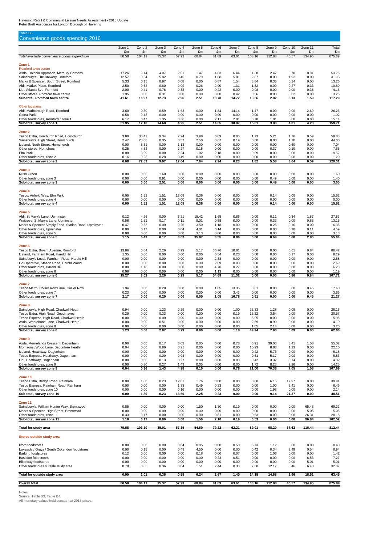Havering Retail & Commercial Leisure Needs Assessment - 2018 Update Peter Brett Associates for London Borough of Havering

| Table B5<br>Convenience goods spending 2016                                                 |                |               |                                                |               |              |               |               |                |               |               |                |                 |
|---------------------------------------------------------------------------------------------|----------------|---------------|------------------------------------------------|---------------|--------------|---------------|---------------|----------------|---------------|---------------|----------------|-----------------|
|                                                                                             | Zone 1<br>£m   | Zone 2<br>£m  | Zone 3<br>$\pmb{\pmb{\text{f}}}\pmb{\text{m}}$ | Zone 4<br>£m  | Zone 5<br>£m | Zone 6<br>£m  | Zone 7<br>£m  | Zone 8<br>£m   | Zone 9<br>£m  | Zone 10<br>£m | Zone 11<br>£m  | Total<br>£m     |
| Total available convenience goods expenditure                                               | 80.58          | 104.11        | 35.37                                          | 57.93         | 60.84        | 81.89         | 63.61         | 103.16         | 112.88        | 40.57         | 134.95         | 875.89          |
| Zone 1<br>Romford town centre                                                               |                |               |                                                |               |              |               |               |                |               |               |                |                 |
| Asda, Dolphin Approach, Mercury Gardens<br>Sainsbury's, The Brewery, Romford                | 17.26<br>12.57 | 9.14<br>0.64  | 4.07<br>5.82                                   | 2.01<br>0.45  | 1.47<br>0.79 | 4.83<br>1.88  | 6.44<br>5.01  | 4.38<br>2.87   | 2.47<br>0.00  | 0.78<br>1.92  | 0.91<br>0.00   | 53.76<br>31.95  |
| Marks & Spencer, South Street, Romford<br>Aldi, Market Place, Romford                       | 5.33<br>2.50   | 0.15<br>0.62  | 0.97<br>0.80                                   | 0.08<br>0.09  | 0.00<br>0.26 | 0.87<br>2.90  | 1.54<br>1.31  | 3.84<br>1.82   | 0.35<br>0.00  | 0.14<br>0.27  | 0.00<br>0.33   | 13.26<br>10.89  |
| Lidl, Atlanta Bvd, Romford                                                                  | 2.00           | 0.41          | 0.76                                           | 0.33          | 0.00<br>0.00 | 0.22          | 0.00          | 0.08           | 0.00          | 0.00          | 0.35           | 4.16            |
| Other stores, Romford town centre<br>Sub-total, Romford town centre                         | 1.95<br>41.61  | 0.00<br>10.97 | 0.31<br>12.73                                  | 0.00<br>2.96  | 2.51         | 0.00<br>10.70 | 0.42<br>14.72 | 0.56<br>13.56  | 0.00<br>2.82  | 0.02<br>3.13  | 0.00<br>1.59   | 3.26<br>117.29  |
| <b>Other locations</b><br>Aldi, Marlborough Road, Romford                                   | 3.60           | 0.30          | 0.59                                           | 1.63          | 0.00         | 1.84          | 14.14         | 1.47           | 0.00          | 0.00          | 2.69           | 26.26           |
| Gidea Park<br>Other foodstores, Romford / zone 1                                            | 0.58<br>6.17   | 0.43<br>0.47  | 0.00<br>1.35                                   | 0.00<br>0.36  | 0.00<br>0.00 | 0.00<br>2.11  | 0.00<br>2.01  | 0.00<br>0.78   | 0.00<br>1.01  | 0.00<br>0.88  | 0.00<br>0.00   | 1.02<br>15.14   |
| Sub-total, survey zone 1                                                                    | 51.95          | 12.18         | 14.68                                          | 4.95          | 2.51         | 14.65         | 30.87         | 15.81          | 3.83          | 4.01          | 4.28           | 159.71          |
| Zone 2<br>Tesco Extra, Horchurch Road, Hornchurch                                           | 3.80           | 30.42         | 9.34                                           | 2.94          | 3.98         | 0.09          | 0.05          | 1.73           | 5.21          | 1.76          | 0.59           | 59.88           |
| Sainsbury's, High Street, Hornchurch<br>Iceland, North Street, Hornchurch                   | 2.47<br>0.00   | 28.08<br>5.31 | 0.35<br>0.00                                   | 8.57<br>1.13  | 2.50<br>0.00 | 0.67<br>0.00  | 0.19<br>0.00  | 0.00<br>0.00   | 0.00<br>0.00  | 1.18<br>0.60  | 0.00<br>0.00   | 44.00<br>7.04   |
| Other stores, Hornchurch                                                                    | 0.25           | 4.52          | 0.00                                           | 2.27          | 0.15         | 0.00          | 0.00          | 0.00           | 0.37          | 0.10          | 0.00           | 7.66            |
| Elm Park<br>Other foodstores, zone 2                                                        | 0.00<br>0.16   | 3.99<br>0.26  | 0.00<br>0.28                                   | 2.24<br>0.49  | 1.02<br>0.00 | 2.18<br>0.00  | 0.00<br>0.00  | 0.09<br>0.00   | 0.00<br>0.00  | 0.00<br>0.00  | 0.00<br>0.00   | 9.52<br>1.20    |
| Sub-total, survey zone 2                                                                    | 6.68           | 72.59         | 9.97                                           | 17.64         | 7.64         | 2.94          | 0.23          | 1.82           | 5.58          | 3.64          | 0.59           | 129.31          |
| Zone 3<br>Rush Green                                                                        | 0.00           | 0.00          | 1.60                                           | 0.00          | 0.00         | 0.00          | 0.00          | 0.00           | 0.00          | 0.00          | 0.00           | 1.60            |
| Other foodstores, zone 3<br>Sub-total, survey zone 3                                        | 0.00<br>0.00   | 0.00<br>0.00  | 0.91<br>2.51                                   | 0.00<br>0.00  | 0.00<br>0.00 | 0.00<br>0.00  | 0.00<br>0.00  | 0.00<br>0.00   | 0.49<br>0.49  | 0.00<br>0.00  | 0.00<br>0.00   | 1.40<br>3.00    |
| Zone 4<br>Tesco, Airfield Way, Elm Park                                                     | 0.00           | 1.52          | 1.51                                           | 12.09         | 0.36         | 0.00          | 0.00          | 0.00           | 0.14          | 0.00          | 0.00           | 15.62           |
| Other foodstores, zone 4<br>Sub-total, survey zone 4                                        | 0.00<br>0.00   | 0.00<br>1.52  | 0.00<br>1.51                                   | 0.00<br>12.09 | 0.00<br>0.36 | 0.00<br>0.00  | 0.00<br>0.00  | 0.00<br>0.00   | 0.00<br>0.14  | 0.00<br>0.00  | 0.00<br>0.00   | 0.00<br>15.62   |
| Zone 5                                                                                      |                |               |                                                |               |              |               |               |                |               |               |                |                 |
| Aldi, St Mary's Lane, Upminster                                                             | 0.12           | 4.26          | 0.00                                           | 3.21          | 15.42        | 1.65          | 0.86          | 0.00           | 0.11          | 0.34          | 1.87           | 27.83           |
| Waitrose, St Mary's Lane, Upminster<br>Marks & Spencer Simply Food, Station Road, Upminster | 0.56<br>0.47   | 1.51<br>0.53  | 0.17<br>0.00                                   | 0.11<br>0.26  | 9.01<br>3.50 | 0.58<br>1.18  | 0.00<br>0.00  | 0.00<br>0.00   | 0.33<br>0.25  | 0.00<br>0.16  | 0.88<br>0.00   | 13.15<br>6.35   |
| Other foodstores, Upminster<br>Other foodstores, zone 5                                     | 0.00<br>0.00   | 0.17<br>0.00  | 0.00<br>0.00                                   | 0.04<br>0.00  | 4.01<br>3.13 | 0.14<br>0.00  | 0.00<br>0.00  | 0.00<br>0.00   | 0.00<br>0.00  | 0.10<br>0.00  | 0.11<br>0.00   | 4.59<br>3.13    |
| Sub-total, survey zone 5                                                                    | 1.15           | 6.47          | 0.17                                           | 3.62          | 35.07        | 3.55          | 0.86          | 0.00           | 0.69          | 0.60          | 2.86           | 55.04           |
| Zone 6<br>Tesco Extra, Bryant Avenue, Romford                                               | 13.86          | 6.84          | 2.26                                           | 0.29          | 5.17         | 36.76         | 10.81         | 0.00           | 0.00          | 0.61          | 9.84           | 86.42           |
| Iceland, Farnham Road, Harold Hill<br>Sainsbury's Local, Farnham Road, Harold Hill          | 1.35<br>0.00   | 0.00<br>0.00  | 0.00<br>0.00                                   | 0.00<br>0.00  | 0.00<br>0.00 | 6.54<br>2.88  | 0.23<br>0.00  | 0.00<br>0.00   | 0.00<br>0.00  | 0.17<br>0.00  | 0.00<br>0.00   | 8.29<br>2.88    |
| Co-Operative, Station Road, Harold Wood<br>Other foodstores, Harold Hill                    | 0.00<br>0.00   | 0.00<br>1.18  | 0.00<br>0.00                                   | 0.00<br>0.00  | 0.00<br>0.00 | 2.69<br>4.70  | 0.00<br>0.27  | 0.00<br>0.00   | 0.00<br>0.00  | 0.00<br>0.08  | 0.00<br>0.00   | 2.69<br>6.23    |
| Other foodstores, zone 6<br>Sub-total, survey zone 6                                        | 0.06<br>15.27  | 0.00<br>8.02  | 0.00<br>2.26                                   | 0.00<br>0.29  | 0.00<br>5.17 | 1.13<br>54.69 | 0.00<br>11.32 | 0.00<br>0.00   | 0.00<br>0.00  | 0.00<br>0.86  | 0.00<br>9.84   | 1.19<br>107.71  |
| Zone 7                                                                                      |                |               |                                                |               |              |               |               |                |               |               |                |                 |
| Tesco Metro, Collier Row Lane, Collier Row                                                  | 1.94           | 0.00          | 0.20                                           | 0.00          | 0.00         | 1.05          | 13.35         | 0.61           | 0.00          | 0.00          | 0.45           | 17.60           |
| Other foodstores, zone 7<br>Sub-total, survey zone 7                                        | 0.23<br>2.17   | 0.00<br>0.00  | 0.00<br>0.20                                   | 0.00<br>0.00  | 0.00<br>0.00 | 0.00<br>1.05  | 3.43<br>16.78 | 0.00<br>0.61   | 0.00<br>0.00  | 0.00<br>0.00  | 0.00<br>0.45   | 3.66<br>21.27   |
| Zone 8                                                                                      |                |               |                                                |               |              |               |               |                |               |               |                |                 |
| Sainsbury's, High Road, Chadwell Heath<br>Tesco Extra, High Road, Goodmayes                 | 0.94<br>0.29   | 0.00<br>0.00  | 1.23<br>0.33                                   | 0.29<br>0.00  | 0.00<br>0.00 | 0.00<br>0.00  | 1.00<br>0.19  | 23.33<br>16.22 | 1.28<br>3.54  | 0.09<br>0.00  | 0.00<br>0.00   | 28.16<br>20.57  |
| Tesco Express, High Road, Chadwell Heath<br>Asda, Whalebone Lane, Chadwell Heath            | 0.00<br>0.00   | 0.00<br>0.00  | 0.00<br>0.51                                   | 0.00<br>0.00  | 0.00<br>0.00 | 0.00<br>0.00  | 0.00<br>0.00  | 5.95<br>2.69   | 0.00<br>0.99  | 0.00<br>0.00  | 0.00<br>0.00   | 5.95<br>4.19    |
| Other foodstores, zone 8<br>Sub-total, survey zone 8                                        | 0.00<br>1.23   | 0.00<br>0.00  | 0.00<br>2.07                                   | 0.00<br>0.29  | 0.00<br>0.00 | 0.00<br>0.00  | 0.00<br>1.18  | 1.05<br>49.24  | 2.14<br>7.96  | 0.00<br>0.09  | 0.00<br>0.00   | 3.20<br>62.06   |
| Zone 9                                                                                      |                |               |                                                |               |              |               |               |                |               |               |                |                 |
| Asda, Merrielands Crescent, Dagenham<br>Morrisons, Wood Lane, Becontree Heath               | 0.00<br>0.04   | 0.06<br>0.00  | 0.17<br>0.86                                   | 3.03<br>0.21  | 0.05<br>0.00 | 0.00<br>0.00  | 0.78<br>0.00  | 6.91<br>10.93  | 39.03<br>8.83 | 3.41<br>1.23  | 1.58<br>0.00   | 55.02<br>22.10  |
| Iceland, Heathway, Dagenham<br>Tesco Express, Heathway, Dagenham                            | 0.00<br>0.00   | 0.00<br>0.00  | 0.00<br>0.00                                   | 0.00<br>0.04  | 0.00<br>0.00 | 0.00<br>0.00  | 0.00<br>0.00  | 0.42<br>0.61   | 5.76<br>5.17  | 0.00<br>0.00  | 0.00<br>0.00   | 6.18<br>5.83    |
| Lidl, Heathway, Dagenham<br>Other foodstores, zone 9                                        | 0.00<br>0.00   | 0.00<br>0.30  | 0.13<br>0.27                                   | 0.27<br>1.43  | 0.00<br>0.05 | 0.00<br>0.00  | 0.00<br>0.00  | 0.42<br>1.72   | 3.37<br>8.23  | 0.14<br>2.26  | 0.00<br>0.00   | 4.32<br>14.25   |
| Sub-total, survey zone 9                                                                    | 0.04           | 0.36          | 1.43                                           | 4.98          | 0.10         | 0.00          | 0.78          | 21.00          | 70.38         | 7.05          | 1.58           | 107.69          |
| Zone 10<br>Tesco Extra, Bridge Road, Rainham                                                | 0.00           | 1.80          | 0.23                                           | 12.01         | 1.76         | 0.00          | 0.00          | 0.00           | 6.15          | 17.97         | 0.00           | 39.91           |
| Tesco Express, Rainham Road, Rainham<br>Other foodstores, zone 10                           | 0.00<br>0.00   | 0.00<br>0.00  | 0.00<br>0.00                                   | 1.33<br>0.16  | 0.49<br>0.00 | 0.23<br>0.00  | 0.00<br>0.00  | 0.00<br>0.00   | 1.00<br>1.98  | 3.41<br>0.00  | 0.00<br>0.00   | 6.46<br>2.14    |
| Sub-total, survey zone 10                                                                   | 0.00           | 1.80          | 0.23                                           | 13.50         | 2.25         | 0.23          | 0.00          | 0.00           | 9.14          | 21.37         | 0.00           | 48.51           |
| Zone 11<br>Sainsbury's, William Hunter Way, Brentwood                                       | 0.85           | 0.00          | 0.00                                           | 0.00          | 1.50         | 1.30          | 0.19          | 0.00           | 0.00          | 0.00          | 65.48          | 69.32           |
| Marks & Spencer, High Street, Brentwood                                                     | 0.00           | 0.00          | 0.00                                           | 0.00          | 0.00         | 0.00          | 0.00          | 0.00           | 0.00          | 0.00          | 5.05           | 5.05            |
| Other foodstores, zone 11<br>Sub-total, survey zone 11                                      | 0.33<br>1.18   | 0.17<br>0.17  | 0.00<br>0.00                                   | 0.00<br>0.00  | 0.00<br>1.50 | 0.81<br>2.10  | 0.00<br>0.19  | 0.53<br>0.53   | 0.00<br>0.00  | 0.00<br>0.00  | 26.31<br>96.84 | 28.15<br>102.52 |
| Total for study area                                                                        | 79.68          | 103.10        | 35.01                                          | 57.35         | 54.60        | 79.22         | 62.21         | 89.01          | 98.20         | 37.62         | 116.44         | 812.44          |
| Stores outside study area                                                                   |                |               |                                                |               |              |               |               |                |               |               |                |                 |
| llford foodstores                                                                           | 0.00           | 0.00          | 0.00                                           | 0.04          | 0.05         | 0.00          | 0.50          | 6.73           | 1.12          | 0.00          | 0.00           | 8.43            |
| Lakeside / Grays / South Ockendon foodstores<br><b>Barking foodstores</b>                   | 0.00<br>0.12   | 0.15<br>0.00  | 0.00<br>0.00                                   | 0.49<br>0.00  | 4.50<br>0.18 | 0.00<br>0.00  | 0.00<br>0.07  | 0.42<br>0.00   | 0.34<br>1.06  | 2.49<br>0.00  | 0.54<br>0.00   | 8.94<br>1.42    |
| Basildon foodstores<br><b>Billericay foodstores</b>                                         | 0.00<br>0.00   | 0.00<br>0.00  | 0.00<br>0.00                                   | 0.00<br>0.00  | 0.00<br>0.00 | 0.23<br>0.00  | 0.51<br>0.00  | 0.00<br>0.00   | 0.00<br>0.00  | 0.00<br>0.00  | 6.53<br>5.01   | 7.27<br>5.01    |
| Other foodstores outside study area                                                         | 0.78           | 0.85          | 0.36                                           | 0.04          | 1.51         | 2.44          | 0.33          | 7.00           | 12.17         | 0.46          | 6.43           | 32.37           |
| Total for outside study area                                                                | 0.90           | 1.01          | 0.36                                           | 0.58          | 6.24         | 2.67          | 1.40          | 14.15          | 14.68         | 2.96          | 18.51          | 63.45           |
| <b>Overall total</b>                                                                        | 80.58          | 104.11        | 35.37                                          | 57.93         | 60.84        | 81.89         | 63.61         | 103.16         | 112.88        | 40.57         | 134.95         | 875.89          |

urce:<br>mone <u>Notes</u><br>Source: Table B3, Table B4.<br>All monetary values held constant at 2016 prices.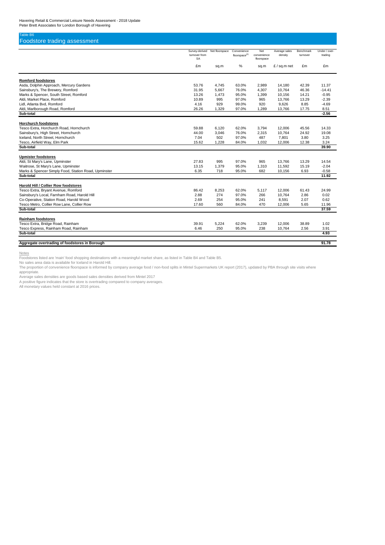|                                                      | Survey-derived<br>turnover from<br><b>SA</b> | Net floorspace | Convenience<br>floorspace $^{(2)}$ | Net<br>convenience<br>floorspace | Average sales<br>density | Benchmark<br>tumover | Under / over-<br>trading |
|------------------------------------------------------|----------------------------------------------|----------------|------------------------------------|----------------------------------|--------------------------|----------------------|--------------------------|
|                                                      | £m                                           | sq.m           | $\%$                               | sq.m                             | $£$ / sq.m net           | £m                   | £m                       |
| <b>Romford foodstores</b>                            |                                              |                |                                    |                                  |                          |                      |                          |
| Asda, Dolphin Approach, Mercury Gardens              | 53.76                                        | 4,745          | 63.0%                              | 2,989                            | 14,180                   | 42.39                | 11.37                    |
| Sainsbury's, The Brewery, Romford                    | 31.95                                        | 5,667          | 76.0%                              | 4,307                            | 10,764                   | 46.36                | $-14.41$                 |
| Marks & Spencer, South Street, Romford               | 13.26                                        | 1,473          | 95.0%                              | 1,399                            | 10,156                   | 14.21                | $-0.95$                  |
| Aldi, Market Place, Romford                          | 10.89                                        | 995            | 97.0%                              | 965                              | 13,766                   | 13.29                | $-2.39$                  |
| Lidl, Atlanta Bvd, Romford                           | 4.16                                         | 929            | 99.0%                              | 920                              | 9,626                    | 8.85                 | $-4.69$                  |
| Aldi, Marlborough Road, Romford                      | 26.26                                        | 1,329          | 97.0%                              | 1.289                            | 13,766                   | 17.75                | 8.51                     |
| Sub-total                                            |                                              |                |                                    |                                  |                          |                      | $-2.56$                  |
| <b>Horchurch foodstores</b>                          |                                              |                |                                    |                                  |                          |                      |                          |
| Tesco Extra, Horchurch Road, Hornchurch              | 59.88                                        | 6,120          | 62.0%                              | 3,794                            | 12.006                   | 45.56                | 14.33                    |
| Sainsbury's, High Street, Hornchurch                 | 44.00                                        | 3,046          | 76.0%                              | 2,315                            | 10,764                   | 24.92                | 19.08                    |
| Iceland, North Street, Hornchurch                    | 7.04                                         | 502            | 97.0%                              | 487                              | 7,801                    | 3.80                 | 3.25                     |
| Tesco, Airfield Way, Elm Park                        | 15.62                                        | 1,228          | 84.0%                              | 1,032                            | 12,006                   | 12.38                | 3.24                     |
| Sub-total                                            |                                              |                |                                    |                                  |                          |                      | 39.90                    |
| <b>Upmister foodstores</b>                           |                                              |                |                                    |                                  |                          |                      |                          |
| Aldi, St Mary's Lane, Upminster                      | 27.83                                        | 995            | 97.0%                              | 965                              | 13,766                   | 13.29                | 14.54                    |
| Waitrose, St Mary's Lane, Upminster                  | 13.15                                        | 1,379          | 95.0%                              | 1,310                            | 11,592                   | 15.19                | $-2.04$                  |
| Marks & Spencer Simply Food, Station Road, Upminster | 6.35                                         | 718            | 95.0%                              | 682                              | 10,156                   | 6.93                 | $-0.58$                  |
| Sub-total                                            |                                              |                |                                    |                                  |                          |                      | 11.92                    |
| Harold Hill / Collier Row foodstores                 |                                              |                |                                    |                                  |                          |                      |                          |
| Tesco Extra, Bryant Avenue, Romford                  | 86.42                                        | 8,253          | 62.0%                              | 5,117                            | 12,006                   | 61.43                | 24.99                    |
| Sainsbury's Local, Farnham Road, Harold Hill         | 2.88                                         | 274            | 97.0%                              | 266                              | 10.764                   | 2.86                 | 0.02                     |
| Co-Operative, Station Road, Harold Wood              | 2.69                                         | 254            | 95.0%                              | 241                              | 8,591                    | 2.07                 | 0.62                     |
| Tesco Metro, Collier Row Lane, Collier Row           | 17.60                                        | 560            | 84.0%                              | 470                              | 12,006                   | 5.65                 | 11.96                    |
| Sub-total                                            |                                              |                |                                    |                                  |                          |                      | 37.59                    |
| Rainham foodstores                                   |                                              |                |                                    |                                  |                          |                      |                          |
| Tesco Extra, Bridge Road, Rainham                    | 39.91                                        | 5,224          | 62.0%                              | 3,239                            | 12,006                   | 38.89                | 1.02                     |
| Tesco Express, Rainham Road, Rainham                 | 6.46                                         | 250            | 95.0%                              | 238                              | 10,764                   | 2.56                 | 3.91                     |
| Sub-total                                            |                                              |                |                                    |                                  |                          |                      | 4.93                     |

odstores<br>sales are<br>e proporti <u>Notes</u><br>Foodstores listed are 'main' food shopping destinations with a meaningful market share, as listed in Table B4 and Table B5.<br>No sales area data is available for Iceland in Harold Hill.<br>The proportion of convenience

verage<br>positive<br>Il monet Average sales densities are goods based sales densities derived from Mintel 2017<br>A positive figure indicates that the store is overtrading compared to company averages.<br>All monetary values held constant at 2016 prices.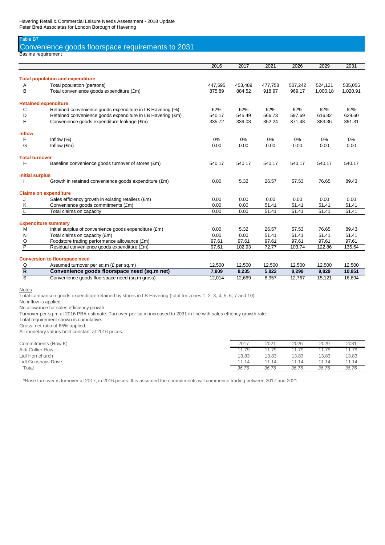#### able B7 Convenience goods floorspace requirements to 2031

**Basline requirement** 

|                         |                                                            | 2016    | 2017    | 2021    | 2026    | 2029     | 2031     |
|-------------------------|------------------------------------------------------------|---------|---------|---------|---------|----------|----------|
|                         |                                                            |         |         |         |         |          |          |
|                         | <b>Total population and expenditure</b>                    |         |         |         |         |          |          |
| A                       | Total population (persons)                                 | 447,595 | 453,489 | 477,758 | 507,242 | 524,121  | 535,055  |
| B                       | Total convenience goods expenditure (£m)                   | 875.89  | 884.52  | 918.97  | 969.17  | 1,000.18 | 1,020.91 |
|                         | <b>Retained expenditure</b>                                |         |         |         |         |          |          |
| C                       | Retained convenience goods expenditure in LB Havering (%)  | 62%     | 62%     | 62%     | 62%     | 62%      | 62%      |
| D                       | Retained convenience goods expenditure in LB Havering (£m) | 540.17  | 545.49  | 566.73  | 597.69  | 616.82   | 629.60   |
| E                       | Convenience goods expenditure leakage (£m)                 | 335.72  | 339.03  | 352.24  | 371.48  | 383.36   | 391.31   |
| <b>Inflow</b>           |                                                            |         |         |         |         |          |          |
| F                       | Inflow $(\%)$                                              | 0%      | $0\%$   | 0%      | 0%      | 0%       | $0\%$    |
| G                       | Inflow (£m)                                                | 0.00    | 0.00    | 0.00    | 0.00    | 0.00     | 0.00     |
| <b>Total turnover</b>   |                                                            |         |         |         |         |          |          |
| H                       | Baseline convenience goods turnover of stores (£m)         | 540.17  | 540.17  | 540.17  | 540.17  | 540.17   | 540.17   |
| <b>Initial surplus</b>  |                                                            |         |         |         |         |          |          |
|                         | Growth in retained convenience goods expenditure (£m)      | 0.00    | 5.32    | 26.57   | 57.53   | 76.65    | 89.43    |
|                         | <b>Claims on expenditure</b>                               |         |         |         |         |          |          |
| J                       | Sales efficiency growth in existing retailers (£m)         | 0.00    | 0.00    | 0.00    | 0.00    | 0.00     | 0.00     |
| Κ                       | Convenience goods commitments (£m)                         | 0.00    | 0.00    | 51.41   | 51.41   | 51.41    | 51.41    |
|                         | Total claims on capacity                                   | 0.00    | 0.00    | 51.41   | 51.41   | 51.41    | 51.41    |
|                         | <b>Expenditure summary</b>                                 |         |         |         |         |          |          |
| M                       | Initial surplus of convenience goods expenditure (£m)      | 0.00    | 5.32    | 26.57   | 57.53   | 76.65    | 89.43    |
| N                       | Total claims on capacity (£m)                              | 0.00    | 0.00    | 51.41   | 51.41   | 51.41    | 51.41    |
| O                       | Foodstore trading performance allowance (£m)               | 97.61   | 97.61   | 97.61   | 97.61   | 97.61    | 97.61    |
| $\overline{P}$          | Residual convenience goods expenditure (£m)                | 97.61   | 102.93  | 72.77   | 103.74  | 122.86   | 135.64   |
|                         | <b>Conversion to floorspace need</b>                       |         |         |         |         |          |          |
| Q                       | Assumed turnover per sq.m (£ per sq.m)                     | 12,500  | 12,500  | 12,500  | 12,500  | 12,500   | 12,500   |
| $\overline{\mathsf{R}}$ | Convenience goods floorspace need (sq.m net)               | 7,809   | 8,235   | 5,822   | 8,299   | 9,829    | 10,851   |
| $\overline{s}$          | Convenience goods floorspace need (sq.m gross)             | 12,014  | 12,669  | 8,957   | 12,767  | 15,121   | 16,694   |

**Notes** 

Total comparison goods expenditure retained by stores in LB Havering (total for zones 1, 2, 3, 4, 5, 6, 7 and 10)

No inflow is applied.

No allowance for sales efficiency growth

Turnover per sq.m at 2016 PBA estimate. Turnover per sq.m increased to 2031 in line with sales effiency growth rate.

Total requirement shown is cumulative.

Gross: net ratio of 65% applied.

All monetary values held constant at 2016 prices.

| Commitments (Row K) | 2017  | 2021  | 2026  | 2029  | 2031  |
|---------------------|-------|-------|-------|-------|-------|
| Aldi Collier Row    | 11.79 | 11.79 | 11.79 | 11.79 | 11.79 |
| Lidl Hornchurch     | 13.83 | 13.83 | 13.83 | 13.83 | 13.83 |
| Lidl Gooshays Drive | 11 14 | 11.14 | 11.14 | 11.14 | 11.14 |
| Total               | 36.76 | 36.76 | 36.76 | 36.76 | 36.76 |

\*Base turnover is turnover at 2017, in 2016 prices. It is assumed the commitments will commence trading between 2017 and 2021.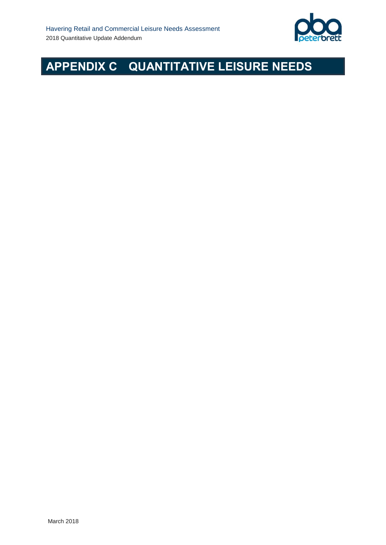

# APPENDIX C QUANTITATIVE LEISURE NEEDS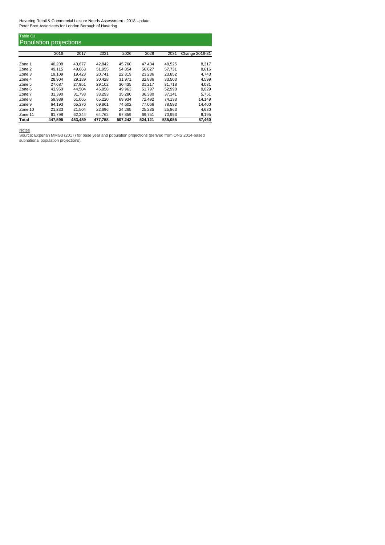| Table C1 |                        |         |         |         |         |         |                |
|----------|------------------------|---------|---------|---------|---------|---------|----------------|
|          | Population projections |         |         |         |         |         |                |
|          |                        |         |         |         |         |         |                |
|          | 2016                   | 2017    | 2021    | 2026    | 2029    | 2031    | Change 2016-31 |
| Zone 1   | 40.208                 | 40.677  | 42.842  | 45.760  | 47.434  | 48,525  | 8,317          |
| Zone 2   | 49.115                 | 49.663  | 51.955  | 54.854  | 56.627  | 57.731  | 8,616          |
| Zone 3   | 19.109                 | 19.423  | 20.741  | 22.319  | 23.236  | 23.852  | 4.743          |
| Zone 4   | 28.904                 | 29.189  | 30.428  | 31.971  | 32.886  | 33.503  | 4.599          |
| Zone 5   | 27.687                 | 27.951  | 29.102  | 30,435  | 31.217  | 31,718  | 4,031          |
| Zone 6   | 43.969                 | 44.504  | 46.858  | 49,963  | 51,797  | 52,998  | 9,029          |
| Zone 7   | 31.390                 | 31.793  | 33.293  | 35.280  | 36.380  | 37.141  | 5.751          |
| Zone 8   | 59.989                 | 61.065  | 65.220  | 69.934  | 72.492  | 74.138  | 14.149         |
| Zone 9   | 64.193                 | 65.376  | 69.861  | 74.602  | 77.066  | 78.593  | 14.400         |
| Zone 10  | 21,233                 | 21,504  | 22,696  | 24,265  | 25,235  | 25,863  | 4,630          |
| Zone 11  | 61.798                 | 62.344  | 64.762  | 67.859  | 69.751  | 70.993  | 9,195          |
| Total    | 447.595                | 453.489 | 477.758 | 507.242 | 524.121 | 535.055 | 87,460         |

Notes<br>Source: Experian MMG3 (2017) for base year and population projections (derived from ONS 2014-based subnational population projections).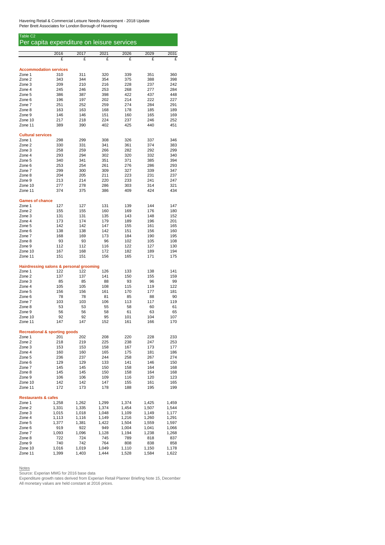| Havering Retail & Commercial Leisure Needs Assessment - 2018 Update |
|---------------------------------------------------------------------|
| Peter Brett Associates for London Borough of Havering               |

| Table C <sub>2</sub>                       |              |              |              |                |                |                |
|--------------------------------------------|--------------|--------------|--------------|----------------|----------------|----------------|
| Per capita expenditure on leisure services |              |              |              |                |                |                |
|                                            |              |              |              |                |                |                |
|                                            | 2016<br>£    | 2017<br>£    | 2021<br>£    | 2026<br>£      | 2029<br>£      | 2031<br>£      |
|                                            |              |              |              |                |                |                |
| <b>Accommodation services</b>              |              |              |              |                |                |                |
| Zone 1                                     | 310          | 311          | 320          | 339            | 351            | 360            |
| Zone 2                                     | 343          | 344          | 354          | 375            | 388            | 398            |
| Zone 3                                     | 209          | 210          | 216          | 228            | 237            | 242            |
| Zone 4<br>Zone 5                           | 245          | 246<br>387   | 253          | 268<br>422     | 277<br>437     | 284<br>448     |
| Zone 6                                     | 386<br>196   | 197          | 398<br>202   | 214            | 222            | 227            |
| Zone 7                                     | 251          | 252          | 259          | 274            | 284            | 291            |
| Zone 8                                     | 163          | 163          | 168          | 178            | 185            | 189            |
| Zone 9                                     | 146          | 146          | 151          | 160            | 165            | 169            |
| Zone 10                                    | 217          | 218          | 224          | 237            | 246            | 252            |
| Zone 11                                    | 389          | 390          | 402          | 425            | 440            | 451            |
|                                            |              |              |              |                |                |                |
| <b>Cultural services</b>                   |              |              |              |                |                |                |
| Zone 1<br>Zone 2                           | 298<br>330   | 299<br>331   | 308<br>341   | 326<br>361     | 337<br>374     | 346<br>383     |
| Zone 3                                     | 258          | 259          | 266          | 282            | 292            | 299            |
| Zone 4                                     | 293          | 294          | 302          | 320            | 332            | 340            |
| Zone 5                                     | 340          | 341          | 351          | 371            | 385            | 394            |
| Zone 6                                     | 253          | 254          | 261          | 276            | 286            | 293            |
| Zone 7                                     | 299          | 300          | 309          | 327            | 339            | 347            |
| Zone 8                                     | 204          | 205          | 211          | 223            | 231            | 237            |
| Zone 9                                     | 213          | 214          | 220          | 233            | 241            | 247            |
| Zone 10                                    | 277          | 278          | 286          | 303            | 314            | 321            |
| Zone 11                                    | 374          | 375          | 386          | 409            | 424            | 434            |
| <b>Games of chance</b>                     |              |              |              |                |                |                |
| Zone 1                                     | 127          | 127          | 131          | 139            | 144            | 147            |
| Zone 2                                     | 155          | 155          | 160          | 169            | 176            | 180            |
| Zone 3                                     | 131          | 131          | 135          | 143            | 148            | 152            |
| Zone 4                                     | 173          | 174          | 179          | 189            | 196            | 201            |
| Zone 5                                     | 142          | 142          | 147          | 155            | 161            | 165            |
| Zone 6                                     | 138          | 138          | 142          | 151            | 156            | 160            |
| Zone 7<br>Zone 8                           | 168<br>93    | 169<br>93    | 173<br>96    | 184<br>102     | 190<br>105     | 195<br>108     |
| Zone 9                                     | 112          | 112          | 116          | 122            | 127            | 130            |
| Zone 10                                    | 167          | 168          | 172          | 182            | 189            | 194            |
| Zone 11                                    | 151          | 151          | 156          | 165            | 171            | 175            |
|                                            |              |              |              |                |                |                |
| Hairdressing salons & personal grooming    |              |              |              |                |                |                |
| Zone 1                                     | 122          | 122          | 126          | 133            | 138            | 141            |
| Zone 2                                     | 137          | 137          | 141          | 150            | 155            | 159            |
| Zone 3<br>Zone 4                           | 85<br>105    | 85<br>105    | 88<br>108    | 93<br>115      | 96<br>119      | 99<br>122      |
| Zone 5                                     | 156          | 156          | 161          | 170            | 177            | 181            |
| Zone 6                                     | 78           | 78           | 81           | 85             | 88             | 90             |
| Zone 7                                     | 103          | 103          | 106          | 113            | 117            | 119            |
| Zone 8                                     | 53           | 53           | 55           | 58             | 60             | 61             |
| Zone 9                                     | 56           | 56           | 58           | 61             | 63             | 65             |
| Zone 10                                    | 92           | 92           | 95           | 101            | 104            | 107            |
| Zone 11                                    | 147          | 147          | 152          | 161            | 166            | 170            |
| <b>Recreational &amp; sporting goods</b>   |              |              |              |                |                |                |
| Zone 1                                     | 201          | 202          | 208          | 220            | 228            | 233            |
| Zone 2                                     | 218          | 219          | 225          | 238            | 247            | 253            |
| Zone 3                                     | 153          | 153          | 158          | 167            | 173            | 177            |
| Zone 4                                     | 160          | 160          | 165          | 175            | 181            | 186            |
| Zone 5                                     | 236          | 237          | 244          | 258            | 267            | 274            |
| Zone 6                                     | 129          | 129          | 133          | 141            | 146            | 150            |
| Zone 7                                     | 145          | 145          | 150          | 158            | 164            | 168            |
| Zone 8<br>Zone 9                           | 145<br>106   | 145          | 150          | 158            | 164            | 168            |
| Zone 10                                    | 142          | 106<br>142   | 109<br>147   | 116<br>155     | 120<br>161     | 123<br>165     |
| Zone 11                                    | 172          | 173          | 178          | 188            | 195            | 199            |
|                                            |              |              |              |                |                |                |
| <b>Restaurants &amp; cafes</b>             |              |              |              |                |                |                |
| Zone 1                                     | 1,258        | 1,262        | 1,299        | 1,374          | 1,425          | 1,459          |
| Zone 2                                     | 1,331        | 1,335        | 1,374        | 1,454          | 1,507          | 1,544          |
| Zone 3                                     | 1,015        | 1,018        | 1,048        | 1,109          | 1,149          | 1,177          |
| Zone 4                                     | 1,113        | 1,116        | 1,149        | 1,216          | 1,260          | 1,291          |
| Zone 5<br>Zone 6                           | 1,377<br>919 | 1,381<br>922 | 1,422<br>949 | 1,504<br>1,004 | 1,559<br>1,041 | 1,597<br>1,066 |
| Zone 7                                     | 1,093        | 1,096        | 1,128        | 1,194          | 1,238          | 1,268          |
| Zone 8                                     | 722          | 724          | 745          | 789            | 818            | 837            |
| Zone 9                                     | 740          | 742          | 764          | 808            | 838            | 858            |
| Zone 10                                    | 1,016        | 1,019        | 1,049        | 1,110          | 1,150          | 1,178          |
| Zone 11                                    | 1,399        | 1,403        | 1,444        | 1,528          | 1,584          | 1,622          |

penditure<br>monetary <u>Notes</u><br>Source: Experian MMG for 2016 base data<br>Expenditure growth rates derived from Experian Retail Planner Briefing Note 15, December<br>All monetary values are held constant at 2016 prices.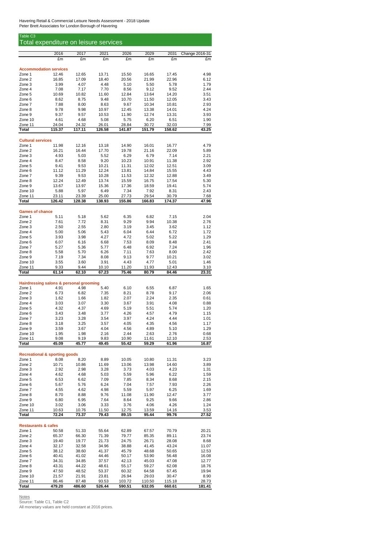| Table C <sub>3</sub><br>Total expenditure on leisure services |                 |                 |                 |                  |                  |                  |                 |
|---------------------------------------------------------------|-----------------|-----------------|-----------------|------------------|------------------|------------------|-----------------|
|                                                               | 2016            | 2017            | 2021            | 2026             | 2029             | 2031             | Change 2016-31  |
|                                                               | £m              | £m              | £m              | £m               | £m               | £m               | £m              |
| <b>Accommodation services</b>                                 |                 |                 |                 |                  |                  |                  |                 |
| Zone 1                                                        | 12.46           | 12.65           | 13.71           | 15.50            | 16.65            | 17.45            | 4.98            |
| Zone 2                                                        | 16.85           | 17.09           | 18.40           | 20.56            | 21.99            | 22.96            | 6.12            |
| Zone 3                                                        | 3.99            | 4.07            | 4.48            | 5.10             | 5.50             | 5.78             | 1.79            |
| Zone 4<br>Zone 5                                              | 7.08<br>10.69   | 7.17<br>10.82   | 7.70<br>11.60   | 8.56<br>12.84    | 9.12<br>13.64    | 9.52<br>14.20    | 2.44<br>3.51    |
| Zone 6                                                        | 8.62            | 8.75            | 9.48            | 10.70            | 11.50            | 12.05            | 3.43            |
| Zone 7                                                        | 7.88            | 8.00            | 8.63            | 9.67             | 10.34            | 10.81            | 2.93            |
| Zone 8                                                        | 9.78            | 9.98            | 10.97           | 12.45            | 13.38            | 14.01            | 4.24            |
| Zone 9                                                        | 9.37            | 9.57            | 10.53           | 11.90            | 12.74            | 13.31            | 3.93            |
| Zone 10<br>Zone 11                                            | 4.61<br>24.04   | 4.68            | 5.08<br>26.01   | 5.75             | 6.20             | 6.51<br>32.03    | 1.90<br>7.99    |
| Total                                                         | 115.37          | 24.32<br>117.11 | 126.58          | 28.84<br>141.87  | 30.72<br>151.79  | 158.62           | 43.25           |
|                                                               |                 |                 |                 |                  |                  |                  |                 |
| <b>Cultural services</b>                                      |                 |                 |                 |                  |                  |                  |                 |
| Zone 1<br>Zone 2                                              | 11.98<br>16.21  | 12.16<br>16.44  | 13.18<br>17.70  | 14.90<br>19.78   | 16.01<br>21.16   | 16.77<br>22.09   | 4.79<br>5.89    |
| Zone 3                                                        | 4.93            | 5.03            | 5.52            | 6.29             | 6.79             | 7.14             | 2.21            |
| Zone 4                                                        | 8.47            | 8.58            | 9.20            | 10.23            | 10.91            | 11.38            | 2.92            |
| Zone 5                                                        | 9.41            | 9.53            | 10.21           | 11.31            | 12.02            | 12.51            | 3.09            |
| Zone 6                                                        | 11.12           | 11.29           | 12.24           | 13.81            | 14.84            | 15.55            | 4.43            |
| Zone 7                                                        | 9.39            | 9.53            | 10.28           | 11.53            | 12.32            | 12.88            | 3.49            |
| Zone 8<br>Zone 9                                              | 12.24<br>13.67  | 12.49<br>13.97  | 13.74<br>15.36  | 15.59<br>17.36   | 16.75<br>18.59   | 17.54<br>19.41   | 5.30<br>5.74    |
| Zone 10                                                       | 5.88            | 5.97            | 6.49            | 7.34             | 7.92             | 8.31             | 2.43            |
| Zone 11                                                       | 23.11           | 23.39           | 25.00           | 27.73            | 29.54            | 30.79            | 7.68            |
| Total                                                         | 126.42          | 128.38          | 138.93          | 155.86           | 166.83           | 174.37           | 47.96           |
| <b>Games of chance</b>                                        |                 |                 |                 |                  |                  |                  |                 |
| Zone 1                                                        | 5.11            | 5.18            | 5.62            | 6.35             | 6.82             | 7.15             | 2.04            |
| Zone 2                                                        | 7.61            | 7.72            | 8.31            | 9.29             | 9.94             | 10.38            | 2.76            |
| Zone 3                                                        | 2.50            | 2.55            | 2.80            | 3.19             | 3.45             | 3.62             | 1.12            |
| Zone 4                                                        | 5.00            | 5.06            | 5.43            | 6.04             | 6.44             | 6.72             | 1.72            |
| Zone 5<br>Zone 6                                              | 3.93<br>6.07    | 3.98<br>6.16    | 4.27<br>6.68    | 4.72<br>7.53     | 5.02<br>8.09     | 5.22<br>8.48     | 1.29<br>2.41    |
| Zone 7                                                        | 5.27            | 5.36            | 5.77            | 6.48             | 6.92             | 7.24             | 1.96            |
| Zone 8                                                        | 5.58            | 5.70            | 6.26            | 7.11             | 7.63             | 8.00             | 2.42            |
| Zone 9                                                        | 7.19            | 7.34            | 8.08            | 9.13             | 9.77             | 10.21            | 3.02            |
| Zone 10                                                       | 3.55            | 3.60            | 3.91            | 4.43             | 4.77             | 5.01             | 1.46            |
| Zone 11<br>Total                                              | 9.33<br>61.14   | 9.44<br>62.10   | 10.10<br>67.23  | 11.20<br>75.46   | 11.93<br>80.79   | 12.43<br>84.46   | 3.10<br>23.31   |
|                                                               |                 |                 |                 |                  |                  |                  |                 |
| Hairdressing salons & personal grooming<br>Zone 1             | 4.91            | 4.98            | 5.40            | 6.10             | 6.55             | 6.87             | 1.65            |
| Zone 2                                                        | 6.73            | 6.82            | 7.35            | 8.21             | 8.78             | 9.17             | 2.06            |
| Zone 3                                                        | 1.62            | 1.66            | 1.82            | 2.07             | 2.24             | 2.35             | 0.61            |
| Zone 4                                                        | 3.03            | 3.07            | 3.30            | 3.67             | 3.91             | 4.08             | 0.88            |
| Zone 5                                                        | 4.32            | 4.37            | 4.69            | 5.19<br>4.26     | 5.51             | 5.74             | 1.20            |
| Zone 6<br>Zone 7                                              | 3.43<br>3.23    | 3.48<br>3.28    | 3.77<br>3.54    | 3.97             | 4.57<br>4.24     | 4.79<br>4.44     | 1.15<br>1.01    |
| ∠one 8                                                        | 3.18            | 3.25            | 3.57            | 4.U5             | 4.35             | 4.56             | 1.17            |
| Zone 9                                                        | 3.59            | 3.67            | 4.04            | 4.56             | 4.89             | 5.10             | 1.29            |
| Zone 10                                                       | 1.95            | 1.98            | 2.16            | 2.44             | 2.63             | 2.76             | 0.68            |
| Zone 11<br>Total                                              | 9.08<br>45.09   | 9.19<br>45.77   | 9.83<br>49.45   | 10.90<br>55.42   | 11.61<br>59.29   | 12.10<br>61.96   | 2.53<br>16.87   |
|                                                               |                 |                 |                 |                  |                  |                  |                 |
| <b>Recreational &amp; sporting goods</b>                      |                 |                 |                 |                  |                  |                  |                 |
| Zone 1                                                        | 8.08            | 8.20            | 8.89            | 10.05            | 10.80            | 11.31            | 3.23            |
| Zone 2                                                        | 10.71           | 10.86           | 11.69           | 13.06            | 13.98            | 14.60            | 3.89            |
| Zone 3<br>Zone 4                                              | 2.92<br>4.62    | 2.98<br>4.68    | 3.28<br>5.03    | 3.73<br>5.59     | 4.03<br>5.96     | 4.23<br>6.22     | 1.31<br>1.59    |
| Zone 5                                                        | 6.53            | 6.62            | 7.09            | 7.85             | 8.34             | 8.68             | 2.15            |
| Zone 6                                                        | 5.67            | 5.76            | 6.24            | 7.04             | 7.57             | 7.93             | 2.26            |
| Zone 7                                                        | 4.55            | 4.62            | 4.98            | 5.59             | 5.97             | 6.25             | 1.69            |
| Zone 8<br>Zone 9                                              | 8.70<br>6.80    | 8.88<br>6.95    | 9.76<br>7.64    | 11.08<br>8.64    | 11.90<br>9.25    | 12.47<br>9.66    | 3.77<br>2.86    |
| Zone 10                                                       | 3.02            | 3.06            | 3.33            | 3.76             | 4.06             | 4.26             | 1.24            |
| Zone 11                                                       | 10.63           | 10.76           | 11.50           | 12.75            | 13.59            | 14.16            | 3.53            |
| Total                                                         | 72.24           | 73.37           | 79.43           | 89.15            | 95.44            | 99.76            | 27.52           |
| <b>Restaurants &amp; cafes</b>                                |                 |                 |                 |                  |                  |                  |                 |
| Zone 1                                                        | 50.58           | 51.33           | 55.64           | 62.89            | 67.57            | 70.79            | 20.21           |
| Zone 2                                                        | 65.37           | 66.30           | 71.39           | 79.77            | 85.35            | 89.11            | 23.74           |
| Zone 3                                                        | 19.40           | 19.77           | 21.73           | 24.75            | 26.71            | 28.08            | 8.68            |
| Zone 4                                                        | 32.17           | 32.58           | 34.96           | 38.88            | 41.45            | 43.24            | 11.07           |
| Zone 5<br>Zone 6                                              | 38.12<br>40.41  | 38.60<br>41.02  | 41.37<br>44.46  | 45.79<br>50.17   | 48.68<br>53.90   | 50.65<br>56.48   | 12.53<br>16.08  |
| Zone 7                                                        | 34.31           | 34.85           | 37.57           | 42.13            | 45.03            | 47.08            | 12.77           |
| Zone 8                                                        | 43.31           | 44.22           | 48.61           | 55.17            | 59.27            | 62.08            | 18.76           |
| Zone 9                                                        | 47.50           | 48.52           | 53.37           | 60.32            | 64.58            | 67.45            | 19.94           |
| Zone 10                                                       | 21.57           | 21.91           | 23.81           | 26.94            | 29.03            | 30.47            | 8.90            |
| Zone 11<br>Total                                              | 86.46<br>479.20 | 87.48<br>486.60 | 93.53<br>526.44 | 103.72<br>590.51 | 110.50<br>632.05 | 115.18<br>660.61 | 28.73<br>181.41 |

urce:<br>mone <u>Notes</u><br>Source: Table C1, Table C2<br>All monetary values are held constant at 2016 prices.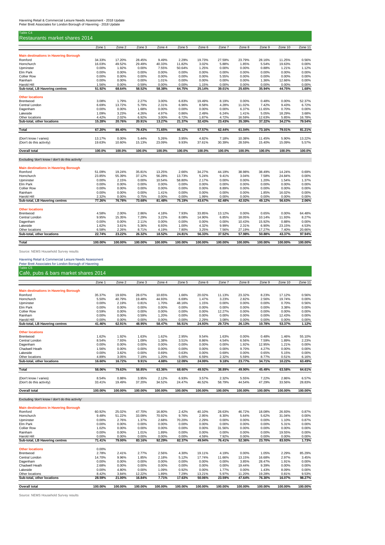Havering Retail & Commercial Leisure Needs Assessment - 2018 Update Peter Brett Associates for London Borough of Havering - 2018 Update

| Table C4                                        |         |         |         |         |         |         |         |         |         |         |         |
|-------------------------------------------------|---------|---------|---------|---------|---------|---------|---------|---------|---------|---------|---------|
| <b>Restaurants market shares 2014</b>           |         |         |         |         |         |         |         |         |         |         |         |
|                                                 | Zone 1  | Zone 2  | Zone 3  | Zone 4  | Zone 5  | Zone 6  | Zone 7  | Zone 8  | Zone 9  | Zone 10 | Zone 11 |
|                                                 |         |         |         |         |         |         |         |         |         |         |         |
| <b>Main destinations in Havering Borough</b>    |         |         |         |         |         |         |         |         |         |         |         |
| Romford                                         | 34.33%  | 17.20%  | 28.45%  | 9.49%   | 2.29%   | 19.73%  | 27.59%  | 23.79%  | 28.16%  | 11.25%  | 0.56%   |
| Hornchurch                                      | 16.03%  | 49.52%  | 29.49%  | 40.33%  | 11.82%  | 3.02%   | 5.88%   | 1.85%   | 5.54%   | 19.63%  | 0.00%   |
| Upminster                                       | 0.00%   | 1.92%   | 0.00%   | 7.55%   | 50.64%  | 1.25%   | 0.00%   | 0.00%   | 0.88%   | 1.21%   | 1.12%   |
| Elm Park                                        | 0.00%   | 0.00%   | 0.00%   | 0.00%   | 0.00%   | 0.00%   | 0.00%   | 0.00%   | 0.00%   | 0.00%   | 0.00%   |
| <b>Collier Row</b>                              | 0.00%   | 0.00%   | 0.00%   | 0.00%   | 0.00%   | 0.00%   | 5.55%   | 0.00%   | 0.00%   | 0.00%   | 0.00%   |
| Rainham                                         | 0.00%   | 0.00%   | 0.00%   | 1.01%   | 0.00%   | 0.00%   | 0.00%   | 0.00%   | 1.36%   | 12.66%  | 0.00%   |
| <b>Harold Hill</b>                              | 1.56%   | 0.00%   | 0.59%   | 0.00%   | 0.00%   | 1.15%   | 0.00%   | 0.00%   | 0.00%   | 0.00%   | 0.00%   |
| Sub-total, LB Havering centres                  | 51.92%  | 68.64%  | 58.52%  | 58.38%  | 64.75%  | 25.14%  | 39.01%  | 25.65%  | 35.94%  | 44.75%  | 1.68%   |
| <b>Other locations</b>                          |         |         |         |         |         |         |         |         |         |         |         |
| Brentwood                                       | 3.08%   | 1.79%   | 2.27%   | 3.00%   | 6.83%   | 19.49%  | 8.19%   | 0.00%   | 0.48%   | 0.00%   | 52.37%  |
| Central London                                  | 6.69%   | 13.72%  | 5.79%   | 2.31%   | 6.96%   | 8.58%   | 4.28%   | 11.02%  | 7.42%   | 9.43%   | 6.72%   |
| Dagenham                                        | 0.00%   | 0.00%   | 1.68%   | 0.00%   | 0.00%   | 0.00%   | 0.00%   | 6.37%   | 11.65%  | 0.70%   | 0.00%   |
| Lakeside                                        | 1.09%   | 3.23%   | 4.26%   | 4.97%   | 0.86%   | 2.49%   | 6.24%   | 1.41%   | 5.05%   | 18.29%  | 3.68%   |
| Other locations                                 | 4.42%   | 2.02%   | 6.92%   | 3.00%   | 6.72%   | 1.87%   | 4.72%   | 16.59%  | 12.63%  | 5.85%   | 16.78%  |
| Sub-total, other locations                      | 15.28%  | 20.76%  | 20.91%  | 13.27%  | 21.37%  | 32.43%  | 23.43%  | 35.39%  | 37.22%  | 34.27%  | 79.54%  |
|                                                 |         |         |         |         |         |         |         |         |         |         |         |
| Total                                           | 67.20%  | 89.40%  | 79.43%  | 71.65%  | 86.12%  | 57.57%  | 62.44%  | 61.04%  | 73.16%  | 79.01%  | 81.21%  |
| (Don't know / varies)                           | 13.17%  | 0.00%   | 5.44%   | 5.26%   | 3.95%   | 4.82%   | 7.18%   | 10.38%  | 11.45%  | 5.90%   | 13.22%  |
|                                                 | 19.63%  | 10.60%  | 15.13%  | 23.09%  | 9.93%   | 37.61%  | 30.39%  | 28.59%  |         |         | 5.57%   |
| (Don't do this activity)                        |         |         |         |         |         |         |         |         | 15.40%  | 15.09%  |         |
| <b>Overall total</b>                            | 100.0%  | 100.0%  | 100.0%  | 100.0%  | 100.0%  | 100.0%  | 100.0%  | 100.0%  | 100.0%  | 100.0%  | 100.0%  |
| Excluding 'don't know / don't do this activity' |         |         |         |         |         |         |         |         |         |         |         |
| <b>Main destinations in Havering Borough</b>    |         |         |         |         |         |         |         |         |         |         |         |
| Romford                                         | 51.09%  | 19.24%  | 35.81%  | 13.25%  | 2.66%   | 34.27%  | 44.19%  | 38.98%  | 38.49%  | 14.24%  | 0.69%   |
| Hornchurch                                      | 23.85%  | 55.39%  | 37.12%  | 56.28%  | 13.73%  | 5.24%   | 9.41%   | 3.04%   | 7.58%   | 24.84%  | 0.00%   |
| Upminster                                       | 0.00%   | 2.15%   | 0.00%   | 10.54%  | 58.80%  | 2.17%   | 0.00%   | 0.00%   | 1.20%   | 1.54%   | 1.37%   |
| Elm Park                                        | 0.00%   | 0.00%   | 0.00%   | 0.00%   | 0.00%   | 0.00%   | 0.00%   | 0.00%   | 0.00%   | 0.00%   | 0.00%   |
| <b>Collier Row</b>                              | 0.00%   | 0.00%   | 0.00%   | 0.00%   | 0.00%   | 0.00%   | 8.89%   | 0.00%   | 0.00%   | 0.00%   | 0.00%   |
| Rainham                                         | 0.00%   | 0.00%   | 0.00%   | 1.41%   | 0.00%   | 0.00%   | 0.00%   | 0.00%   | 1.85%   | 16.02%  | 0.00%   |
| Harold Hill                                     | 2.32%   | 0.00%   | 0.75%   | 0.00%   | 0.00%   | 1.99%   | 0.00%   | 0.00%   | 0.00%   | 0.00%   | 0.00%   |
| Sub-total, LB Havering centres                  | 77.26%  | 76.78%  | 73.68%  | 81.48%  | 75.19%  | 43.67%  | 62.48%  | 42.02%  | 49.12%  | 56.63%  | 2.06%   |
|                                                 |         |         |         |         |         |         |         |         |         |         |         |
| <b>Other locations</b>                          |         | 2.00%   | 2.86%   | 4.18%   | 7.93%   | 33.85%  | 13.12%  | 0.00%   | 0.65%   | 0.00%   | 64.48%  |
| Brentwood                                       | 4.58%   |         |         |         |         |         |         |         |         |         |         |
| Central London                                  | 9.95%   | 15.35%  | 7.29%   | 3.22%   | 8.08%   | 14.90%  | 6.85%   | 18.05%  | 10.14%  | 11.93%  | 8.27%   |
| Dagenham                                        | 0.00%   | 0.00%   | 2.11%   | 0.00%   | 0.00%   | 0.00%   | 0.00%   | 10.43%  | 15.92%  | 0.88%   | 0.00%   |
| Lakeside                                        | 1.62%   | 3.61%   | 5.36%   | 6.93%   | 1.00%   | 4.32%   | 9.99%   | 2.31%   | 6.90%   | 23.15%  | 4.53%   |
| Other locations                                 | 6.58%   | 2.26%   | 8.71%   | 4.19%   | 7.80%   | 3.25%   | 7.56%   | 27.19%  | 17.27%  | 7.40%   | 20.66%  |
| Sub-total, other locations                      | 22.74%  | 23.22%  | 26.32%  | 18.52%  | 24.81%  | 56.33%  | 37.52%  | 57.98%  | 50.88%  | 43.37%  | 97.94%  |
| <b>Total</b>                                    | 100.00% | 100.00% | 100.00% | 100.00% | 100.00% | 100.00% | 100.00% | 100.00% | 100.00% | 100.00% | 100.00% |
|                                                 |         |         |         |         |         |         |         |         |         |         |         |

Source: NEMS Household Survey results

Havering Retail & Commercial Leisure Needs Assessment Peter Brett Associates for London Borough of Havering

 Café, pubs & bars market shares 2014  **Main destinations in Havering Borough**  Romford  **Sub-total, LB Havering centres**  (Don't know / varies) (Don't do this activity) Excluding 'don't know / don't do this activity'  **Main destinations in Havering Borough Sub-total, LB Havering centres**  Other locations **Sub-total, other locations**  Table C5 Hornchurch Upminster Elm Park Collier Row Rainham Harold Hill Zone 1 35.37% 5.50% 0.00% 0.00% 0.59% 0.00% 0.00% **41.46%**  Zone 2 19.93% 40.79% 2.19% 0.00% 0.00% 0.00% 0.00% **62.91%**  Zone 3 28.07% 19.48% 0.81%<br>0.81% 0.00% 0.00% 0.59% 0.00% **48.95%**  Zone 4 10.65% 44.93% 1.70% 0.00% 0.00% 1.20% 0.00% **58.47%**  Zone 5 1.66% 6.69% 48.16% 0.00% 0.00% 0.00% 0.00% **56.51%**  Zone 6 20.02% 1.47% 1.15% 0.00% 0.00% 0.00% 2.29% **24.93%**  Zone 7 11.13% 3.23% 0.00% 0.00% 12.27% 0.00% 3.08% **29.72%**  Zone 8 23.32% 2.82% 0.00% 0.00% 0.00% 0.00% 0.00% **26.13%**  Zone 9 8.23% 2.56% 0.00% 0.00% 0.00% 0.00% 0.00% **10.78%**  Zone 10 17.12% 19.74% 0.70% 3.38% 0.00% 12.43% 0.00% **53.37%**  Zone 11 0.56% 0.00% 0.56% 0.00% 0.00% 0.00%  $0.00%$ **1.12% Other locations**  Brentwood Central London Dagenham Chadwell Heath Lakeside Other locations **Sub-total Total**  1.62% 8.54% 0.00% 1.56% 0.00% 4.89% **16.60% 58.06%**  1.92% 7.93% 0.00% 0.00% 3.82% 3.05% **16.72% 79.63%**  1.63% 1.09% 0.00% 0.00% 0.00% 7.19% **9.91% 58.85%**  1.62% 1.38% 0.00% 0.00% 0.69% 1.20% **4.88% 63.36%**  2.95% 3.51% 0.00% 0.00% 0.63% 5.00% **12.09% 68.60%**  9.54% 8.86% 0.00% 0.00% 0.00% 6.59% **24.99% 49.92%**  1.63% 4.54% 0.00% 0.00% 0.69% 2.32% **9.18% 38.89%**  0.00% 6.56% 1.92% 9.70% 0.00% 5.59% **23.77% 49.90%**  0.48% 7.59% 12.95% 4.27% 0.65% 8.77% **34.71% 45.49%**  1.46% 1.89%  $1.21%$  $0.00%$ 5.15% 0.51% **10.22% 63.58%**  55.10% 2.23% 0.00% 0.00% 0.00% 6.16% **63.49% 64.61%**  (Don't know / varies) 8.54% 0.88% 3.95% 2.12% 6.93% 3.57% 2.32% 5.55% 7.22% 2.86% 6.57% (Don't do this activity) 33.41% 19.49% 37.20% 34.52% 24.47% 46.52% 58.79% 44.54% 47.29% 33.56% 28.83% **Overall total**  Romford Hornchurch Upminster Elm Park Collier Row Rainha Harold Hill **100.00%**  60.92% 9.48% 0.00% 0.00% 1.02% 0.00% 0.00% **71.41% 100.00%**  25.02% 51.22% 2.76% 0.00% 0.00% 0.00% 0.00% **79.00% 100.00%**  47.70% 33.09% 1.37% 0.00% 0.00% 1.01% 0.00% **83.16% 100.00%**  16.80% 70.92% 2.68% 0.00% 0.00% 1.89% 0.00% **92.29% 100.00%**  2.42% 9.76% 70.20% 0.00% 0.00% 0.00% 0.00% **82.37% 100.00%**  40.10% 2.95% 2.29% 0.00% 0.00% 0.00%  $4.59$ **49.94% 100.00%**  28.63% 8.30% 0.00% 0.00% 31.56% 0.00% 7.92% **76.41% 100.00%**  46.72% 5.64% 0.00% 0.00% 0.00% 0.00% 0.00% **52.36% 100.00%**  18.08% 5.62% 0.00% 0.00% 0.00% 0.00% 0.00% **23.70% 100.00%**  26.93% 31.04% 1.10% 5.31% 0.00% 19.55% 0.00% **83.93% 100.00%**  0.87% 0.00% 0.87% 0.00% 0.00% 0.00% 0.00% **1.73% Other loca** Brentwood Central London Dagenha Chadwell Heath Lakeside 0.00% 2.78% 14.70% 0.00% 2.68% 0.00% 8.42% **28.59%**  2.41% 9.96% 0.00% 0.00% 4.80% 3.84% **21.00%**  2.77% 1.85% 0.00% 0.00% 0.00% 12.22% **16.84%**  2.56% 2.18% 0.00% 0.00% 1.09% 1.89% **7.71%**  4.30% 5.12% 0.00% 0.00% 0.92% 7.29% **17.63%**  19.11% 17.74% 0.00% 0.00% 0.00% 13.21% **50.06%**  4.19% 11.66% 0.00% 0.00% 1.77% 5.97% **23.59%**  0.00% 13.15% 3.85% 19.44% 0.00% 11.20% **47.64%**  1.05% 16.68% 28.47% 9.39% 1.43% 19.28% **76.30%**  2.29% 2.97% 1.91% 0.00% 8.09% 0.81% **16.07%**  85.29% 3.45% 0.00% 0.00% 0.00% 9.53% **98.27%** 

Source: NEMS Household Survey results

**100.00%** 

**100.00%** 

**100.00%** 

**100.00%** 

**100.00%** 

**100.00%** 

**100.00%** 

**100.00%** 

**100.00%** 

**100.00%** 

**100.00%** 

**Overall total**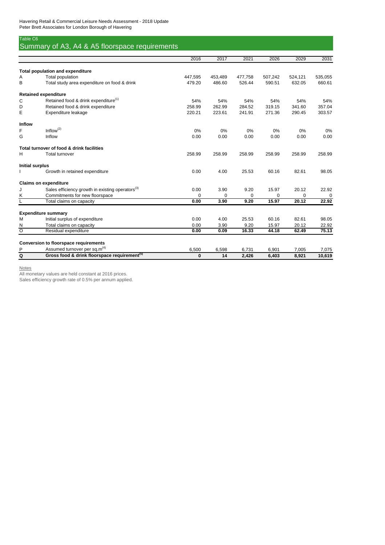#### Summary of A3, A4 & A5 floorspace requirements Table C6

|                        |                                                                    | 2016     | 2017    | 2021    | 2026    | 2029     | 2031    |
|------------------------|--------------------------------------------------------------------|----------|---------|---------|---------|----------|---------|
|                        |                                                                    |          |         |         |         |          |         |
|                        | <b>Total population and expenditure</b><br><b>Total population</b> | 447,595  | 453,489 | 477,758 | 507,242 | 524,121  | 535,055 |
| Α<br>B                 | Total study area expenditure on food & drink                       | 479.20   | 486.60  | 526.44  | 590.51  | 632.05   | 660.61  |
|                        |                                                                    |          |         |         |         |          |         |
|                        | <b>Retained expenditure</b>                                        |          |         |         |         |          |         |
| С                      | Retained food & drink expenditure <sup>(1)</sup>                   | 54%      | 54%     | 54%     | 54%     | 54%      | 54%     |
| D                      | Retained food & drink expenditure                                  | 258.99   | 262.99  | 284.52  | 319.15  | 341.60   | 357.04  |
| E                      | Expenditure leakage                                                | 220.21   | 223.61  | 241.91  | 271.36  | 290.45   | 303.57  |
| Inflow                 |                                                                    |          |         |         |         |          |         |
|                        | Inflow <sup>(2)</sup>                                              |          |         |         |         |          |         |
| F                      |                                                                    | 0%       | 0%      | $0\%$   | 0%      | 0%       | 0%      |
| G                      | Inflow                                                             | 0.00     | 0.00    | 0.00    | 0.00    | 0.00     | 0.00    |
|                        | Total turnover of food & drink facilities                          |          |         |         |         |          |         |
| н                      | Total turnover                                                     | 258.99   | 258.99  | 258.99  | 258.99  | 258.99   | 258.99  |
| <b>Initial surplus</b> |                                                                    |          |         |         |         |          |         |
|                        | Growth in retained expenditure                                     | 0.00     | 4.00    | 25.53   | 60.16   | 82.61    | 98.05   |
|                        | <b>Claims on expenditure</b>                                       |          |         |         |         |          |         |
| J                      | Sales efficiency growth in existing operators <sup>(3)</sup>       | 0.00     | 3.90    | 9.20    | 15.97   | 20.12    | 22.92   |
| Κ                      | Commitments for new floorspace                                     | $\Omega$ | 0       | 0       | 0       | $\Omega$ | 0       |
| L                      | Total claims on capacity                                           | 0.00     | 3.90    | 9.20    | 15.97   | 20.12    | 22.92   |
|                        | <b>Expenditure summary</b>                                         |          |         |         |         |          |         |
| M                      | Initial surplus of expenditure                                     | 0.00     | 4.00    | 25.53   | 60.16   | 82.61    | 98.05   |
| Ν                      | Total claims on capacity                                           | 0.00     | 3.90    | 9.20    | 15.97   | 20.12    | 22.92   |
| $\overline{\circ}$     | Residual expenditure                                               | 0.00     | 0.09    | 16.33   | 44.18   | 62.49    | 75.13   |
|                        |                                                                    |          |         |         |         |          |         |
|                        | Conversion to floorspace requirements                              |          |         |         |         |          |         |
| Ρ                      | Assumed turnover per sq.m <sup>(4)</sup>                           | 6,500    | 6,598   | 6,731   | 6,901   | 7,005    | 7,075   |
| Q                      | Gross food & drink floorspace requirement <sup>(5)</sup>           | $\bf{0}$ | 14      | 2,426   | 6,403   | 8,921    | 10,619  |

**Notes** 

All monetary values are held constant at 2016 prices.

Sales efficiency growth rate of 0.5% per annum applied.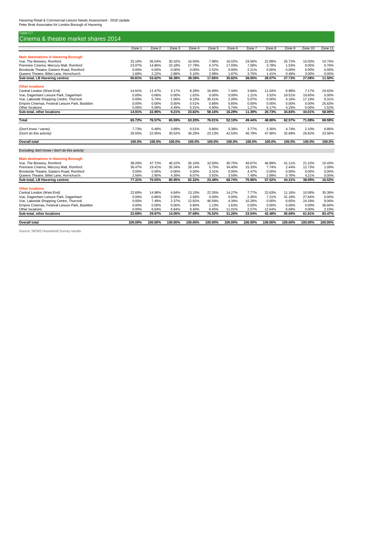| Cinema & theatre market shares 2014<br>Zone 1<br>Zone 4<br>Zone 5<br>Zone 7<br>Zone 8<br>Zone 11<br>Zone 2<br>Zone 3<br>Zone 6<br>Zone 9<br>Zone 10<br><b>Main destinations in Havering Borough</b><br>Vue, The Brewery, Romford<br>25.16%<br>36.54%<br>30.32%<br>16.50%<br>7.98%<br>16.02%<br>24.56%<br>22.89%<br>25.72%<br>15.03%<br>10.74%<br>4.37%<br>Premiere Cinema, Mercury Mall, Romford<br>23.97%<br>14.86%<br>23.18%<br>17.79%<br>17.93%<br>7.58%<br>3.78%<br>1.53%<br>9.05%<br>0.76%<br>Brookside Theatre, Eastern Road, Romford<br>0.00%<br>0.00%<br>0.00%<br>2.52%<br>0.00%<br>2.21%<br>0.00%<br>0.00%<br>0.00%<br>0.00%<br>0.00%<br>Queens Theatre, Billet Lane, Hornchurch<br>1.68%<br>2.22%<br>2.88%<br>5.10%<br>2.98%<br>1.87%<br>3.70%<br>1.41%<br>0.48%<br>3.00%<br>0.00%<br>17.85%<br>11.50%<br>Sub-total, LB Havering centres<br>50.81%<br>53.62%<br>56.38%<br>39.39%<br>35.82%<br>38.05%<br>28.07%<br>27.73%<br>27.08%<br>14.91%<br>11.47%<br>3.17%<br>8.28%<br>16.99%<br>7.44%<br>3.84%<br>11.04%<br>6.98%<br>7.17%<br>24.63%<br>Vue, Dagenham Leisure Park, Dagenham<br>0.00%<br>1.62%<br>0.00%<br>1.21%<br>3.52%<br>19.51%<br>0.00%<br>0.00%<br>0.66%<br>0.00%<br>19.65%<br>5.07%<br>Vue, Lakeside Shopping Centre, Thurrock<br>0.00%<br>5.74%<br>1.56%<br>8.10%<br>35.41%<br>2.26%<br>0.00%<br>4.16%<br>17.19%<br>6.31%<br>Empire Cinemas, Festival Leisure Park, Basildon<br>0.00%<br>0.00%<br>0.00%<br>0.51%<br>0.86%<br>0.85%<br>0.00%<br>0.00%<br>0.00%<br>0.00%<br>25.63%<br>Other locations<br>0.00%<br>5.08%<br>4.49%<br>4.90%<br>1.27%<br>6.17%<br>4.19%<br>5.31%<br>5.74%<br>0.00%<br>1.52%<br>14.91%<br>22.95%<br>9.21%<br>23.82%<br>58.16%<br>16.29%<br>11.39%<br>20.73%<br>34.84%<br>58.09%<br>Sub-total, other locations<br>44.01%<br>65.72%<br>76.57%<br>65.59%<br>63.20%<br>52.10%<br>48.80%<br>62.57%<br>69.59%<br>76.01%<br>49.44%<br>71.08%<br>7.73%<br>0.51%<br>0.86%<br>5.38%<br>3.77%<br>4.74%<br>6.86%<br>(Don't know / varies)<br>0.48%<br>3.89%<br>3.30%<br>2.10%<br>36.29%<br>32.69%<br>(Don't do this activity)<br>26.55%<br>22.95%<br>30.52%<br>23.13%<br>42.53%<br>46.79%<br>47.90%<br>26.82%<br>23.56%<br>100.0%<br>100.0%<br>100.0%<br>100.0%<br>100.0%<br>100.0%<br>100.0%<br>100.0%<br>100.0%<br>100.0%<br>100.0%<br>Excluding 'don't know / don't do this activity'<br>38.29%<br>47.72%<br>10.50%<br>30.75%<br>49.67%<br>46.22%<br>26.10%<br>46.89%<br>41.11%<br>21.15%<br>15.43%<br>5.75%<br>1.09%<br>36.47%<br>19.41%<br>35.34%<br>28.14%<br>34.40%<br>15.33%<br>7.74%<br>2.44%<br>12.73%<br>0.00%<br>0.00%<br>0.00%<br>0.00%<br>3.31%<br>0.00%<br>4.47%<br>0.00%<br>0.00%<br>0.00%<br>0.00%<br>2.56%<br>3.92%<br>0.76%<br>2.90%<br>4.39%<br>8.07%<br>3.59%<br>7.49%<br>2.89%<br>4.21%<br>0.00%<br>Sub-total, LB Havering centres<br>77.31%<br>70.03%<br>85.95%<br>62.32%<br>23.48%<br>68.74%<br>76.96%<br>57.52%<br>44.31%<br>38.09%<br>16.53%<br><b>Other locations</b><br>35.39%<br>Central London (West End)<br>22.69%<br>14.98%<br>4.84%<br>13.10%<br>22.35%<br>14.27%<br>7.77%<br>22.63%<br>11.16%<br>10.08%<br>Vue, Dagenham Leisure Park, Dagenham<br>0.00%<br>0.00%<br>2.56%<br>0.00%<br>0.00%<br>2.45%<br>31.18%<br>0.00%<br>0.86%<br>7.21%<br>27.64%<br>Vue, Lakeside Shopping Centre, Thurrock<br>0.00%<br>2.37%<br>12.82%<br>46.59%<br>10.26%<br>6.65%<br>9.06%<br>7.49%<br>4.34%<br>0.00%<br>24.18%<br>Empire Cinemas, Festival Leisure Park, Basildon<br>0.00%<br>0.00%<br>0.00%<br>0.80%<br>1.13%<br>1.63%<br>0.00%<br>0.00%<br>0.00%<br>0.00%<br>36.84%<br>0.00%<br>8.40%<br>6.45%<br>2.57%<br>6.69%<br>6.64%<br>6.84%<br>11.01%<br>12.64%<br>0.00%<br>2.19%<br>22.69%<br>76.52%<br>31.26%<br>42.48%<br>83.47%<br>29.97%<br>14.05%<br>37.68%<br>23.04%<br>55.69%<br>61.91%<br>100.00%<br>100.00%<br>100.00%<br>100.00%<br><b>Overall total</b><br>100.00%<br>100.00%<br>100.00%<br>100.00%<br>100.00%<br>100.00%<br>100.00% | Table C7                                     |  |  |  |  |  |  |
|-----------------------------------------------------------------------------------------------------------------------------------------------------------------------------------------------------------------------------------------------------------------------------------------------------------------------------------------------------------------------------------------------------------------------------------------------------------------------------------------------------------------------------------------------------------------------------------------------------------------------------------------------------------------------------------------------------------------------------------------------------------------------------------------------------------------------------------------------------------------------------------------------------------------------------------------------------------------------------------------------------------------------------------------------------------------------------------------------------------------------------------------------------------------------------------------------------------------------------------------------------------------------------------------------------------------------------------------------------------------------------------------------------------------------------------------------------------------------------------------------------------------------------------------------------------------------------------------------------------------------------------------------------------------------------------------------------------------------------------------------------------------------------------------------------------------------------------------------------------------------------------------------------------------------------------------------------------------------------------------------------------------------------------------------------------------------------------------------------------------------------------------------------------------------------------------------------------------------------------------------------------------------------------------------------------------------------------------------------------------------------------------------------------------------------------------------------------------------------------------------------------------------------------------------------------------------------------------------------------------------------------------------------------------------------------------------------------------------------------------------------------------------------------------------------------------------------------------------------------------------------------------------------------------------------------------------------------------------------------------------------------------------------------------------------------------------------------------------------------------------------------------------------------------------------------------------------------------------------------------------------------------------------------------------------------------------------------------------------------------------------------------------------------------------------------------------------------------------------------------------------------------------------------------------------------------------------------------------------------------------------------------------------------------------------------------------------------------------------------------------------------------------------------------------------------------------------------------------------------------------------------------------------------|----------------------------------------------|--|--|--|--|--|--|
|                                                                                                                                                                                                                                                                                                                                                                                                                                                                                                                                                                                                                                                                                                                                                                                                                                                                                                                                                                                                                                                                                                                                                                                                                                                                                                                                                                                                                                                                                                                                                                                                                                                                                                                                                                                                                                                                                                                                                                                                                                                                                                                                                                                                                                                                                                                                                                                                                                                                                                                                                                                                                                                                                                                                                                                                                                                                                                                                                                                                                                                                                                                                                                                                                                                                                                                                                                                                                                                                                                                                                                                                                                                                                                                                                                                                                                                                                                           |                                              |  |  |  |  |  |  |
|                                                                                                                                                                                                                                                                                                                                                                                                                                                                                                                                                                                                                                                                                                                                                                                                                                                                                                                                                                                                                                                                                                                                                                                                                                                                                                                                                                                                                                                                                                                                                                                                                                                                                                                                                                                                                                                                                                                                                                                                                                                                                                                                                                                                                                                                                                                                                                                                                                                                                                                                                                                                                                                                                                                                                                                                                                                                                                                                                                                                                                                                                                                                                                                                                                                                                                                                                                                                                                                                                                                                                                                                                                                                                                                                                                                                                                                                                                           |                                              |  |  |  |  |  |  |
|                                                                                                                                                                                                                                                                                                                                                                                                                                                                                                                                                                                                                                                                                                                                                                                                                                                                                                                                                                                                                                                                                                                                                                                                                                                                                                                                                                                                                                                                                                                                                                                                                                                                                                                                                                                                                                                                                                                                                                                                                                                                                                                                                                                                                                                                                                                                                                                                                                                                                                                                                                                                                                                                                                                                                                                                                                                                                                                                                                                                                                                                                                                                                                                                                                                                                                                                                                                                                                                                                                                                                                                                                                                                                                                                                                                                                                                                                                           |                                              |  |  |  |  |  |  |
|                                                                                                                                                                                                                                                                                                                                                                                                                                                                                                                                                                                                                                                                                                                                                                                                                                                                                                                                                                                                                                                                                                                                                                                                                                                                                                                                                                                                                                                                                                                                                                                                                                                                                                                                                                                                                                                                                                                                                                                                                                                                                                                                                                                                                                                                                                                                                                                                                                                                                                                                                                                                                                                                                                                                                                                                                                                                                                                                                                                                                                                                                                                                                                                                                                                                                                                                                                                                                                                                                                                                                                                                                                                                                                                                                                                                                                                                                                           |                                              |  |  |  |  |  |  |
|                                                                                                                                                                                                                                                                                                                                                                                                                                                                                                                                                                                                                                                                                                                                                                                                                                                                                                                                                                                                                                                                                                                                                                                                                                                                                                                                                                                                                                                                                                                                                                                                                                                                                                                                                                                                                                                                                                                                                                                                                                                                                                                                                                                                                                                                                                                                                                                                                                                                                                                                                                                                                                                                                                                                                                                                                                                                                                                                                                                                                                                                                                                                                                                                                                                                                                                                                                                                                                                                                                                                                                                                                                                                                                                                                                                                                                                                                                           |                                              |  |  |  |  |  |  |
|                                                                                                                                                                                                                                                                                                                                                                                                                                                                                                                                                                                                                                                                                                                                                                                                                                                                                                                                                                                                                                                                                                                                                                                                                                                                                                                                                                                                                                                                                                                                                                                                                                                                                                                                                                                                                                                                                                                                                                                                                                                                                                                                                                                                                                                                                                                                                                                                                                                                                                                                                                                                                                                                                                                                                                                                                                                                                                                                                                                                                                                                                                                                                                                                                                                                                                                                                                                                                                                                                                                                                                                                                                                                                                                                                                                                                                                                                                           |                                              |  |  |  |  |  |  |
|                                                                                                                                                                                                                                                                                                                                                                                                                                                                                                                                                                                                                                                                                                                                                                                                                                                                                                                                                                                                                                                                                                                                                                                                                                                                                                                                                                                                                                                                                                                                                                                                                                                                                                                                                                                                                                                                                                                                                                                                                                                                                                                                                                                                                                                                                                                                                                                                                                                                                                                                                                                                                                                                                                                                                                                                                                                                                                                                                                                                                                                                                                                                                                                                                                                                                                                                                                                                                                                                                                                                                                                                                                                                                                                                                                                                                                                                                                           |                                              |  |  |  |  |  |  |
|                                                                                                                                                                                                                                                                                                                                                                                                                                                                                                                                                                                                                                                                                                                                                                                                                                                                                                                                                                                                                                                                                                                                                                                                                                                                                                                                                                                                                                                                                                                                                                                                                                                                                                                                                                                                                                                                                                                                                                                                                                                                                                                                                                                                                                                                                                                                                                                                                                                                                                                                                                                                                                                                                                                                                                                                                                                                                                                                                                                                                                                                                                                                                                                                                                                                                                                                                                                                                                                                                                                                                                                                                                                                                                                                                                                                                                                                                                           |                                              |  |  |  |  |  |  |
|                                                                                                                                                                                                                                                                                                                                                                                                                                                                                                                                                                                                                                                                                                                                                                                                                                                                                                                                                                                                                                                                                                                                                                                                                                                                                                                                                                                                                                                                                                                                                                                                                                                                                                                                                                                                                                                                                                                                                                                                                                                                                                                                                                                                                                                                                                                                                                                                                                                                                                                                                                                                                                                                                                                                                                                                                                                                                                                                                                                                                                                                                                                                                                                                                                                                                                                                                                                                                                                                                                                                                                                                                                                                                                                                                                                                                                                                                                           |                                              |  |  |  |  |  |  |
|                                                                                                                                                                                                                                                                                                                                                                                                                                                                                                                                                                                                                                                                                                                                                                                                                                                                                                                                                                                                                                                                                                                                                                                                                                                                                                                                                                                                                                                                                                                                                                                                                                                                                                                                                                                                                                                                                                                                                                                                                                                                                                                                                                                                                                                                                                                                                                                                                                                                                                                                                                                                                                                                                                                                                                                                                                                                                                                                                                                                                                                                                                                                                                                                                                                                                                                                                                                                                                                                                                                                                                                                                                                                                                                                                                                                                                                                                                           |                                              |  |  |  |  |  |  |
|                                                                                                                                                                                                                                                                                                                                                                                                                                                                                                                                                                                                                                                                                                                                                                                                                                                                                                                                                                                                                                                                                                                                                                                                                                                                                                                                                                                                                                                                                                                                                                                                                                                                                                                                                                                                                                                                                                                                                                                                                                                                                                                                                                                                                                                                                                                                                                                                                                                                                                                                                                                                                                                                                                                                                                                                                                                                                                                                                                                                                                                                                                                                                                                                                                                                                                                                                                                                                                                                                                                                                                                                                                                                                                                                                                                                                                                                                                           | <b>Other locations</b>                       |  |  |  |  |  |  |
|                                                                                                                                                                                                                                                                                                                                                                                                                                                                                                                                                                                                                                                                                                                                                                                                                                                                                                                                                                                                                                                                                                                                                                                                                                                                                                                                                                                                                                                                                                                                                                                                                                                                                                                                                                                                                                                                                                                                                                                                                                                                                                                                                                                                                                                                                                                                                                                                                                                                                                                                                                                                                                                                                                                                                                                                                                                                                                                                                                                                                                                                                                                                                                                                                                                                                                                                                                                                                                                                                                                                                                                                                                                                                                                                                                                                                                                                                                           | Central London (West End)                    |  |  |  |  |  |  |
|                                                                                                                                                                                                                                                                                                                                                                                                                                                                                                                                                                                                                                                                                                                                                                                                                                                                                                                                                                                                                                                                                                                                                                                                                                                                                                                                                                                                                                                                                                                                                                                                                                                                                                                                                                                                                                                                                                                                                                                                                                                                                                                                                                                                                                                                                                                                                                                                                                                                                                                                                                                                                                                                                                                                                                                                                                                                                                                                                                                                                                                                                                                                                                                                                                                                                                                                                                                                                                                                                                                                                                                                                                                                                                                                                                                                                                                                                                           |                                              |  |  |  |  |  |  |
|                                                                                                                                                                                                                                                                                                                                                                                                                                                                                                                                                                                                                                                                                                                                                                                                                                                                                                                                                                                                                                                                                                                                                                                                                                                                                                                                                                                                                                                                                                                                                                                                                                                                                                                                                                                                                                                                                                                                                                                                                                                                                                                                                                                                                                                                                                                                                                                                                                                                                                                                                                                                                                                                                                                                                                                                                                                                                                                                                                                                                                                                                                                                                                                                                                                                                                                                                                                                                                                                                                                                                                                                                                                                                                                                                                                                                                                                                                           |                                              |  |  |  |  |  |  |
|                                                                                                                                                                                                                                                                                                                                                                                                                                                                                                                                                                                                                                                                                                                                                                                                                                                                                                                                                                                                                                                                                                                                                                                                                                                                                                                                                                                                                                                                                                                                                                                                                                                                                                                                                                                                                                                                                                                                                                                                                                                                                                                                                                                                                                                                                                                                                                                                                                                                                                                                                                                                                                                                                                                                                                                                                                                                                                                                                                                                                                                                                                                                                                                                                                                                                                                                                                                                                                                                                                                                                                                                                                                                                                                                                                                                                                                                                                           |                                              |  |  |  |  |  |  |
|                                                                                                                                                                                                                                                                                                                                                                                                                                                                                                                                                                                                                                                                                                                                                                                                                                                                                                                                                                                                                                                                                                                                                                                                                                                                                                                                                                                                                                                                                                                                                                                                                                                                                                                                                                                                                                                                                                                                                                                                                                                                                                                                                                                                                                                                                                                                                                                                                                                                                                                                                                                                                                                                                                                                                                                                                                                                                                                                                                                                                                                                                                                                                                                                                                                                                                                                                                                                                                                                                                                                                                                                                                                                                                                                                                                                                                                                                                           |                                              |  |  |  |  |  |  |
|                                                                                                                                                                                                                                                                                                                                                                                                                                                                                                                                                                                                                                                                                                                                                                                                                                                                                                                                                                                                                                                                                                                                                                                                                                                                                                                                                                                                                                                                                                                                                                                                                                                                                                                                                                                                                                                                                                                                                                                                                                                                                                                                                                                                                                                                                                                                                                                                                                                                                                                                                                                                                                                                                                                                                                                                                                                                                                                                                                                                                                                                                                                                                                                                                                                                                                                                                                                                                                                                                                                                                                                                                                                                                                                                                                                                                                                                                                           |                                              |  |  |  |  |  |  |
|                                                                                                                                                                                                                                                                                                                                                                                                                                                                                                                                                                                                                                                                                                                                                                                                                                                                                                                                                                                                                                                                                                                                                                                                                                                                                                                                                                                                                                                                                                                                                                                                                                                                                                                                                                                                                                                                                                                                                                                                                                                                                                                                                                                                                                                                                                                                                                                                                                                                                                                                                                                                                                                                                                                                                                                                                                                                                                                                                                                                                                                                                                                                                                                                                                                                                                                                                                                                                                                                                                                                                                                                                                                                                                                                                                                                                                                                                                           | Total                                        |  |  |  |  |  |  |
|                                                                                                                                                                                                                                                                                                                                                                                                                                                                                                                                                                                                                                                                                                                                                                                                                                                                                                                                                                                                                                                                                                                                                                                                                                                                                                                                                                                                                                                                                                                                                                                                                                                                                                                                                                                                                                                                                                                                                                                                                                                                                                                                                                                                                                                                                                                                                                                                                                                                                                                                                                                                                                                                                                                                                                                                                                                                                                                                                                                                                                                                                                                                                                                                                                                                                                                                                                                                                                                                                                                                                                                                                                                                                                                                                                                                                                                                                                           |                                              |  |  |  |  |  |  |
|                                                                                                                                                                                                                                                                                                                                                                                                                                                                                                                                                                                                                                                                                                                                                                                                                                                                                                                                                                                                                                                                                                                                                                                                                                                                                                                                                                                                                                                                                                                                                                                                                                                                                                                                                                                                                                                                                                                                                                                                                                                                                                                                                                                                                                                                                                                                                                                                                                                                                                                                                                                                                                                                                                                                                                                                                                                                                                                                                                                                                                                                                                                                                                                                                                                                                                                                                                                                                                                                                                                                                                                                                                                                                                                                                                                                                                                                                                           |                                              |  |  |  |  |  |  |
|                                                                                                                                                                                                                                                                                                                                                                                                                                                                                                                                                                                                                                                                                                                                                                                                                                                                                                                                                                                                                                                                                                                                                                                                                                                                                                                                                                                                                                                                                                                                                                                                                                                                                                                                                                                                                                                                                                                                                                                                                                                                                                                                                                                                                                                                                                                                                                                                                                                                                                                                                                                                                                                                                                                                                                                                                                                                                                                                                                                                                                                                                                                                                                                                                                                                                                                                                                                                                                                                                                                                                                                                                                                                                                                                                                                                                                                                                                           |                                              |  |  |  |  |  |  |
|                                                                                                                                                                                                                                                                                                                                                                                                                                                                                                                                                                                                                                                                                                                                                                                                                                                                                                                                                                                                                                                                                                                                                                                                                                                                                                                                                                                                                                                                                                                                                                                                                                                                                                                                                                                                                                                                                                                                                                                                                                                                                                                                                                                                                                                                                                                                                                                                                                                                                                                                                                                                                                                                                                                                                                                                                                                                                                                                                                                                                                                                                                                                                                                                                                                                                                                                                                                                                                                                                                                                                                                                                                                                                                                                                                                                                                                                                                           | Overall total                                |  |  |  |  |  |  |
|                                                                                                                                                                                                                                                                                                                                                                                                                                                                                                                                                                                                                                                                                                                                                                                                                                                                                                                                                                                                                                                                                                                                                                                                                                                                                                                                                                                                                                                                                                                                                                                                                                                                                                                                                                                                                                                                                                                                                                                                                                                                                                                                                                                                                                                                                                                                                                                                                                                                                                                                                                                                                                                                                                                                                                                                                                                                                                                                                                                                                                                                                                                                                                                                                                                                                                                                                                                                                                                                                                                                                                                                                                                                                                                                                                                                                                                                                                           |                                              |  |  |  |  |  |  |
|                                                                                                                                                                                                                                                                                                                                                                                                                                                                                                                                                                                                                                                                                                                                                                                                                                                                                                                                                                                                                                                                                                                                                                                                                                                                                                                                                                                                                                                                                                                                                                                                                                                                                                                                                                                                                                                                                                                                                                                                                                                                                                                                                                                                                                                                                                                                                                                                                                                                                                                                                                                                                                                                                                                                                                                                                                                                                                                                                                                                                                                                                                                                                                                                                                                                                                                                                                                                                                                                                                                                                                                                                                                                                                                                                                                                                                                                                                           |                                              |  |  |  |  |  |  |
|                                                                                                                                                                                                                                                                                                                                                                                                                                                                                                                                                                                                                                                                                                                                                                                                                                                                                                                                                                                                                                                                                                                                                                                                                                                                                                                                                                                                                                                                                                                                                                                                                                                                                                                                                                                                                                                                                                                                                                                                                                                                                                                                                                                                                                                                                                                                                                                                                                                                                                                                                                                                                                                                                                                                                                                                                                                                                                                                                                                                                                                                                                                                                                                                                                                                                                                                                                                                                                                                                                                                                                                                                                                                                                                                                                                                                                                                                                           | <b>Main destinations in Havering Borough</b> |  |  |  |  |  |  |
|                                                                                                                                                                                                                                                                                                                                                                                                                                                                                                                                                                                                                                                                                                                                                                                                                                                                                                                                                                                                                                                                                                                                                                                                                                                                                                                                                                                                                                                                                                                                                                                                                                                                                                                                                                                                                                                                                                                                                                                                                                                                                                                                                                                                                                                                                                                                                                                                                                                                                                                                                                                                                                                                                                                                                                                                                                                                                                                                                                                                                                                                                                                                                                                                                                                                                                                                                                                                                                                                                                                                                                                                                                                                                                                                                                                                                                                                                                           | Vue, The Brewery, Romford                    |  |  |  |  |  |  |
|                                                                                                                                                                                                                                                                                                                                                                                                                                                                                                                                                                                                                                                                                                                                                                                                                                                                                                                                                                                                                                                                                                                                                                                                                                                                                                                                                                                                                                                                                                                                                                                                                                                                                                                                                                                                                                                                                                                                                                                                                                                                                                                                                                                                                                                                                                                                                                                                                                                                                                                                                                                                                                                                                                                                                                                                                                                                                                                                                                                                                                                                                                                                                                                                                                                                                                                                                                                                                                                                                                                                                                                                                                                                                                                                                                                                                                                                                                           | Premiere Cinema, Mercury Mall, Romford       |  |  |  |  |  |  |
|                                                                                                                                                                                                                                                                                                                                                                                                                                                                                                                                                                                                                                                                                                                                                                                                                                                                                                                                                                                                                                                                                                                                                                                                                                                                                                                                                                                                                                                                                                                                                                                                                                                                                                                                                                                                                                                                                                                                                                                                                                                                                                                                                                                                                                                                                                                                                                                                                                                                                                                                                                                                                                                                                                                                                                                                                                                                                                                                                                                                                                                                                                                                                                                                                                                                                                                                                                                                                                                                                                                                                                                                                                                                                                                                                                                                                                                                                                           | Brookside Theatre, Eastern Road, Romford     |  |  |  |  |  |  |
|                                                                                                                                                                                                                                                                                                                                                                                                                                                                                                                                                                                                                                                                                                                                                                                                                                                                                                                                                                                                                                                                                                                                                                                                                                                                                                                                                                                                                                                                                                                                                                                                                                                                                                                                                                                                                                                                                                                                                                                                                                                                                                                                                                                                                                                                                                                                                                                                                                                                                                                                                                                                                                                                                                                                                                                                                                                                                                                                                                                                                                                                                                                                                                                                                                                                                                                                                                                                                                                                                                                                                                                                                                                                                                                                                                                                                                                                                                           | Queens Theatre, Billet Lane, Hornchurch      |  |  |  |  |  |  |
|                                                                                                                                                                                                                                                                                                                                                                                                                                                                                                                                                                                                                                                                                                                                                                                                                                                                                                                                                                                                                                                                                                                                                                                                                                                                                                                                                                                                                                                                                                                                                                                                                                                                                                                                                                                                                                                                                                                                                                                                                                                                                                                                                                                                                                                                                                                                                                                                                                                                                                                                                                                                                                                                                                                                                                                                                                                                                                                                                                                                                                                                                                                                                                                                                                                                                                                                                                                                                                                                                                                                                                                                                                                                                                                                                                                                                                                                                                           |                                              |  |  |  |  |  |  |
|                                                                                                                                                                                                                                                                                                                                                                                                                                                                                                                                                                                                                                                                                                                                                                                                                                                                                                                                                                                                                                                                                                                                                                                                                                                                                                                                                                                                                                                                                                                                                                                                                                                                                                                                                                                                                                                                                                                                                                                                                                                                                                                                                                                                                                                                                                                                                                                                                                                                                                                                                                                                                                                                                                                                                                                                                                                                                                                                                                                                                                                                                                                                                                                                                                                                                                                                                                                                                                                                                                                                                                                                                                                                                                                                                                                                                                                                                                           |                                              |  |  |  |  |  |  |
|                                                                                                                                                                                                                                                                                                                                                                                                                                                                                                                                                                                                                                                                                                                                                                                                                                                                                                                                                                                                                                                                                                                                                                                                                                                                                                                                                                                                                                                                                                                                                                                                                                                                                                                                                                                                                                                                                                                                                                                                                                                                                                                                                                                                                                                                                                                                                                                                                                                                                                                                                                                                                                                                                                                                                                                                                                                                                                                                                                                                                                                                                                                                                                                                                                                                                                                                                                                                                                                                                                                                                                                                                                                                                                                                                                                                                                                                                                           |                                              |  |  |  |  |  |  |
|                                                                                                                                                                                                                                                                                                                                                                                                                                                                                                                                                                                                                                                                                                                                                                                                                                                                                                                                                                                                                                                                                                                                                                                                                                                                                                                                                                                                                                                                                                                                                                                                                                                                                                                                                                                                                                                                                                                                                                                                                                                                                                                                                                                                                                                                                                                                                                                                                                                                                                                                                                                                                                                                                                                                                                                                                                                                                                                                                                                                                                                                                                                                                                                                                                                                                                                                                                                                                                                                                                                                                                                                                                                                                                                                                                                                                                                                                                           |                                              |  |  |  |  |  |  |
|                                                                                                                                                                                                                                                                                                                                                                                                                                                                                                                                                                                                                                                                                                                                                                                                                                                                                                                                                                                                                                                                                                                                                                                                                                                                                                                                                                                                                                                                                                                                                                                                                                                                                                                                                                                                                                                                                                                                                                                                                                                                                                                                                                                                                                                                                                                                                                                                                                                                                                                                                                                                                                                                                                                                                                                                                                                                                                                                                                                                                                                                                                                                                                                                                                                                                                                                                                                                                                                                                                                                                                                                                                                                                                                                                                                                                                                                                                           |                                              |  |  |  |  |  |  |
|                                                                                                                                                                                                                                                                                                                                                                                                                                                                                                                                                                                                                                                                                                                                                                                                                                                                                                                                                                                                                                                                                                                                                                                                                                                                                                                                                                                                                                                                                                                                                                                                                                                                                                                                                                                                                                                                                                                                                                                                                                                                                                                                                                                                                                                                                                                                                                                                                                                                                                                                                                                                                                                                                                                                                                                                                                                                                                                                                                                                                                                                                                                                                                                                                                                                                                                                                                                                                                                                                                                                                                                                                                                                                                                                                                                                                                                                                                           |                                              |  |  |  |  |  |  |
|                                                                                                                                                                                                                                                                                                                                                                                                                                                                                                                                                                                                                                                                                                                                                                                                                                                                                                                                                                                                                                                                                                                                                                                                                                                                                                                                                                                                                                                                                                                                                                                                                                                                                                                                                                                                                                                                                                                                                                                                                                                                                                                                                                                                                                                                                                                                                                                                                                                                                                                                                                                                                                                                                                                                                                                                                                                                                                                                                                                                                                                                                                                                                                                                                                                                                                                                                                                                                                                                                                                                                                                                                                                                                                                                                                                                                                                                                                           | Other locations                              |  |  |  |  |  |  |
|                                                                                                                                                                                                                                                                                                                                                                                                                                                                                                                                                                                                                                                                                                                                                                                                                                                                                                                                                                                                                                                                                                                                                                                                                                                                                                                                                                                                                                                                                                                                                                                                                                                                                                                                                                                                                                                                                                                                                                                                                                                                                                                                                                                                                                                                                                                                                                                                                                                                                                                                                                                                                                                                                                                                                                                                                                                                                                                                                                                                                                                                                                                                                                                                                                                                                                                                                                                                                                                                                                                                                                                                                                                                                                                                                                                                                                                                                                           | Sub-total, other locations                   |  |  |  |  |  |  |
|                                                                                                                                                                                                                                                                                                                                                                                                                                                                                                                                                                                                                                                                                                                                                                                                                                                                                                                                                                                                                                                                                                                                                                                                                                                                                                                                                                                                                                                                                                                                                                                                                                                                                                                                                                                                                                                                                                                                                                                                                                                                                                                                                                                                                                                                                                                                                                                                                                                                                                                                                                                                                                                                                                                                                                                                                                                                                                                                                                                                                                                                                                                                                                                                                                                                                                                                                                                                                                                                                                                                                                                                                                                                                                                                                                                                                                                                                                           |                                              |  |  |  |  |  |  |
|                                                                                                                                                                                                                                                                                                                                                                                                                                                                                                                                                                                                                                                                                                                                                                                                                                                                                                                                                                                                                                                                                                                                                                                                                                                                                                                                                                                                                                                                                                                                                                                                                                                                                                                                                                                                                                                                                                                                                                                                                                                                                                                                                                                                                                                                                                                                                                                                                                                                                                                                                                                                                                                                                                                                                                                                                                                                                                                                                                                                                                                                                                                                                                                                                                                                                                                                                                                                                                                                                                                                                                                                                                                                                                                                                                                                                                                                                                           |                                              |  |  |  |  |  |  |

Source: NEMS Household Survey results